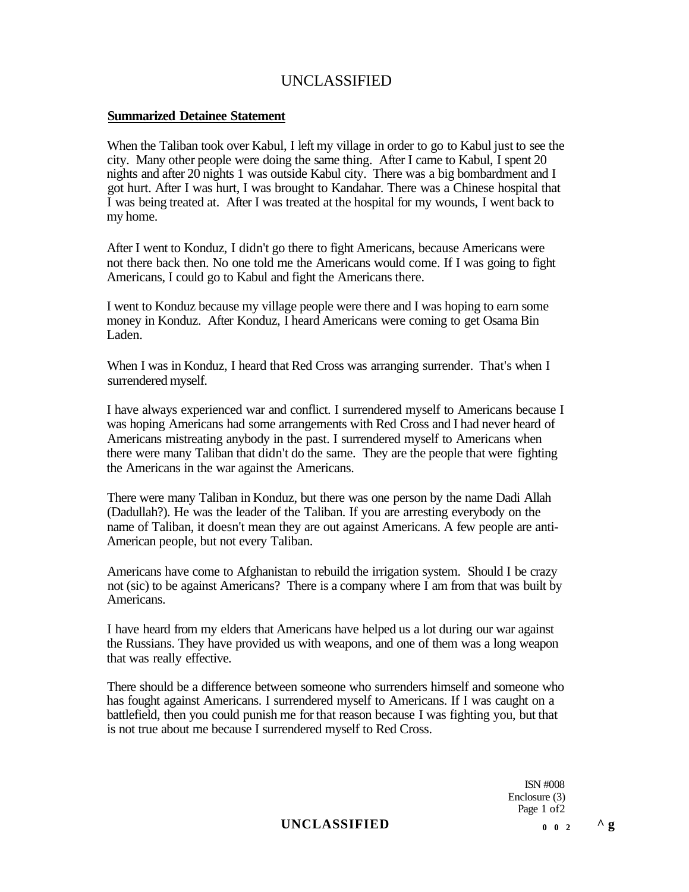#### **Summarized Detainee Statement**

When the Taliban took over Kabul, I left my village in order to go to Kabul just to see the city. Many other people were doing the same thing. After I came to Kabul, I spent 20 nights and after 20 nights 1 was outside Kabul city. There was a big bombardment and I got hurt. After I was hurt, I was brought to Kandahar. There was a Chinese hospital that I was being treated at. After I was treated at the hospital for my wounds, I went back to my home.

After I went to Konduz, I didn't go there to fight Americans, because Americans were not there back then. No one told me the Americans would come. If I was going to fight Americans, I could go to Kabul and fight the Americans there.

I went to Konduz because my village people were there and I was hoping to earn some money in Konduz. After Konduz, I heard Americans were coming to get Osama Bin Laden.

When I was in Konduz, I heard that Red Cross was arranging surrender. That's when I surrendered myself.

I have always experienced war and conflict. I surrendered myself to Americans because I was hoping Americans had some arrangements with Red Cross and I had never heard of Americans mistreating anybody in the past. I surrendered myself to Americans when there were many Taliban that didn't do the same. They are the people that were fighting the Americans in the war against the Americans.

There were many Taliban in Konduz, but there was one person by the name Dadi Allah (Dadullah?). He was the leader of the Taliban. If you are arresting everybody on the name of Taliban, it doesn't mean they are out against Americans. A few people are anti-American people, but not every Taliban.

Americans have come to Afghanistan to rebuild the irrigation system. Should I be crazy not (sic) to be against Americans? There is a company where I am from that was built by Americans.

I have heard from my elders that Americans have helped us a lot during our war against the Russians. They have provided us with weapons, and one of them was a long weapon that was really effective.

There should be a difference between someone who surrenders himself and someone who has fought against Americans. I surrendered myself to Americans. If I was caught on a battlefield, then you could punish me for that reason because I was fighting you, but that is not true about me because I surrendered myself to Red Cross.

> ISN #008 Enclosure (3) Page 1 of2

### **UNCLASSIFIED**  $0 \t 0 \t 2 \t 1$   $0 \t 3 \t 1$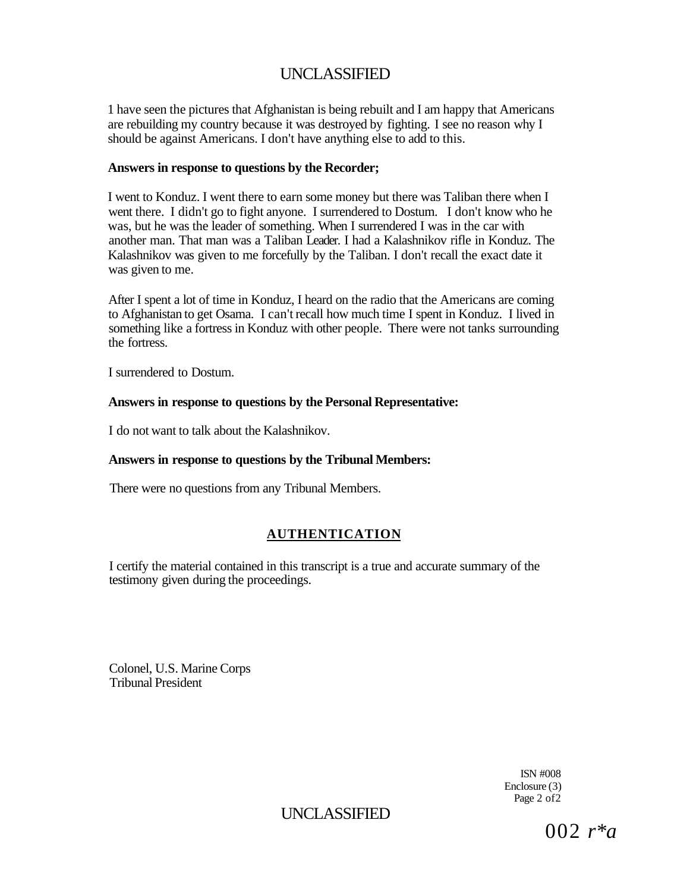1 have seen the pictures that Afghanistan is being rebuilt and I am happy that Americans are rebuilding my country because it was destroyed by fighting. I see no reason why I should be against Americans. I don't have anything else to add to this.

#### **Answers in response to questions by the Recorder;**

I went to Konduz. I went there to earn some money but there was Taliban there when I went there. I didn't go to fight anyone. I surrendered to Dostum. I don't know who he was, but he was the leader of something. When I surrendered I was in the car with another man. That man was a Taliban Leader. I had a Kalashnikov rifle in Konduz. The Kalashnikov was given to me forcefully by the Taliban. I don't recall the exact date it was given to me.

After I spent a lot of time in Konduz, I heard on the radio that the Americans are coming to Afghanistan to get Osama. I can't recall how much time I spent in Konduz. I lived in something like a fortress in Konduz with other people. There were not tanks surrounding the fortress.

I surrendered to Dostum.

### **Answers in response to questions by the Personal Representative:**

I do not want to talk about the Kalashnikov.

### **Answers in response to questions by the Tribunal Members:**

There were no questions from any Tribunal Members.

## **AUTHENTICATION**

I certify the material contained in this transcript is a true and accurate summary of the testimony given during the proceedings.

Colonel, U.S. Marine Corps Tribunal President

> ISN #008 Enclosure (3) Page 2 of 2

UNCLASSIFIED

002 *r\*a*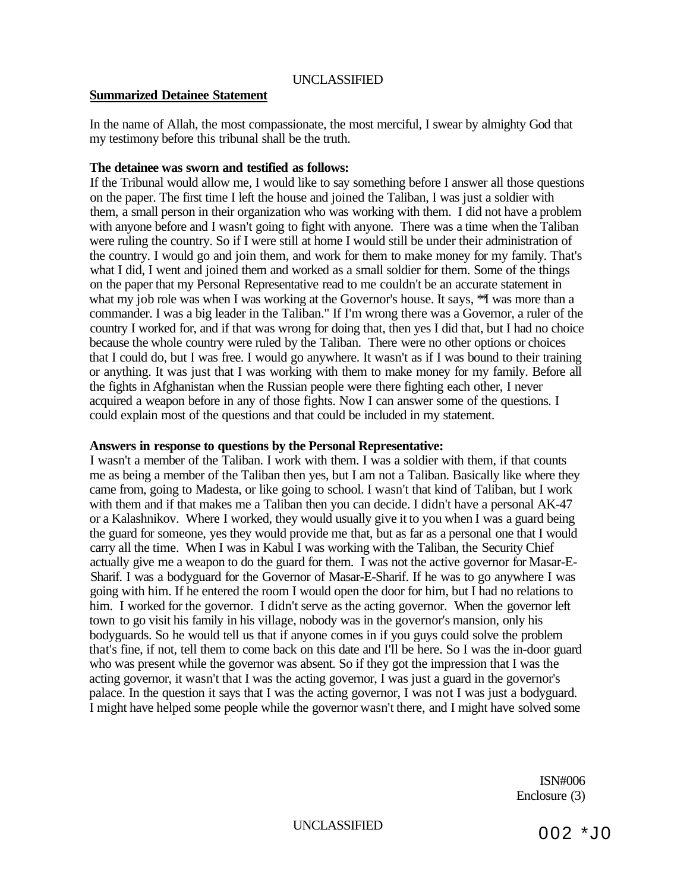#### **Summarized Detainee Statement**

In the name of Allah, the most compassionate, the most merciful, I swear by almighty God that my testimony before this tribunal shall be the truth.

#### **The detainee was sworn and testified as follows:**

If the Tribunal would allow me, I would like to say something before I answer all those questions on the paper. The first time I left the house and joined the Taliban, I was just a soldier with them, a small person in their organization who was working with them. I did not have a problem with anyone before and I wasn't going to fight with anyone. There was a time when the Taliban were ruling the country. So if I were still at home I would still be under their administration of the country. I would go and join them, and work for them to make money for my family. That's what I did, I went and joined them and worked as a small soldier for them. Some of the things on the paper that my Personal Representative read to me couldn't be an accurate statement in what my job role was when I was working at the Governor's house. It says, <sup>\*\*</sup>I was more than a commander. I was a big leader in the Taliban." If I'm wrong there was a Governor, a ruler of the country I worked for, and if that was wrong for doing that, then yes I did that, but I had no choice because the whole country were ruled by the Taliban. There were no other options or choices that I could do, but I was free. I would go anywhere. It wasn't as if I was bound to their training or anything. It was just that I was working with them to make money for my family. Before all the fights in Afghanistan when the Russian people were there fighting each other, I never acquired a weapon before in any of those fights. Now I can answer some of the questions. I could explain most of the questions and that could be included in my statement.

#### **Answers in response to questions by the Personal Representative:**

I wasn't a member of the Taliban. I work with them. I was a soldier with them, if that counts me as being a member of the Taliban then yes, but I am not a Taliban. Basically like where they came from, going to Madesta, or like going to school. I wasn't that kind of Taliban, but I work with them and if that makes me a Taliban then you can decide. I didn't have a personal AK-47 or a Kalashnikov. Where I worked, they would usually give it to you when I was a guard being the guard for someone, yes they would provide me that, but as far as a personal one that I would carry all the time. When I was in Kabul I was working with the Taliban, the Security Chief actually give me a weapon to do the guard for them. I was not the active governor for Masar-E-Sharif. I was a bodyguard for the Governor of Masar-E-Sharif. If he was to go anywhere I was going with him. If he entered the room I would open the door for him, but I had no relations to him. I worked for the governor. I didn't serve as the acting governor. When the governor left town to go visit his family in his village, nobody was in the governor's mansion, only his bodyguards. So he would tell us that if anyone comes in if you guys could solve the problem that's fine, if not, tell them to come back on this date and I'll be here. So I was the in-door guard who was present while the governor was absent. So if they got the impression that I was the acting governor, it wasn't that I was the acting governor, I was just a guard in the governor's palace. In the question it says that I was the acting governor, I was not I was just a bodyguard. I might have helped some people while the governor wasn't there, and I might have solved some

> ISN#006 Enclosure (3)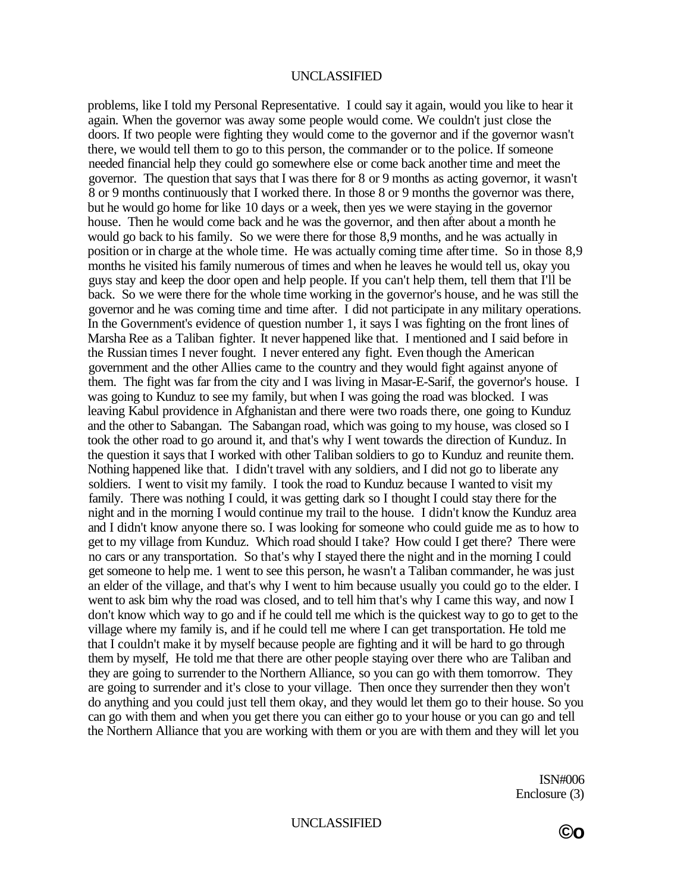problems, like I told my Personal Representative. I could say it again, would you like to hear it again. When the governor was away some people would come. We couldn't just close the doors. If two people were fighting they would come to the governor and if the governor wasn't there, we would tell them to go to this person, the commander or to the police. If someone needed financial help they could go somewhere else or come back another time and meet the governor. The question that says that I was there for 8 or 9 months as acting governor, it wasn't 8 or 9 months continuously that I worked there. In those 8 or 9 months the governor was there, but he would go home for like 10 days or a week, then yes we were staying in the governor house. Then he would come back and he was the governor, and then after about a month he would go back to his family. So we were there for those 8,9 months, and he was actually in position or in charge at the whole time. He was actually coming time after time. So in those 8,9 months he visited his family numerous of times and when he leaves he would tell us, okay you guys stay and keep the door open and help people. If you can't help them, tell them that I'll be back. So we were there for the whole time working in the governor's house, and he was still the governor and he was coming time and time after. I did not participate in any military operations. In the Government's evidence of question number 1, it says I was fighting on the front lines of Marsha Ree as a Taliban fighter. It never happened like that. I mentioned and I said before in the Russian times I never fought. I never entered any fight. Even though the American government and the other Allies came to the country and they would fight against anyone of them. The fight was far from the city and I was living in Masar-E-Sarif, the governor's house. I was going to Kunduz to see my family, but when I was going the road was blocked. I was leaving Kabul providence in Afghanistan and there were two roads there, one going to Kunduz and the other to Sabangan. The Sabangan road, which was going to my house, was closed so I took the other road to go around it, and that's why I went towards the direction of Kunduz. In the question it says that I worked with other Taliban soldiers to go to Kunduz and reunite them. Nothing happened like that. I didn't travel with any soldiers, and I did not go to liberate any soldiers. I went to visit my family. I took the road to Kunduz because I wanted to visit my family. There was nothing I could, it was getting dark so I thought I could stay there for the night and in the morning I would continue my trail to the house. I didn't know the Kunduz area and I didn't know anyone there so. I was looking for someone who could guide me as to how to get to my village from Kunduz. Which road should I take? How could I get there? There were no cars or any transportation. So that's why I stayed there the night and in the morning I could get someone to help me. 1 went to see this person, he wasn't a Taliban commander, he was just an elder of the village, and that's why I went to him because usually you could go to the elder. I went to ask bim why the road was closed, and to tell him that's why I came this way, and now I don't know which way to go and if he could tell me which is the quickest way to go to get to the village where my family is, and if he could tell me where I can get transportation. He told me that I couldn't make it by myself because people are fighting and it will be hard to go through them by myself, He told me that there are other people staying over there who are Taliban and they are going to surrender to the Northern Alliance, so you can go with them tomorrow. They are going to surrender and it's close to your village. Then once they surrender then they won't do anything and you could just tell them okay, and they would let them go to their house. So you can go with them and when you get there you can either go to your house or you can go and tell the Northern Alliance that you are working with them or you are with them and they will let you

> ISN#006 Enclosure (3)

UNCLASSIFIED **©o** 

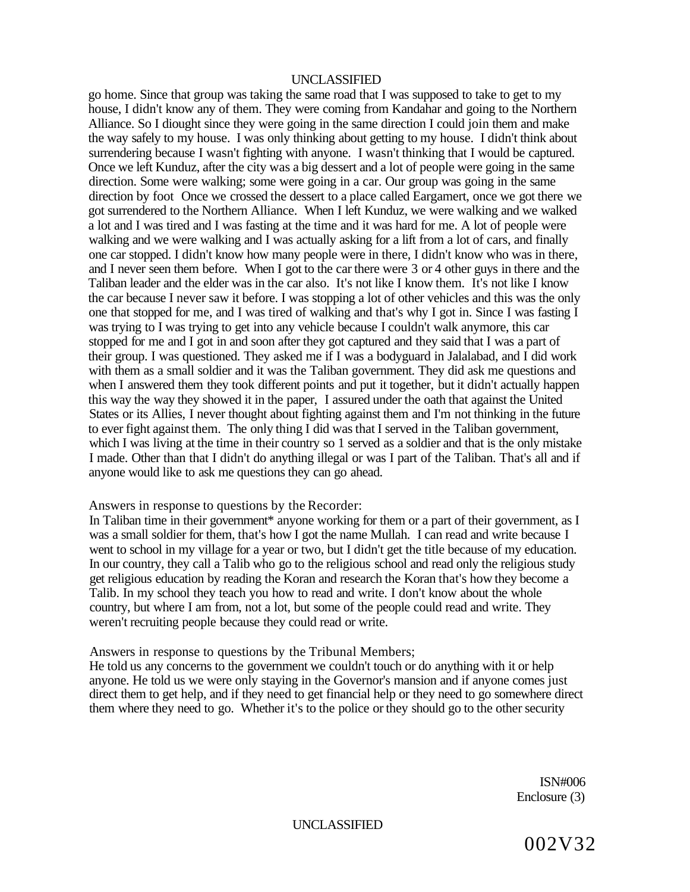go home. Since that group was taking the same road that I was supposed to take to get to my house, I didn't know any of them. They were coming from Kandahar and going to the Northern Alliance. So I diought since they were going in the same direction I could join them and make the way safely to my house. I was only thinking about getting to my house. I didn't think about surrendering because I wasn't fighting with anyone. I wasn't thinking that I would be captured. Once we left Kunduz, after the city was a big dessert and a lot of people were going in the same direction. Some were walking; some were going in a car. Our group was going in the same direction by foot Once we crossed the dessert to a place called Eargamert, once we got there we got surrendered to the Northern Alliance. When I left Kunduz, we were walking and we walked a lot and I was tired and I was fasting at the time and it was hard for me. A lot of people were walking and we were walking and I was actually asking for a lift from a lot of cars, and finally one car stopped. I didn't know how many people were in there, I didn't know who was in there, and I never seen them before. When I got to the car there were 3 or 4 other guys in there and the Taliban leader and the elder was in the car also. It's not like I know them. It's not like I know the car because I never saw it before. I was stopping a lot of other vehicles and this was the only one that stopped for me, and I was tired of walking and that's why I got in. Since I was fasting I was trying to I was trying to get into any vehicle because I couldn't walk anymore, this car stopped for me and I got in and soon after they got captured and they said that I was a part of their group. I was questioned. They asked me if I was a bodyguard in Jalalabad, and I did work with them as a small soldier and it was the Taliban government. They did ask me questions and when I answered them they took different points and put it together, but it didn't actually happen this way the way they showed it in the paper, I assured under the oath that against the United States or its Allies, I never thought about fighting against them and I'm not thinking in the future to ever fight against them. The only thing I did was that I served in the Taliban government, which I was living at the time in their country so 1 served as a soldier and that is the only mistake I made. Other than that I didn't do anything illegal or was I part of the Taliban. That's all and if anyone would like to ask me questions they can go ahead.

#### Answers in response to questions by the Recorder:

In Taliban time in their government<sup>\*</sup> anyone working for them or a part of their government, as I was a small soldier for them, that's how I got the name Mullah. I can read and write because I went to school in my village for a year or two, but I didn't get the title because of my education. In our country, they call a Talib who go to the religious school and read only the religious study get religious education by reading the Koran and research the Koran that's how they become a Talib. In my school they teach you how to read and write. I don't know about the whole country, but where I am from, not a lot, but some of the people could read and write. They weren't recruiting people because they could read or write.

Answers in response to questions by the Tribunal Members;

He told us any concerns to the government we couldn't touch or do anything with it or help anyone. He told us we were only staying in the Governor's mansion and if anyone comes just direct them to get help, and if they need to get financial help or they need to go somewhere direct them where they need to go. Whether it's to the police or they should go to the other security

> ISN#006 Enclosure (3)

UNCLASSIFIED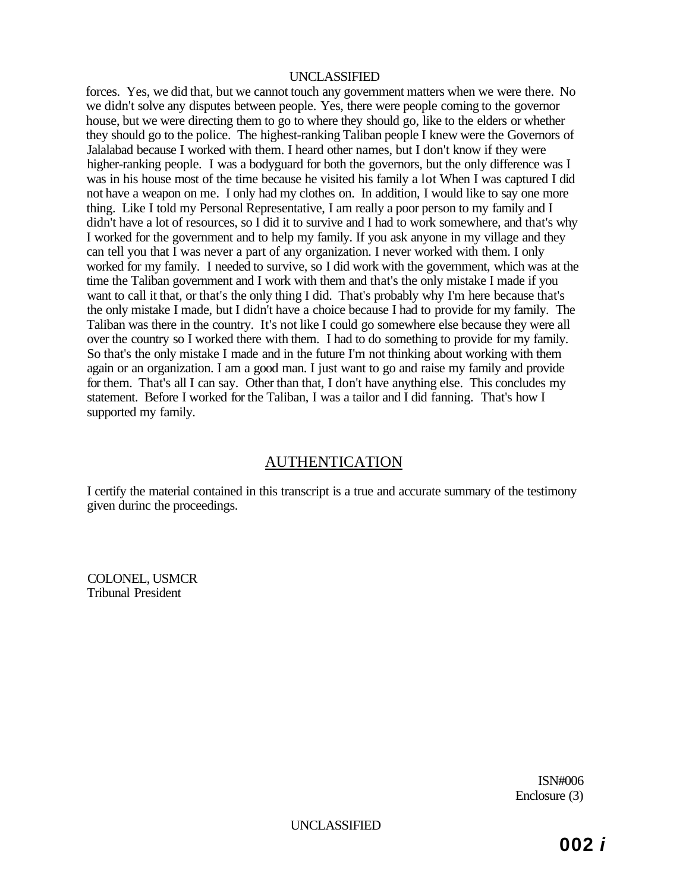forces. Yes, we did that, but we cannot touch any government matters when we were there. No we didn't solve any disputes between people. Yes, there were people coming to the governor house, but we were directing them to go to where they should go, like to the elders or whether they should go to the police. The highest-ranking Taliban people I knew were the Governors of Jalalabad because I worked with them. I heard other names, but I don't know if they were higher-ranking people. I was a bodyguard for both the governors, but the only difference was I was in his house most of the time because he visited his family a lot When I was captured I did not have a weapon on me. I only had my clothes on. In addition, I would like to say one more thing. Like I told my Personal Representative, I am really a poor person to my family and I didn't have a lot of resources, so I did it to survive and I had to work somewhere, and that's why I worked for the government and to help my family. If you ask anyone in my village and they can tell you that I was never a part of any organization. I never worked with them. I only worked for my family. I needed to survive, so I did work with the government, which was at the time the Taliban government and I work with them and that's the only mistake I made if you want to call it that, or that's the only thing I did. That's probably why I'm here because that's the only mistake I made, but I didn't have a choice because I had to provide for my family. The Taliban was there in the country. It's not like I could go somewhere else because they were all over the country so I worked there with them. I had to do something to provide for my family. So that's the only mistake I made and in the future I'm not thinking about working with them again or an organization. I am a good man. I just want to go and raise my family and provide for them. That's all I can say. Other than that, I don't have anything else. This concludes my statement. Before I worked for the Taliban, I was a tailor and I did fanning. That's how I supported my family.

## AUTHENTICATION

I certify the material contained in this transcript is a true and accurate summary of the testimony given durinc the proceedings.

COLONEL, USMCR Tribunal President

> ISN#006 Enclosure (3)

UNCLASSIFIED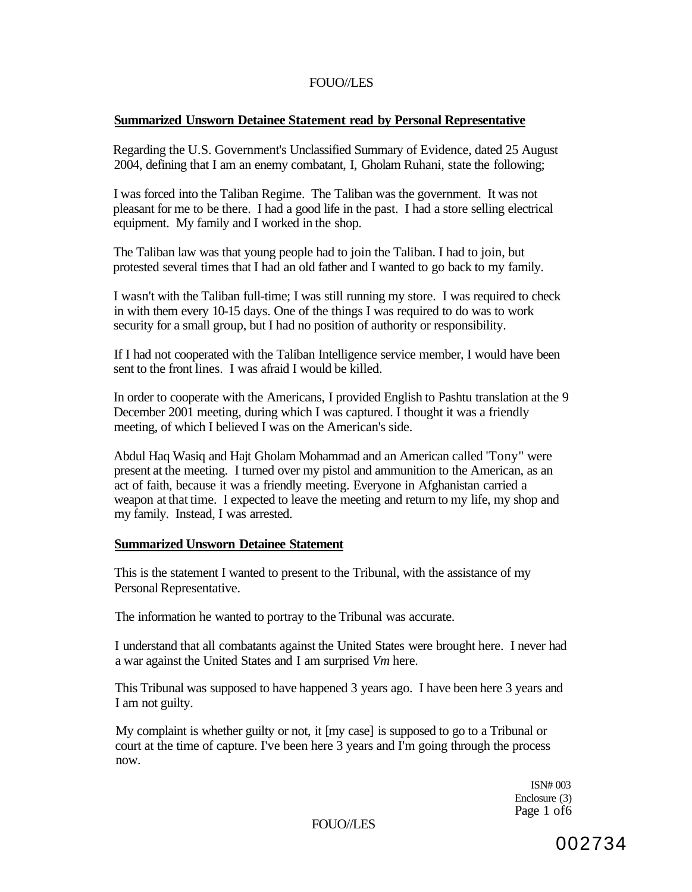### **Summarized Unsworn Detainee Statement read by Personal Representative**

Regarding the U.S. Government's Unclassified Summary of Evidence, dated 25 August 2004, defining that I am an enemy combatant, I, Gholam Ruhani, state the following;

I was forced into the Taliban Regime. The Taliban was the government. It was not pleasant for me to be there. I had a good life in the past. I had a store selling electrical equipment. My family and I worked in the shop.

The Taliban law was that young people had to join the Taliban. I had to join, but protested several times that I had an old father and I wanted to go back to my family.

I wasn't with the Taliban full-time; I was still running my store. I was required to check in with them every 10-15 days. One of the things I was required to do was to work security for a small group, but I had no position of authority or responsibility.

If I had not cooperated with the Taliban Intelligence service member, I would have been sent to the front lines. I was afraid I would be killed.

In order to cooperate with the Americans, I provided English to Pashtu translation at the 9 December 2001 meeting, during which I was captured. I thought it was a friendly meeting, of which I believed I was on the American's side.

Abdul Haq Wasiq and Hajt Gholam Mohammad and an American called 'Tony" were present at the meeting. I turned over my pistol and ammunition to the American, as an act of faith, because it was a friendly meeting. Everyone in Afghanistan carried a weapon at that time. I expected to leave the meeting and return to my life, my shop and my family. Instead, I was arrested.

#### **Summarized Unsworn Detainee Statement**

This is the statement I wanted to present to the Tribunal, with the assistance of my Personal Representative.

The information he wanted to portray to the Tribunal was accurate.

I understand that all combatants against the United States were brought here. I never had a war against the United States and I am surprised *Vm* here.

This Tribunal was supposed to have happened 3 years ago. I have been here 3 years and I am not guilty.

My complaint is whether guilty or not, it [my case] is supposed to go to a Tribunal or court at the time of capture. I've been here 3 years and I'm going through the process now.

> ISN# 003 Enclosure (3) Page 1 of6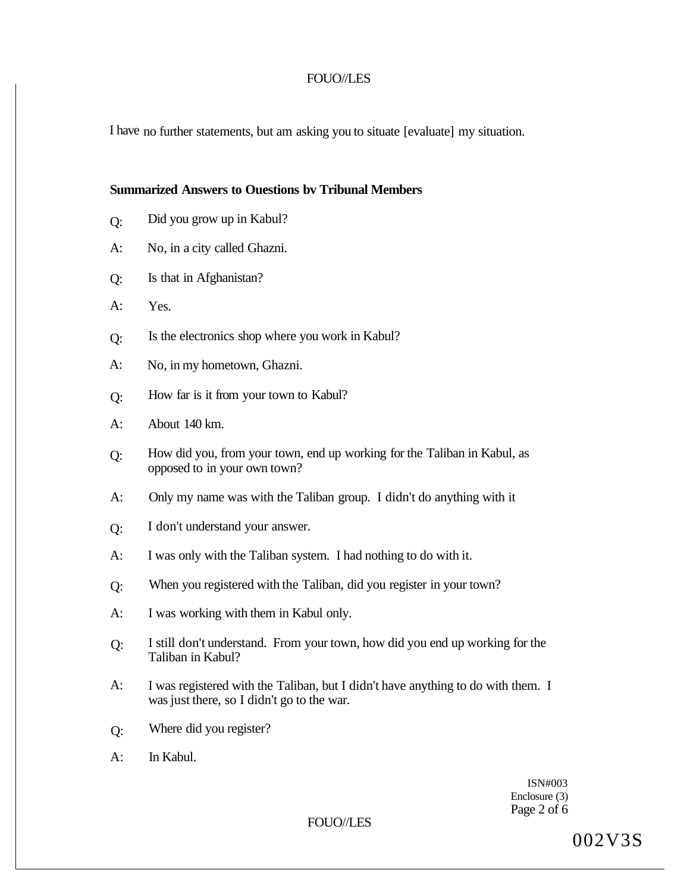I have no further statements, but am asking you to situate [evaluate] my situation.

#### **Summarized Answers to Ouestions bv Tribunal Members**

- Q: Did you grow up in Kabul?
- A: No, in a city called Ghazni.
- Q: Is that in Afghanistan?
- A: Yes.
- Q: Is the electronics shop where you work in Kabul?
- A: No, in my hometown, Ghazni.
- Q: How far is it from your town to Kabul?
- A: About 140 km.
- Q: How did you, from your town, end up working for the Taliban in Kabul, as opposed to in your own town?
- A: Only my name was with the Taliban group. I didn't do anything with it
- Q: I don't understand your answer.
- A: I was only with the Taliban system. I had nothing to do with it.
- Q: When you registered with the Taliban, did you register in your town?
- A: I was working with them in Kabul only.
- Q: I still don't understand. From your town, how did you end up working for the Taliban in Kabul?
- A: I was registered with the Taliban, but I didn't have anything to do with them. I was just there, so I didn't go to the war.
- Q: Where did you register?
- A: In Kabul.

ISN#003 Enclosure (3) Page 2 of 6

FOUO//LES

002V3S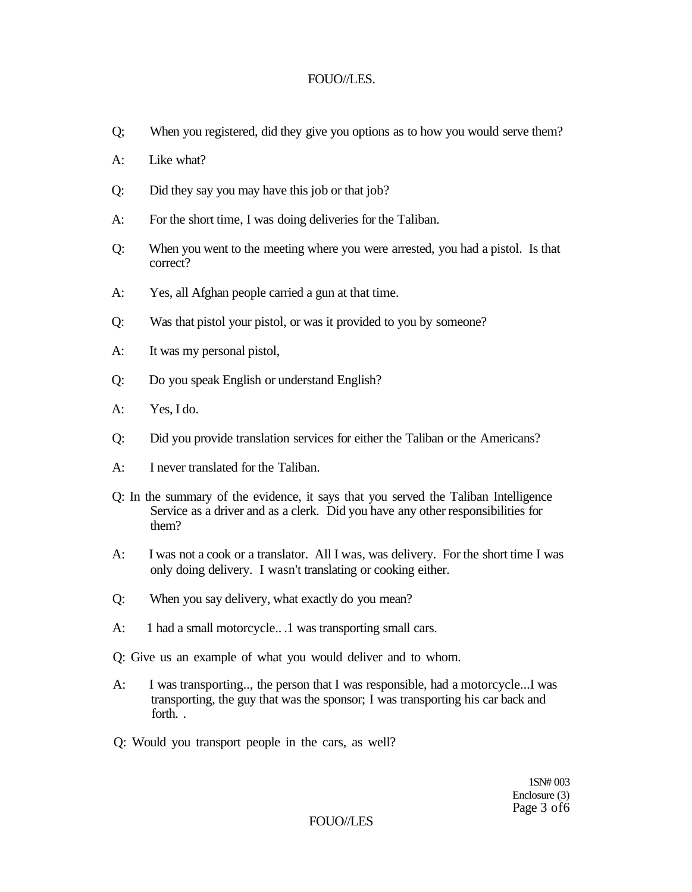#### FOUO/LES.

- Q; When you registered, did they give you options as to how you would serve them?
- $A^{\dagger}$  Like what?
- Q: Did they say you may have this job or that job?
- A: For the short time, I was doing deliveries for the Taliban.
- Q: When you went to the meeting where you were arrested, you had a pistol. Is that correct?
- A: Yes, all Afghan people carried a gun at that time.
- Q: Was that pistol your pistol, or was it provided to you by someone?
- A: It was my personal pistol,
- Q: Do you speak English or understand English?
- A: Yes, I do.
- Q: Did you provide translation services for either the Taliban or the Americans?
- A: I never translated for the Taliban.
- Q: In the summary of the evidence, it says that you served the Taliban Intelligence Service as a driver and as a clerk. Did you have any other responsibilities for them?
- A: I was not a cook or a translator. All I was, was delivery. For the short time I was only doing delivery. I wasn't translating or cooking either.
- Q: When you say delivery, what exactly do you mean?
- A: 1 had a small motorcycle...1 was transporting small cars.
- Q: Give us an example of what you would deliver and to whom.
- A: I was transporting.., the person that I was responsible, had a motorcycle...I was transporting, the guy that was the sponsor; I was transporting his car back and forth. .
- Q: Would you transport people in the cars, as well?

1SN# 003 Enclosure (3) Page 3 of6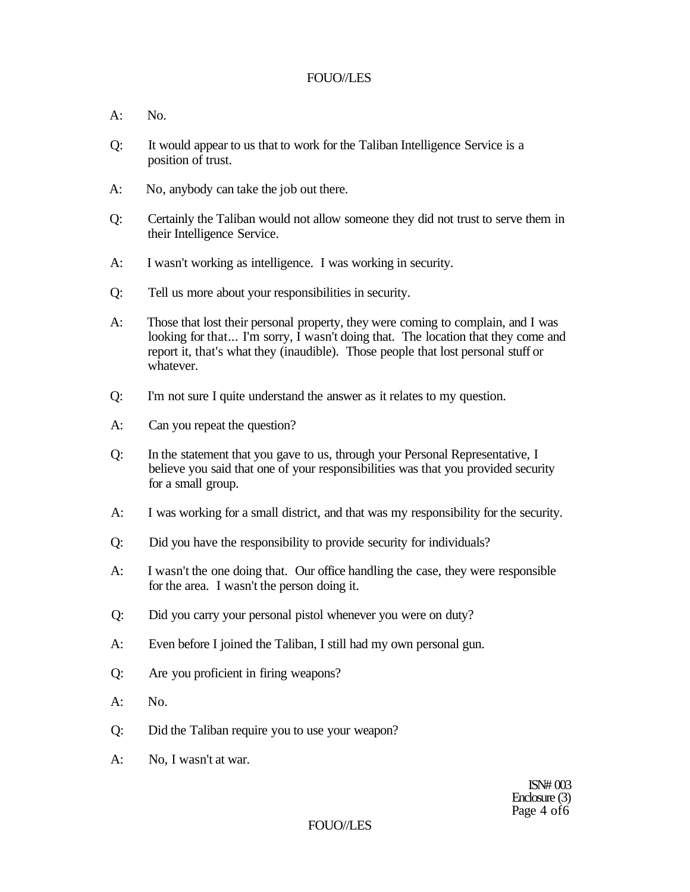- $A: N_0$
- Q: It would appear to us that to work for the Taliban Intelligence Service is a position of trust.
- A: No, anybody can take the job out there.
- Q: Certainly the Taliban would not allow someone they did not trust to serve them in their Intelligence Service.
- A: I wasn't working as intelligence. I was working in security.
- Q: Tell us more about your responsibilities in security.
- A: Those that lost their personal property, they were coming to complain, and I was looking for that... I'm sorry, I wasn't doing that. The location that they come and report it, that's what they (inaudible). Those people that lost personal stuff or whatever.
- Q: I'm not sure I quite understand the answer as it relates to my question.
- A: Can you repeat the question?
- Q: In the statement that you gave to us, through your Personal Representative, I believe you said that one of your responsibilities was that you provided security for a small group.
- A: I was working for a small district, and that was my responsibility for the security.
- Q: Did you have the responsibility to provide security for individuals?
- A: I wasn't the one doing that. Our office handling the case, they were responsible for the area. I wasn't the person doing it.
- Q: Did you carry your personal pistol whenever you were on duty?
- A: Even before I joined the Taliban, I still had my own personal gun.
- Q: Are you proficient in firing weapons?
- A: No.
- Q: Did the Taliban require you to use your weapon?
- A: No, I wasn't at war.

ISN# 003 Enclosure (3) Page 4 of 6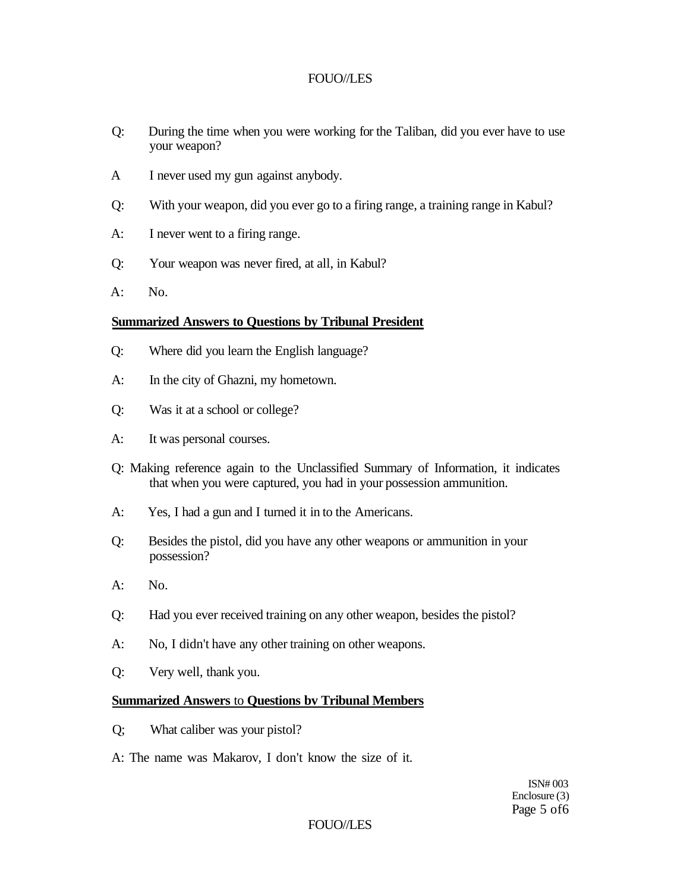- Q: During the time when you were working for the Taliban, did you ever have to use your weapon?
- A I never used my gun against anybody.
- Q: With your weapon, did you ever go to a firing range, a training range in Kabul?
- A: I never went to a firing range.
- Q: Your weapon was never fired, at all, in Kabul?
- A: No.

#### **Summarized Answers to Questions by Tribunal President**

- Q: Where did you learn the English language?
- A: In the city of Ghazni, my hometown.
- Q: Was it at a school or college?
- A: It was personal courses.
- Q: Making reference again to the Unclassified Summary of Information, it indicates that when you were captured, you had in your possession ammunition.
- A: Yes, I had a gun and I turned it in to the Americans.
- Q: Besides the pistol, did you have any other weapons or ammunition in your possession?
- A: No.
- Q: Had you ever received training on any other weapon, besides the pistol?
- A: No, I didn't have any other training on other weapons.
- Q: Very well, thank you.

### **Summarized Answers** to **Questions bv Tribunal Members**

- Q; What caliber was your pistol?
- A: The name was Makarov, I don't know the size of it.

ISN# 003 Enclosure (3) Page 5 of6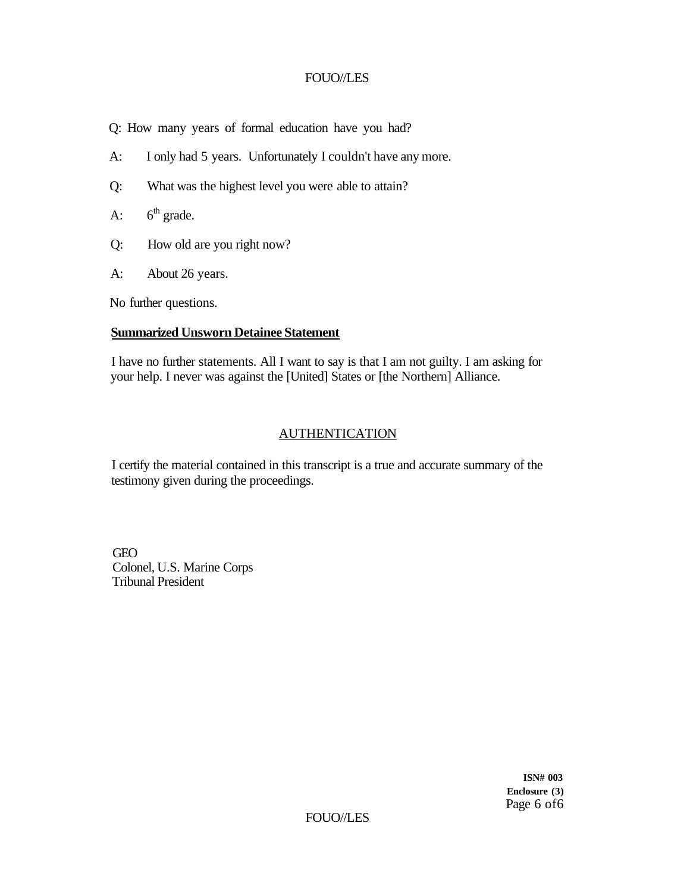Q: How many years of formal education have you had?

- A: I only had 5 years. Unfortunately I couldn't have any more.
- Q: What was the highest level you were able to attain?
- A:  $6<sup>th</sup>$  grade.
- Q: How old are you right now?
- A: About 26 years.

No further questions.

#### **Summarized Unsworn Detainee Statement**

I have no further statements. All I want to say is that I am not guilty. I am asking for your help. I never was against the [United] States or [the Northern] Alliance.

### AUTHENTICATION

I certify the material contained in this transcript is a true and accurate summary of the testimony given during the proceedings.

GEO Colonel, U.S. Marine Corps Tribunal President

> **ISN# 003 Enclosure (3)**  Page 6 of6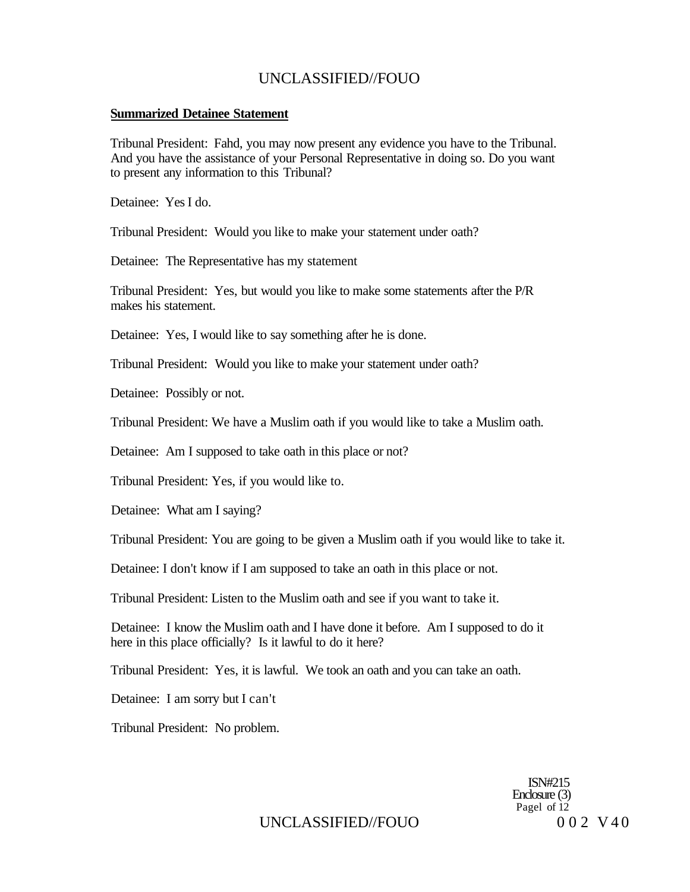#### **Summarized Detainee Statement**

Tribunal President: Fahd, you may now present any evidence you have to the Tribunal. And you have the assistance of your Personal Representative in doing so. Do you want to present any information to this Tribunal?

Detainee: Yes I do.

Tribunal President: Would you like to make your statement under oath?

Detainee: The Representative has my statement

Tribunal President: Yes, but would you like to make some statements after the P/R makes his statement.

Detainee: Yes, I would like to say something after he is done.

Tribunal President: Would you like to make your statement under oath?

Detainee: Possibly or not.

Tribunal President: We have a Muslim oath if you would like to take a Muslim oath.

Detainee: Am I supposed to take oath in this place or not?

Tribunal President: Yes, if you would like to.

Detainee: What am I saying?

Tribunal President: You are going to be given a Muslim oath if you would like to take it.

Detainee: I don't know if I am supposed to take an oath in this place or not.

Tribunal President: Listen to the Muslim oath and see if you want to take it.

Detainee: I know the Muslim oath and I have done it before. Am I supposed to do it here in this place officially? Is it lawful to do it here?

Tribunal President: Yes, it is lawful. We took an oath and you can take an oath.

Detainee: I am sorry but I can't

Tribunal President: No problem.

ISN#215 Enclosure (3) Pagel of  $12$ 

UNCLASSIFIED//FOUO 002 V40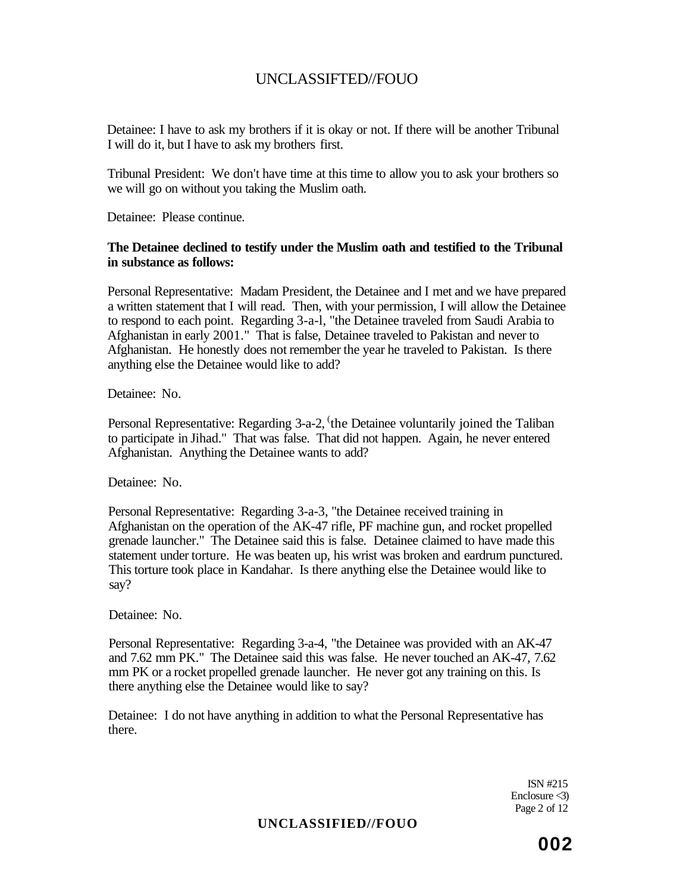Detainee: I have to ask my brothers if it is okay or not. If there will be another Tribunal I will do it, but I have to ask my brothers first.

Tribunal President: We don't have time at this time to allow you to ask your brothers so we will go on without you taking the Muslim oath.

Detainee: Please continue.

#### **The Detainee declined to testify under the Muslim oath and testified to the Tribunal in substance as follows:**

Personal Representative: Madam President, the Detainee and I met and we have prepared a written statement that I will read. Then, with your permission, I will allow the Detainee to respond to each point. Regarding 3-a-l, "the Detainee traveled from Saudi Arabia to Afghanistan in early 2001." That is false, Detainee traveled to Pakistan and never to Afghanistan. He honestly does not remember the year he traveled to Pakistan. Is there anything else the Detainee would like to add?

Detainee: No.

Personal Representative: Regarding 3-a-2, 'the Detainee voluntarily joined the Taliban to participate in Jihad." That was false. That did not happen. Again, he never entered Afghanistan. Anything the Detainee wants to add?

Detainee: No.

Personal Representative: Regarding 3-a-3, "the Detainee received training in Afghanistan on the operation of the AK-47 rifle, PF machine gun, and rocket propelled grenade launcher." The Detainee said this is false. Detainee claimed to have made this statement under torture. He was beaten up, his wrist was broken and eardrum punctured. This torture took place in Kandahar. Is there anything else the Detainee would like to say?

Detainee: No.

Personal Representative: Regarding 3-a-4, "the Detainee was provided with an AK-47 and 7.62 mm PK." The Detainee said this was false. He never touched an AK-47, 7.62 mm PK or a rocket propelled grenade launcher. He never got any training on this. Is there anything else the Detainee would like to say?

Detainee: I do not have anything in addition to what the Personal Representative has there.

> ISN #215 Enclosure  $\triangleleft$ ) Page 2 of 12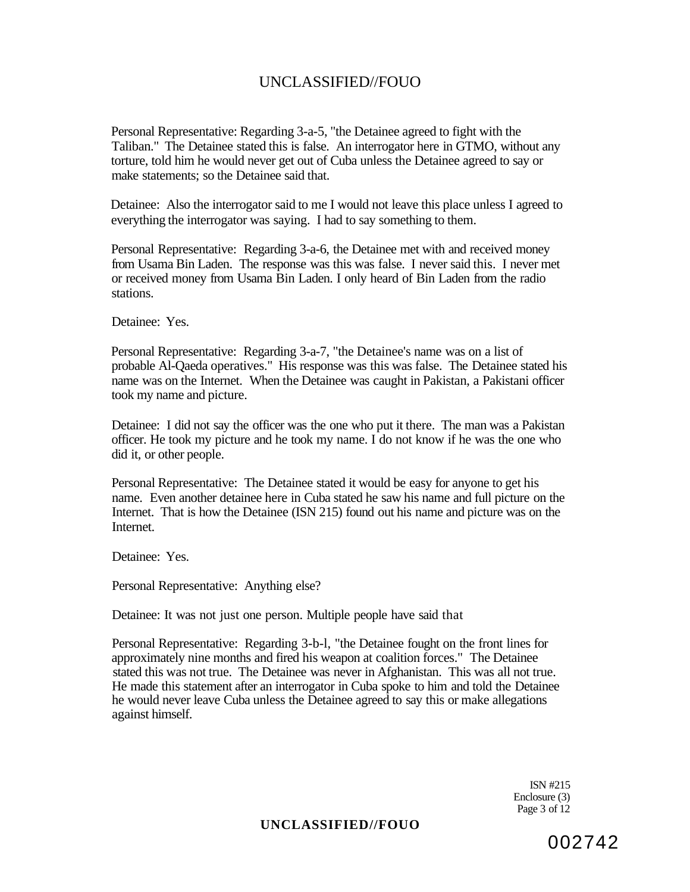Personal Representative: Regarding 3-a-5, "the Detainee agreed to fight with the Taliban." The Detainee stated this is false. An interrogator here in GTMO, without any torture, told him he would never get out of Cuba unless the Detainee agreed to say or make statements; so the Detainee said that.

Detainee: Also the interrogator said to me I would not leave this place unless I agreed to everything the interrogator was saying. I had to say something to them.

Personal Representative: Regarding 3-a-6, the Detainee met with and received money from Usama Bin Laden. The response was this was false. I never said this. I never met or received money from Usama Bin Laden. I only heard of Bin Laden from the radio stations.

Detainee: Yes.

Personal Representative: Regarding 3-a-7, "the Detainee's name was on a list of probable Al-Qaeda operatives." His response was this was false. The Detainee stated his name was on the Internet. When the Detainee was caught in Pakistan, a Pakistani officer took my name and picture.

Detainee: I did not say the officer was the one who put it there. The man was a Pakistan officer. He took my picture and he took my name. I do not know if he was the one who did it, or other people.

Personal Representative: The Detainee stated it would be easy for anyone to get his name. Even another detainee here in Cuba stated he saw his name and full picture on the Internet. That is how the Detainee (ISN 215) found out his name and picture was on the Internet.

Detainee: Yes.

Personal Representative: Anything else?

Detainee: It was not just one person. Multiple people have said that

Personal Representative: Regarding 3-b-l, "the Detainee fought on the front lines for approximately nine months and fired his weapon at coalition forces." The Detainee stated this was not true. The Detainee was never in Afghanistan. This was all not true. He made this statement after an interrogator in Cuba spoke to him and told the Detainee he would never leave Cuba unless the Detainee agreed to say this or make allegations against himself.

> ISN #215 Enclosure (3) Page 3 of 12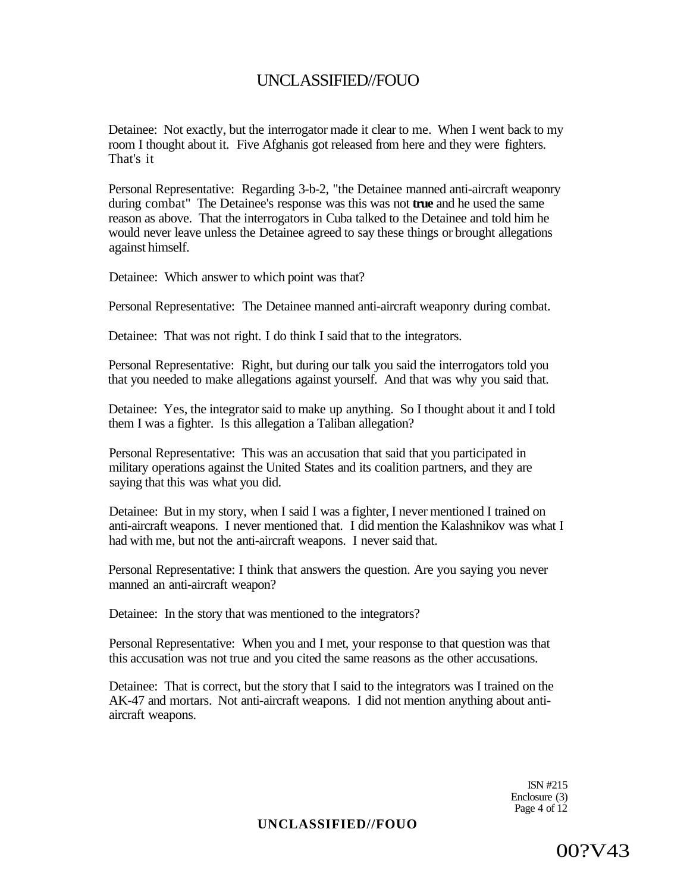Detainee: Not exactly, but the interrogator made it clear to me. When I went back to my room I thought about it. Five Afghanis got released from here and they were fighters. That's it

Personal Representative: Regarding 3-b-2, "the Detainee manned anti-aircraft weaponry during combat" The Detainee's response was this was not **true** and he used the same reason as above. That the interrogators in Cuba talked to the Detainee and told him he would never leave unless the Detainee agreed to say these things or brought allegations against himself.

Detainee: Which answer to which point was that?

Personal Representative: The Detainee manned anti-aircraft weaponry during combat.

Detainee: That was not right. I do think I said that to the integrators.

Personal Representative: Right, but during our talk you said the interrogators told you that you needed to make allegations against yourself. And that was why you said that.

Detainee: Yes, the integrator said to make up anything. So I thought about it and I told them I was a fighter. Is this allegation a Taliban allegation?

Personal Representative: This was an accusation that said that you participated in military operations against the United States and its coalition partners, and they are saying that this was what you did.

Detainee: But in my story, when I said I was a fighter, I never mentioned I trained on anti-aircraft weapons. I never mentioned that. I did mention the Kalashnikov was what I had with me, but not the anti-aircraft weapons. I never said that.

Personal Representative: I think that answers the question. Are you saying you never manned an anti-aircraft weapon?

Detainee: In the story that was mentioned to the integrators?

Personal Representative: When you and I met, your response to that question was that this accusation was not true and you cited the same reasons as the other accusations.

Detainee: That is correct, but the story that I said to the integrators was I trained on the AK-47 and mortars. Not anti-aircraft weapons. I did not mention anything about antiaircraft weapons.

> ISN #215 Enclosure (3) Page 4 of 12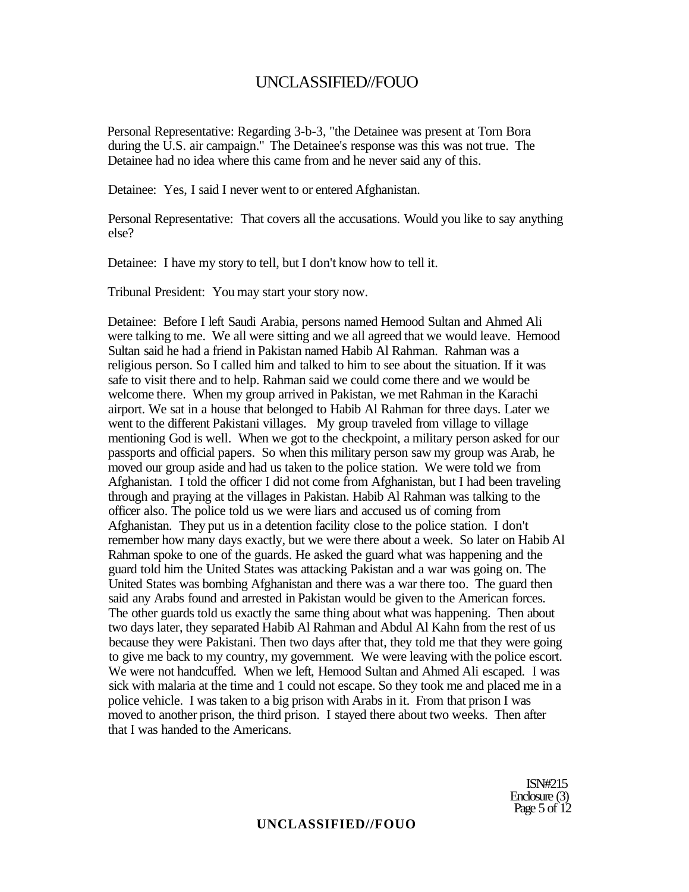Personal Representative: Regarding 3-b-3, "the Detainee was present at Torn Bora during the U.S. air campaign." The Detainee's response was this was not true. The Detainee had no idea where this came from and he never said any of this.

Detainee: Yes, I said I never went to or entered Afghanistan.

Personal Representative: That covers all the accusations. Would you like to say anything else?

Detainee: I have my story to tell, but I don't know how to tell it.

Tribunal President: You may start your story now.

Detainee: Before I left Saudi Arabia, persons named Hemood Sultan and Ahmed Ali were talking to me. We all were sitting and we all agreed that we would leave. Hemood Sultan said he had a friend in Pakistan named Habib Al Rahman. Rahman was a religious person. So I called him and talked to him to see about the situation. If it was safe to visit there and to help. Rahman said we could come there and we would be welcome there. When my group arrived in Pakistan, we met Rahman in the Karachi airport. We sat in a house that belonged to Habib Al Rahman for three days. Later we went to the different Pakistani villages. My group traveled from village to village mentioning God is well. When we got to the checkpoint, a military person asked for our passports and official papers. So when this military person saw my group was Arab, he moved our group aside and had us taken to the police station. We were told we from Afghanistan. I told the officer I did not come from Afghanistan, but I had been traveling through and praying at the villages in Pakistan. Habib Al Rahman was talking to the officer also. The police told us we were liars and accused us of coming from Afghanistan. They put us in a detention facility close to the police station. I don't remember how many days exactly, but we were there about a week. So later on Habib Al Rahman spoke to one of the guards. He asked the guard what was happening and the guard told him the United States was attacking Pakistan and a war was going on. The United States was bombing Afghanistan and there was a war there too. The guard then said any Arabs found and arrested in Pakistan would be given to the American forces. The other guards told us exactly the same thing about what was happening. Then about two days later, they separated Habib Al Rahman and Abdul Al Kahn from the rest of us because they were Pakistani. Then two days after that, they told me that they were going to give me back to my country, my government. We were leaving with the police escort. We were not handcuffed. When we left, Hemood Sultan and Ahmed Ali escaped. I was sick with malaria at the time and 1 could not escape. So they took me and placed me in a police vehicle. I was taken to a big prison with Arabs in it. From that prison I was moved to another prison, the third prison. I stayed there about two weeks. Then after that I was handed to the Americans.

> ISN#215 Enclosure (3) Page 5 of 12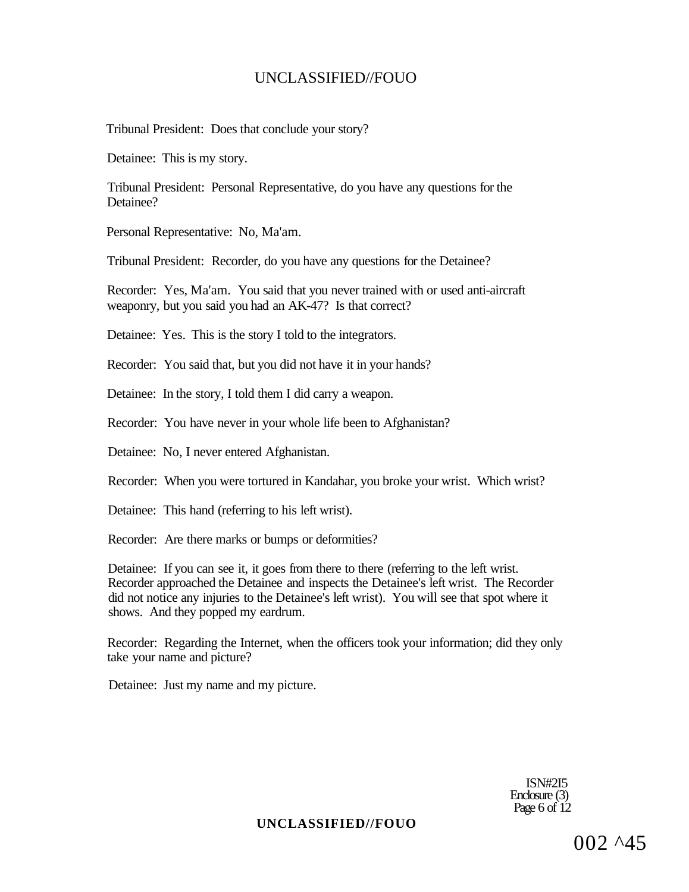Tribunal President: Does that conclude your story?

Detainee: This is my story.

Tribunal President: Personal Representative, do you have any questions for the Detainee?

Personal Representative: No, Ma'am.

Tribunal President: Recorder, do you have any questions for the Detainee?

Recorder: Yes, Ma'am. You said that you never trained with or used anti-aircraft weaponry, but you said you had an AK-47? Is that correct?

Detainee: Yes. This is the story I told to the integrators.

Recorder: You said that, but you did not have it in your hands?

Detainee: In the story, I told them I did carry a weapon.

Recorder: You have never in your whole life been to Afghanistan?

Detainee: No, I never entered Afghanistan.

Recorder: When you were tortured in Kandahar, you broke your wrist. Which wrist?

Detainee: This hand (referring to his left wrist).

Recorder: Are there marks or bumps or deformities?

Detainee: If you can see it, it goes from there to there (referring to the left wrist. Recorder approached the Detainee and inspects the Detainee's left wrist. The Recorder did not notice any injuries to the Detainee's left wrist). You will see that spot where it shows. And they popped my eardrum.

Recorder: Regarding the Internet, when the officers took your information; did they only take your name and picture?

Detainee: Just my name and my picture.

ISN#2I5 Enclosure (3) Page 6 of  $12$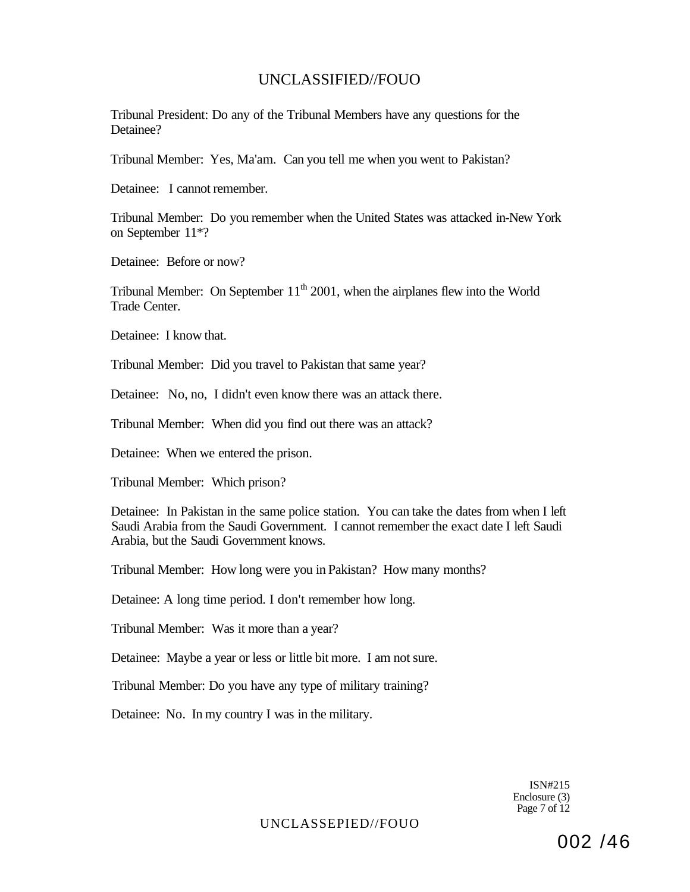Tribunal President: Do any of the Tribunal Members have any questions for the Detainee?

Tribunal Member: Yes, Ma'am. Can you tell me when you went to Pakistan?

Detainee: I cannot remember.

Tribunal Member: Do you remember when the United States was attacked in-New York on September 11\*?

Detainee: Before or now?

Tribunal Member: On September  $11<sup>th</sup> 2001$ , when the airplanes flew into the World Trade Center.

Detainee: I know that.

Tribunal Member: Did you travel to Pakistan that same year?

Detainee: No, no, I didn't even know there was an attack there.

Tribunal Member: When did you find out there was an attack?

Detainee: When we entered the prison.

Tribunal Member: Which prison?

Detainee: In Pakistan in the same police station. You can take the dates from when I left Saudi Arabia from the Saudi Government. I cannot remember the exact date I left Saudi Arabia, but the Saudi Government knows.

Tribunal Member: How long were you in Pakistan? How many months?

Detainee: A long time period. I don't remember how long.

Tribunal Member: Was it more than a year?

Detainee: Maybe a year or less or little bit more. I am not sure.

Tribunal Member: Do you have any type of military training?

Detainee: No. In my country I was in the military.

ISN#215 Enclosure (3) Page 7 of 12

UNCLASSEPIED//FOUO

002 /46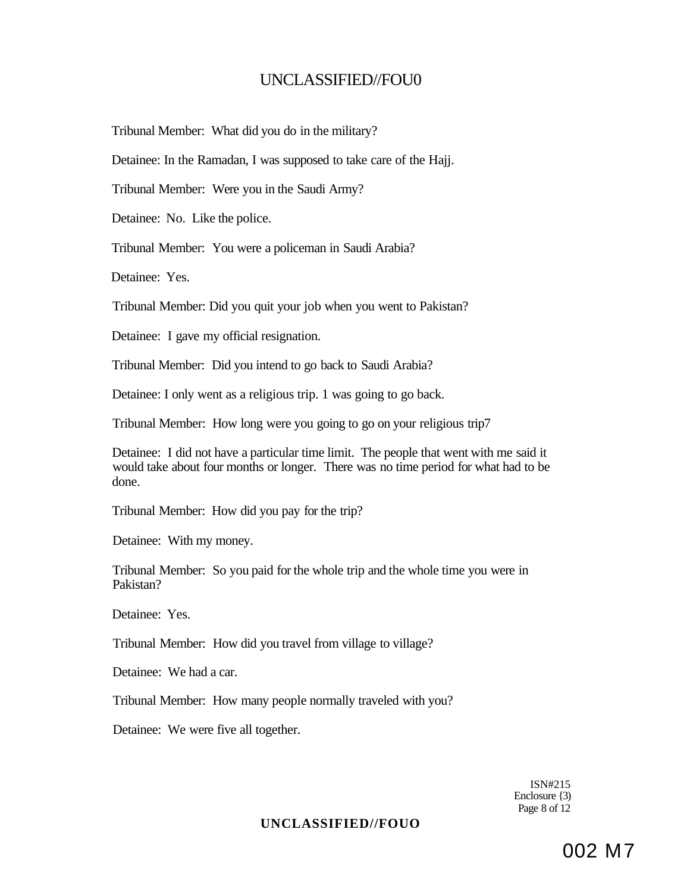Tribunal Member: What did you do in the military?

Detainee: In the Ramadan, I was supposed to take care of the Hajj.

Tribunal Member: Were you in the Saudi Army?

Detainee: No. Like the police.

Tribunal Member: You were a policeman in Saudi Arabia?

Detainee: Yes.

Tribunal Member: Did you quit your job when you went to Pakistan?

Detainee: I gave my official resignation.

Tribunal Member: Did you intend to go back to Saudi Arabia?

Detainee: I only went as a religious trip. 1 was going to go back.

Tribunal Member: How long were you going to go on your religious trip7

Detainee: I did not have a particular time limit. The people that went with me said it would take about four months or longer. There was no time period for what had to be done.

Tribunal Member: How did you pay for the trip?

Detainee: With my money.

Tribunal Member: So you paid for the whole trip and the whole time you were in Pakistan?

Detainee: Yes.

Tribunal Member: How did you travel from village to village?

Detainee: We had a car.

Tribunal Member: How many people normally traveled with you?

Detainee: We were five all together.

ISN#215 Enclosure {3) Page 8 of 12

### **UNCLASSIFIED//FOUO**

002 M7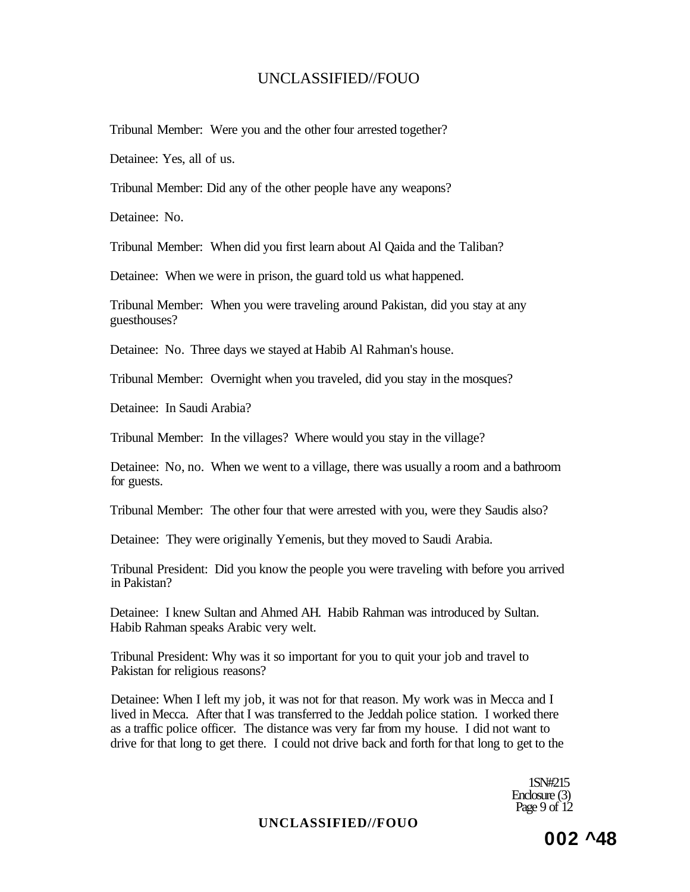Tribunal Member: Were you and the other four arrested together?

Detainee: Yes, all of us.

Tribunal Member: Did any of the other people have any weapons?

Detainee: No.

Tribunal Member: When did you first learn about Al Qaida and the Taliban?

Detainee: When we were in prison, the guard told us what happened.

Tribunal Member: When you were traveling around Pakistan, did you stay at any guesthouses?

Detainee: No. Three days we stayed at Habib Al Rahman's house.

Tribunal Member: Overnight when you traveled, did you stay in the mosques?

Detainee: In Saudi Arabia?

Tribunal Member: In the villages? Where would you stay in the village?

Detainee: No, no. When we went to a village, there was usually a room and a bathroom for guests.

Tribunal Member: The other four that were arrested with you, were they Saudis also?

Detainee: They were originally Yemenis, but they moved to Saudi Arabia.

Tribunal President: Did you know the people you were traveling with before you arrived in Pakistan?

Detainee: I knew Sultan and Ahmed AH. Habib Rahman was introduced by Sultan. Habib Rahman speaks Arabic very welt.

Tribunal President: Why was it so important for you to quit your job and travel to Pakistan for religious reasons?

Detainee: When I left my job, it was not for that reason. My work was in Mecca and I lived in Mecca. After that I was transferred to the Jeddah police station. I worked there as a traffic police officer. The distance was very far from my house. I did not want to drive for that long to get there. I could not drive back and forth for that long to get to the

> 1SN#215 Enclosure (3) Page 9 of  $12$

#### **UNCLASSIFIED//FOUO**

**002 ^48**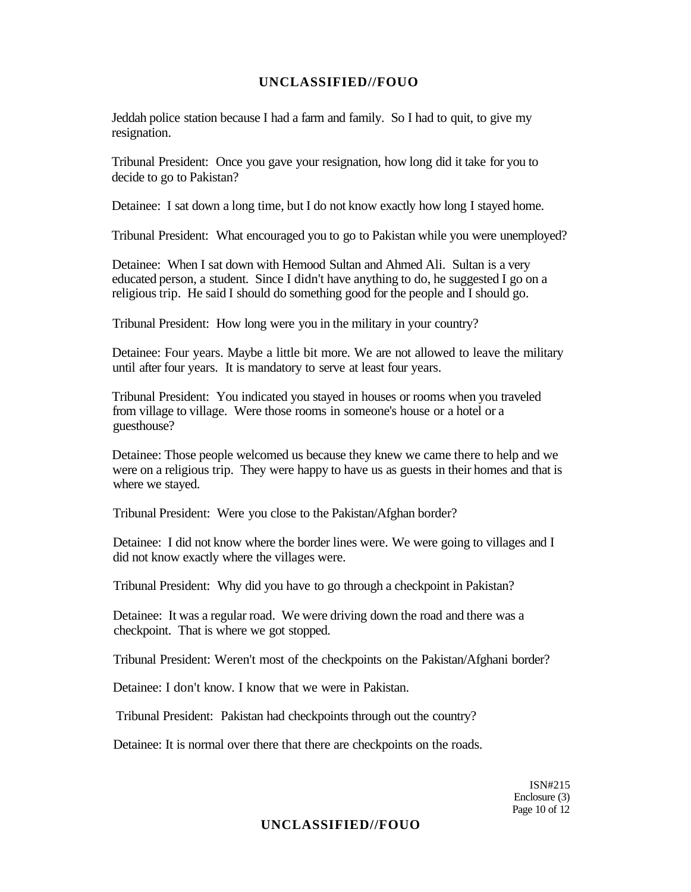Jeddah police station because I had a farm and family. So I had to quit, to give my resignation.

Tribunal President: Once you gave your resignation, how long did it take for you to decide to go to Pakistan?

Detainee: I sat down a long time, but I do not know exactly how long I stayed home.

Tribunal President: What encouraged you to go to Pakistan while you were unemployed?

Detainee: When I sat down with Hemood Sultan and Ahmed Ali. Sultan is a very educated person, a student. Since I didn't have anything to do, he suggested I go on a religious trip. He said I should do something good for the people and I should go.

Tribunal President: How long were you in the military in your country?

Detainee: Four years. Maybe a little bit more. We are not allowed to leave the military until after four years. It is mandatory to serve at least four years.

Tribunal President: You indicated you stayed in houses or rooms when you traveled from village to village. Were those rooms in someone's house or a hotel or a guesthouse?

Detainee: Those people welcomed us because they knew we came there to help and we were on a religious trip. They were happy to have us as guests in their homes and that is where we stayed.

Tribunal President: Were you close to the Pakistan/Afghan border?

Detainee: I did not know where the border lines were. We were going to villages and I did not know exactly where the villages were.

Tribunal President: Why did you have to go through a checkpoint in Pakistan?

Detainee: It was a regular road. We were driving down the road and there was a checkpoint. That is where we got stopped.

Tribunal President: Weren't most of the checkpoints on the Pakistan/Afghani border?

Detainee: I don't know. I know that we were in Pakistan.

Tribunal President: Pakistan had checkpoints through out the country?

Detainee: It is normal over there that there are checkpoints on the roads.

ISN#215 Enclosure (3) Page 10 of 12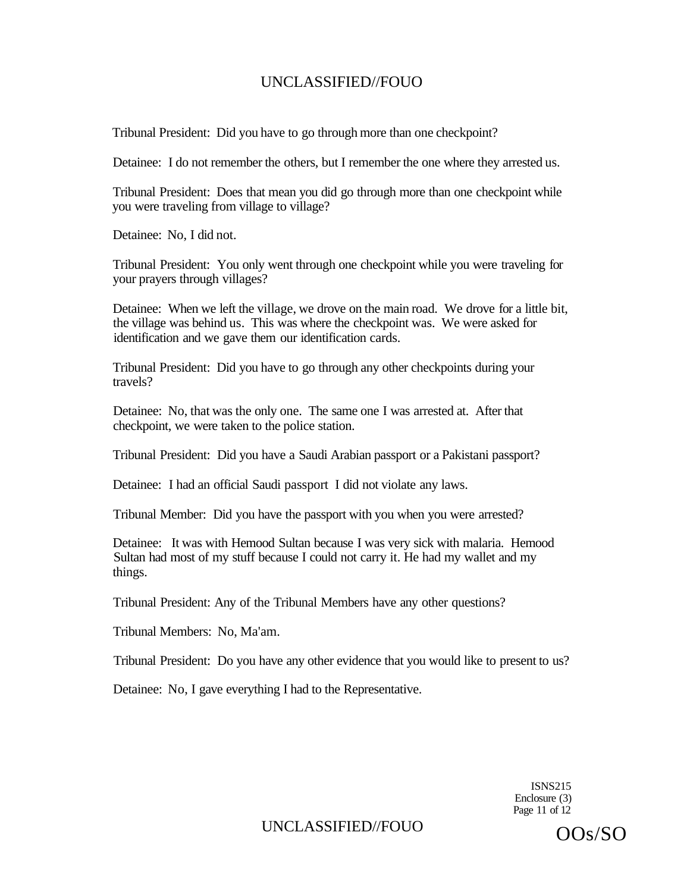Tribunal President: Did you have to go through more than one checkpoint?

Detainee: I do not remember the others, but I remember the one where they arrested us.

Tribunal President: Does that mean you did go through more than one checkpoint while you were traveling from village to village?

Detainee: No, I did not.

Tribunal President: You only went through one checkpoint while you were traveling for your prayers through villages?

Detainee: When we left the village, we drove on the main road. We drove for a little bit, the village was behind us. This was where the checkpoint was. We were asked for identification and we gave them our identification cards.

Tribunal President: Did you have to go through any other checkpoints during your travels?

Detainee: No, that was the only one. The same one I was arrested at. After that checkpoint, we were taken to the police station.

Tribunal President: Did you have a Saudi Arabian passport or a Pakistani passport?

Detainee: I had an official Saudi passport I did not violate any laws.

Tribunal Member: Did you have the passport with you when you were arrested?

Detainee: It was with Hemood Sultan because I was very sick with malaria. Hemood Sultan had most of my stuff because I could not carry it. He had my wallet and my things.

Tribunal President: Any of the Tribunal Members have any other questions?

Tribunal Members: No, Ma'am.

Tribunal President: Do you have any other evidence that you would like to present to us?

Detainee: No, I gave everything I had to the Representative.

ISNS215 Enclosure (3) Page 11 of 12

UNCLASSIFIED//FOUO OOS/SO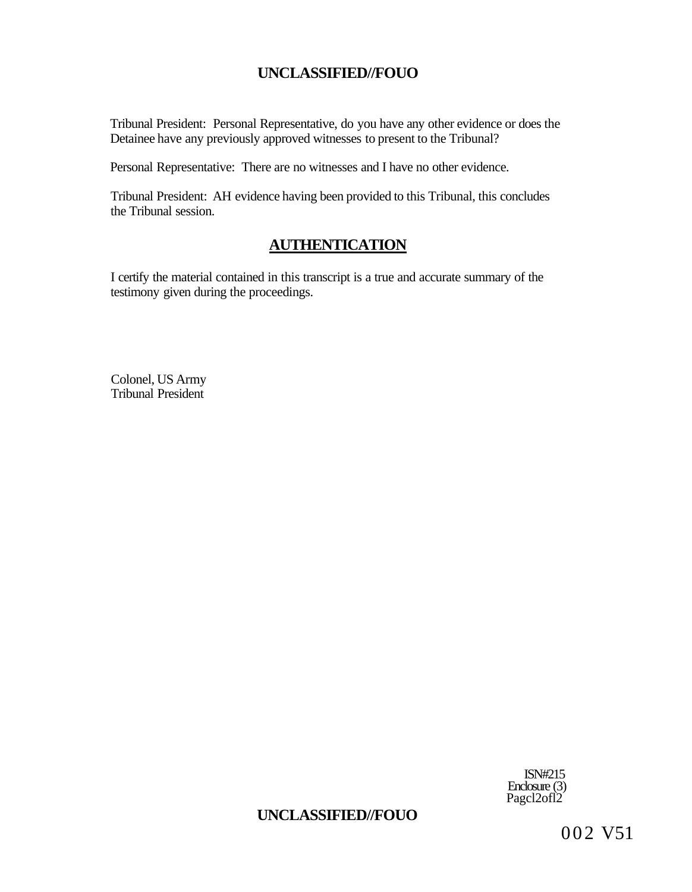Tribunal President: Personal Representative, do you have any other evidence or does the Detainee have any previously approved witnesses to present to the Tribunal?

Personal Representative: There are no witnesses and I have no other evidence.

Tribunal President: AH evidence having been provided to this Tribunal, this concludes the Tribunal session.

## **AUTHENTICATION**

I certify the material contained in this transcript is a true and accurate summary of the testimony given during the proceedings.

Colonel, US Army Tribunal President

> ISN#215 Enclosure (3) Pagcl2ofl2

# **UNCLASSIFIED//FOUO**

002 V51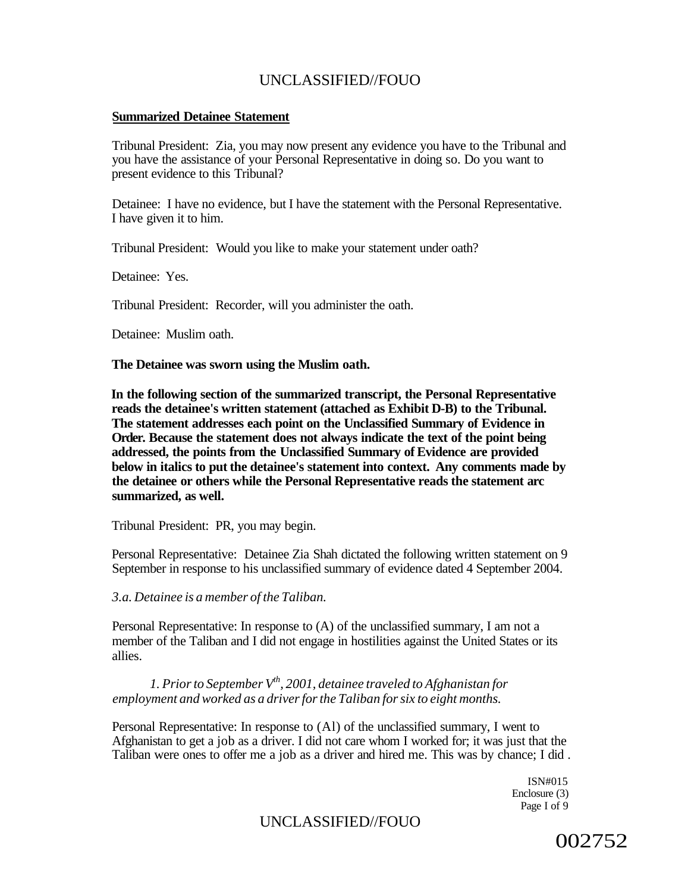#### **Summarized Detainee Statement**

Tribunal President: Zia, you may now present any evidence you have to the Tribunal and you have the assistance of your Personal Representative in doing so. Do you want to present evidence to this Tribunal?

Detainee: I have no evidence, but I have the statement with the Personal Representative. I have given it to him.

Tribunal President: Would you like to make your statement under oath?

Detainee: Yes.

Tribunal President: Recorder, will you administer the oath.

Detainee: Muslim oath.

**The Detainee was sworn using the Muslim oath.** 

**In the following section of the summarized transcript, the Personal Representative reads the detainee's written statement (attached as Exhibit D-B) to the Tribunal. The statement addresses each point on the Unclassified Summary of Evidence in Order. Because the statement does not always indicate the text of the point being addressed, the points from the Unclassified Summary of Evidence are provided below in italics to put the detainee's statement into context. Any comments made by the detainee or others while the Personal Representative reads the statement arc summarized, as well.** 

Tribunal President: PR, you may begin.

Personal Representative: Detainee Zia Shah dictated the following written statement on 9 September in response to his unclassified summary of evidence dated 4 September 2004.

*3.a. Detainee is a member of the Taliban.* 

Personal Representative: In response to (A) of the unclassified summary, I am not a member of the Taliban and I did not engage in hostilities against the United States or its allies.

*1. Prior to September Vth, 2001, detainee traveled to Afghanistan for employment and worked as a driver for the Taliban for six to eight months.* 

Personal Representative: In response to (Al) of the unclassified summary, I went to Afghanistan to get a job as a driver. I did not care whom I worked for; it was just that the Taliban were ones to offer me a job as a driver and hired me. This was by chance; I did .

> ISN#015 Enclosure (3) Page I of 9

## UNCLASSIFIED//FOUO

002752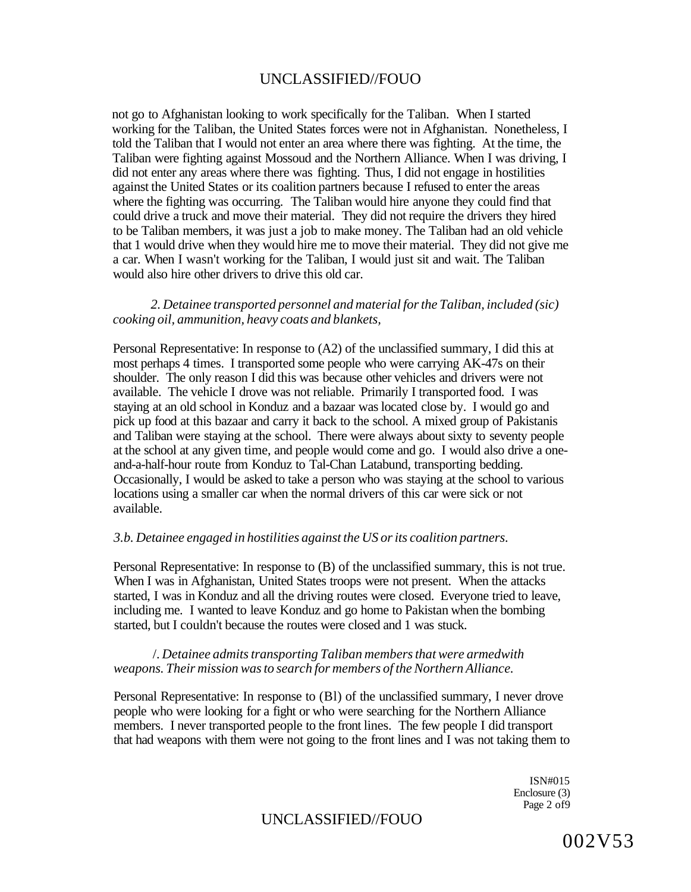not go to Afghanistan looking to work specifically for the Taliban. When I started working for the Taliban, the United States forces were not in Afghanistan. Nonetheless, I told the Taliban that I would not enter an area where there was fighting. At the time, the Taliban were fighting against Mossoud and the Northern Alliance. When I was driving, I did not enter any areas where there was fighting. Thus, I did not engage in hostilities against the United States or its coalition partners because I refused to enter the areas where the fighting was occurring. The Taliban would hire anyone they could find that could drive a truck and move their material. They did not require the drivers they hired to be Taliban members, it was just a job to make money. The Taliban had an old vehicle that 1 would drive when they would hire me to move their material. They did not give me a car. When I wasn't working for the Taliban, I would just sit and wait. The Taliban would also hire other drivers to drive this old car.

#### *2. Detainee transported personnel and material for the Taliban, included (sic) cooking oil, ammunition, heavy coats and blankets,*

Personal Representative: In response to (A2) of the unclassified summary, I did this at most perhaps 4 times. I transported some people who were carrying AK-47s on their shoulder. The only reason I did this was because other vehicles and drivers were not available. The vehicle I drove was not reliable. Primarily I transported food. I was staying at an old school in Konduz and a bazaar was located close by. I would go and pick up food at this bazaar and carry it back to the school. A mixed group of Pakistanis and Taliban were staying at the school. There were always about sixty to seventy people at the school at any given time, and people would come and go. I would also drive a oneand-a-half-hour route from Konduz to Tal-Chan Latabund, transporting bedding. Occasionally, I would be asked to take a person who was staying at the school to various locations using a smaller car when the normal drivers of this car were sick or not available.

#### *3.b. Detainee engaged in hostilities against the US or its coalition partners.*

Personal Representative: In response to (B) of the unclassified summary, this is not true. When I was in Afghanistan, United States troops were not present. When the attacks started, I was in Konduz and all the driving routes were closed. Everyone tried to leave, including me. I wanted to leave Konduz and go home to Pakistan when the bombing started, but I couldn't because the routes were closed and 1 was stuck.

#### /. *Detainee admits transporting Taliban members that were armedwith weapons. Their mission was to search for members of the Northern Alliance.*

Personal Representative: In response to (Bl) of the unclassified summary, I never drove people who were looking for a fight or who were searching for the Northern Alliance members. I never transported people to the front lines. The few people I did transport that had weapons with them were not going to the front lines and I was not taking them to

> ISN#015 Enclosure (3) Page 2 of 9

### UNCLASSIFIED//FOUO

002V53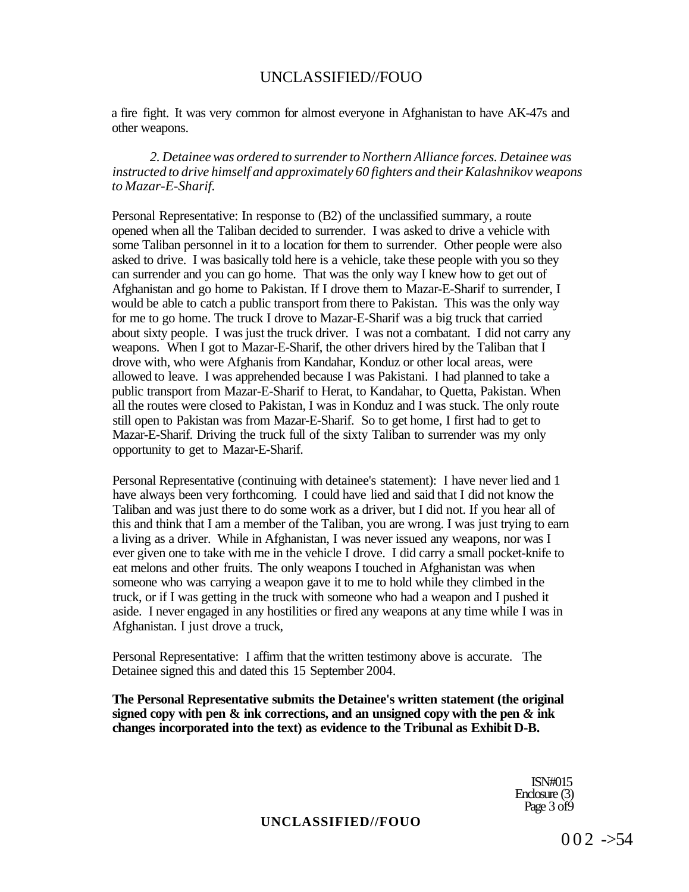a fire fight. It was very common for almost everyone in Afghanistan to have AK-47s and other weapons.

*2. Detainee was ordered to surrender to Northern Alliance forces. Detainee was instructed to drive himself and approximately 60 fighters and their Kalashnikov weapons to Mazar-E-Sharif.* 

Personal Representative: In response to (B2) of the unclassified summary, a route opened when all the Taliban decided to surrender. I was asked to drive a vehicle with some Taliban personnel in it to a location for them to surrender. Other people were also asked to drive. I was basically told here is a vehicle, take these people with you so they can surrender and you can go home. That was the only way I knew how to get out of Afghanistan and go home to Pakistan. If I drove them to Mazar-E-Sharif to surrender, I would be able to catch a public transport from there to Pakistan. This was the only way for me to go home. The truck I drove to Mazar-E-Sharif was a big truck that carried about sixty people. I was just the truck driver. I was not a combatant. I did not carry any weapons. When I got to Mazar-E-Sharif, the other drivers hired by the Taliban that I drove with, who were Afghanis from Kandahar, Konduz or other local areas, were allowed to leave. I was apprehended because I was Pakistani. I had planned to take a public transport from Mazar-E-Sharif to Herat, to Kandahar, to Quetta, Pakistan. When all the routes were closed to Pakistan, I was in Konduz and I was stuck. The only route still open to Pakistan was from Mazar-E-Sharif. So to get home, I first had to get to Mazar-E-Sharif. Driving the truck full of the sixty Taliban to surrender was my only opportunity to get to Mazar-E-Sharif.

Personal Representative (continuing with detainee's statement): I have never lied and 1 have always been very forthcoming. I could have lied and said that I did not know the Taliban and was just there to do some work as a driver, but I did not. If you hear all of this and think that I am a member of the Taliban, you are wrong. I was just trying to earn a living as a driver. While in Afghanistan, I was never issued any weapons, nor was I ever given one to take with me in the vehicle I drove. I did carry a small pocket-knife to eat melons and other fruits. The only weapons I touched in Afghanistan was when someone who was carrying a weapon gave it to me to hold while they climbed in the truck, or if I was getting in the truck with someone who had a weapon and I pushed it aside. I never engaged in any hostilities or fired any weapons at any time while I was in Afghanistan. I just drove a truck,

Personal Representative: I affirm that the written testimony above is accurate. The Detainee signed this and dated this 15 September 2004.

**The Personal Representative submits the Detainee's written statement (the original signed copy with pen & ink corrections, and an unsigned copy with the pen** *&* **ink changes incorporated into the text) as evidence to the Tribunal as Exhibit D-B.** 

> ISN#015 Enclosure (3) Page 3 of 9

#### **UNCLASSIFIED//FOUO**

 $002 -54$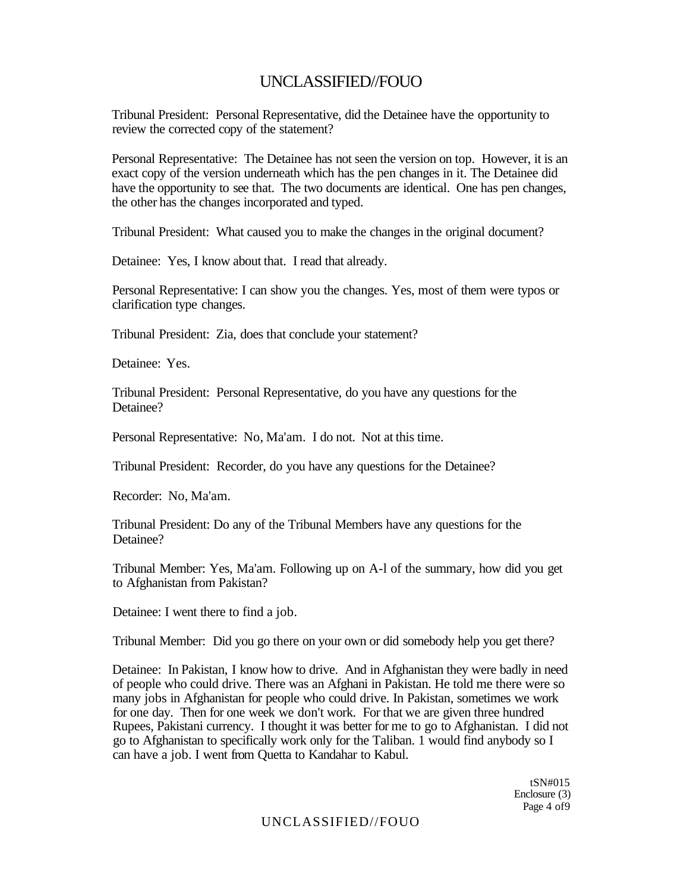Tribunal President: Personal Representative, did the Detainee have the opportunity to review the corrected copy of the statement?

Personal Representative: The Detainee has not seen the version on top. However, it is an exact copy of the version underneath which has the pen changes in it. The Detainee did have the opportunity to see that. The two documents are identical. One has pen changes, the other has the changes incorporated and typed.

Tribunal President: What caused you to make the changes in the original document?

Detainee: Yes, I know about that. I read that already.

Personal Representative: I can show you the changes. Yes, most of them were typos or clarification type changes.

Tribunal President: Zia, does that conclude your statement?

Detainee: Yes.

Tribunal President: Personal Representative, do you have any questions for the Detainee?

Personal Representative: No, Ma'am. I do not. Not at this time.

Tribunal President: Recorder, do you have any questions for the Detainee?

Recorder: No, Ma'am.

Tribunal President: Do any of the Tribunal Members have any questions for the Detainee?

Tribunal Member: Yes, Ma'am. Following up on A-l of the summary, how did you get to Afghanistan from Pakistan?

Detainee: I went there to find a job.

Tribunal Member: Did you go there on your own or did somebody help you get there?

Detainee: In Pakistan, I know how to drive. And in Afghanistan they were badly in need of people who could drive. There was an Afghani in Pakistan. He told me there were so many jobs in Afghanistan for people who could drive. In Pakistan, sometimes we work for one day. Then for one week we don't work. For that we are given three hundred Rupees, Pakistani currency. I thought it was better for me to go to Afghanistan. I did not go to Afghanistan to specifically work only for the Taliban. 1 would find anybody so I can have a job. I went from Quetta to Kandahar to Kabul.

> tSN#015 Enclosure (3) Page 4 of9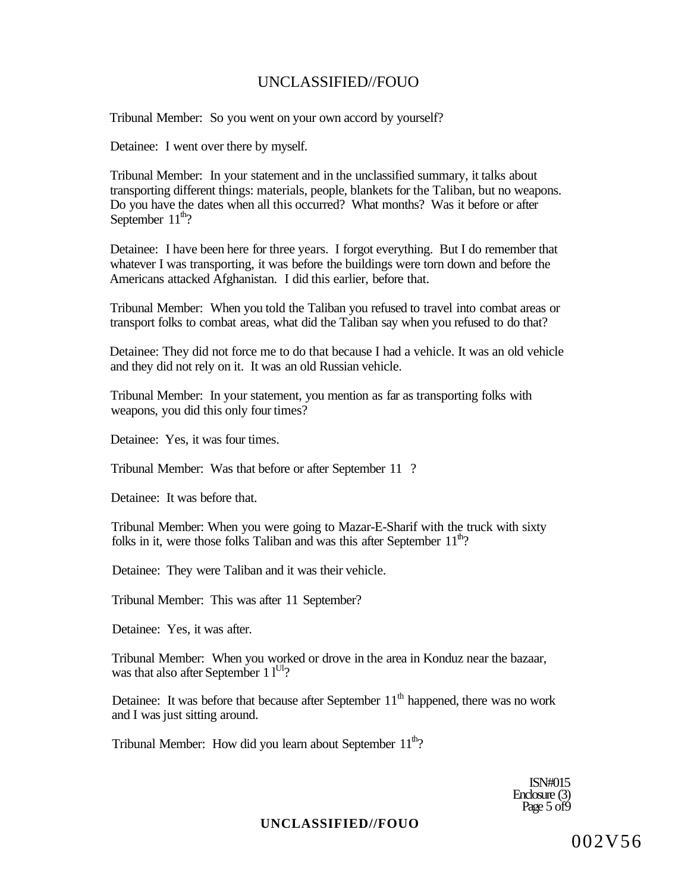Tribunal Member: So you went on your own accord by yourself?

Detainee: I went over there by myself.

Tribunal Member: In your statement and in the unclassified summary, it talks about transporting different things: materials, people, blankets for the Taliban, but no weapons. Do you have the dates when all this occurred? What months? Was it before or after September  $11^{\text{th}}$ ?

Detainee: I have been here for three years. I forgot everything. But I do remember that whatever I was transporting, it was before the buildings were torn down and before the Americans attacked Afghanistan. I did this earlier, before that.

Tribunal Member: When you told the Taliban you refused to travel into combat areas or transport folks to combat areas, what did the Taliban say when you refused to do that?

Detainee: They did not force me to do that because I had a vehicle. It was an old vehicle and they did not rely on it. It was an old Russian vehicle.

Tribunal Member: In your statement, you mention as far as transporting folks with weapons, you did this only four times?

Detainee: Yes, it was four times.

Tribunal Member: Was that before or after September 11 ?

Detainee: It was before that.

Tribunal Member: When you were going to Mazar-E-Sharif with the truck with sixty folks in it, were those folks Taliban and was this after September  $11<sup>th</sup>$ ?

Detainee: They were Taliban and it was their vehicle.

Tribunal Member: This was after 11 September?

Detainee: Yes, it was after.

Tribunal Member: When you worked or drove in the area in Konduz near the bazaar, was that also after September  $11^{U1}$ ?

Detainee: It was before that because after September  $11<sup>th</sup>$  happened, there was no work and I was just sitting around.

Tribunal Member: How did you learn about September  $11<sup>th</sup>$ ?

ISN#015 Enclosure (3) Page  $5$  of  $\overline{9}$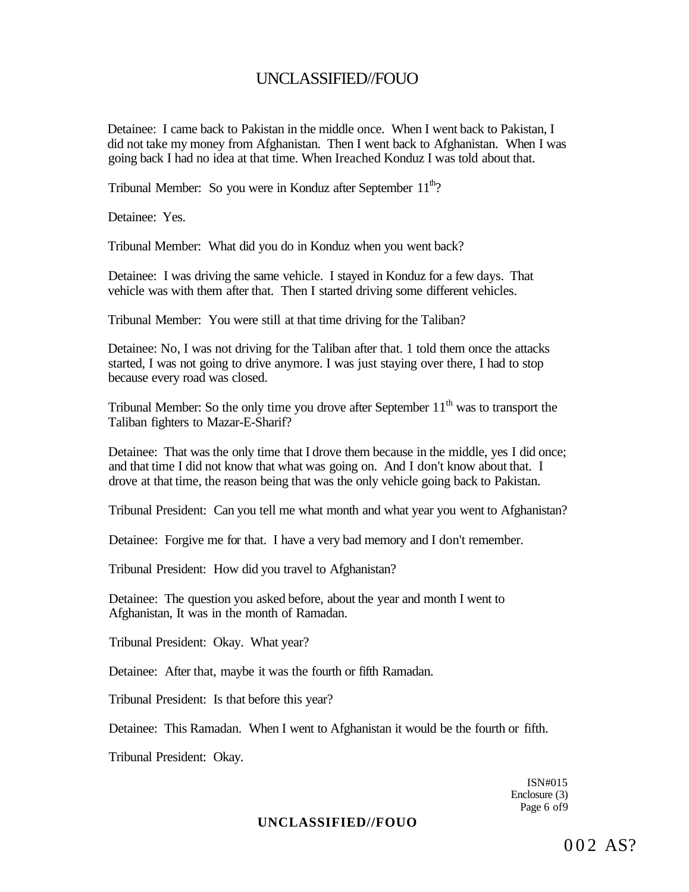Detainee: I came back to Pakistan in the middle once. When I went back to Pakistan, I did not take my money from Afghanistan. Then I went back to Afghanistan. When I was going back I had no idea at that time. When Ireached Konduz I was told about that.

Tribunal Member: So you were in Konduz after September  $11<sup>th</sup>$ ?

Detainee: Yes.

Tribunal Member: What did you do in Konduz when you went back?

Detainee: I was driving the same vehicle. I stayed in Konduz for a few days. That vehicle was with them after that. Then I started driving some different vehicles.

Tribunal Member: You were still at that time driving for the Taliban?

Detainee: No, I was not driving for the Taliban after that. 1 told them once the attacks started, I was not going to drive anymore. I was just staying over there, I had to stop because every road was closed.

Tribunal Member: So the only time you drove after September  $11<sup>th</sup>$  was to transport the Taliban fighters to Mazar-E-Sharif?

Detainee: That was the only time that I drove them because in the middle, yes I did once; and that time I did not know that what was going on. And I don't know about that. I drove at that time, the reason being that was the only vehicle going back to Pakistan.

Tribunal President: Can you tell me what month and what year you went to Afghanistan?

Detainee: Forgive me for that. I have a very bad memory and I don't remember.

Tribunal President: How did you travel to Afghanistan?

Detainee: The question you asked before, about the year and month I went to Afghanistan, It was in the month of Ramadan.

Tribunal President: Okay. What year?

Detainee: After that, maybe it was the fourth or fifth Ramadan.

Tribunal President: Is that before this year?

Detainee: This Ramadan. When I went to Afghanistan it would be the fourth or fifth.

Tribunal President: Okay.

ISN#015 Enclosure (3) Page 6 of 9

### **UNCLASSIFIED//FOUO**

002 AS?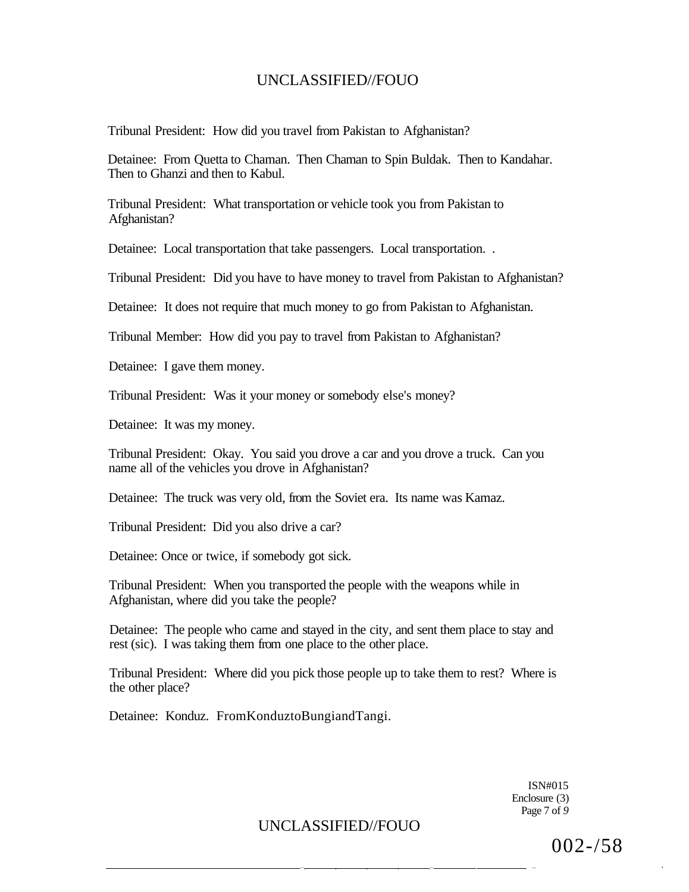Tribunal President: How did you travel from Pakistan to Afghanistan?

Detainee: From Quetta to Chaman. Then Chaman to Spin Buldak. Then to Kandahar. Then to Ghanzi and then to Kabul.

Tribunal President: What transportation or vehicle took you from Pakistan to Afghanistan?

Detainee: Local transportation that take passengers. Local transportation. .

Tribunal President: Did you have to have money to travel from Pakistan to Afghanistan?

Detainee: It does not require that much money to go from Pakistan to Afghanistan.

Tribunal Member: How did you pay to travel from Pakistan to Afghanistan?

Detainee: I gave them money.

Tribunal President: Was it your money or somebody else's money?

Detainee: It was my money.

Tribunal President: Okay. You said you drove a car and you drove a truck. Can you name all of the vehicles you drove in Afghanistan?

Detainee: The truck was very old, from the Soviet era. Its name was Kamaz.

Tribunal President: Did you also drive a car?

Detainee: Once or twice, if somebody got sick.

Tribunal President: When you transported the people with the weapons while in Afghanistan, where did you take the people?

Detainee: The people who came and stayed in the city, and sent them place to stay and rest (sic). I was taking them from one place to the other place.

Tribunal President: Where did you pick those people up to take them to rest? Where is the other place?

Detainee: Konduz. FromKonduztoBungiandTangi.

ISN#015 Enclosure (3) Page 7 of *9* 

— — . , — •

UNCLASSIFIED//FOUO

002-/58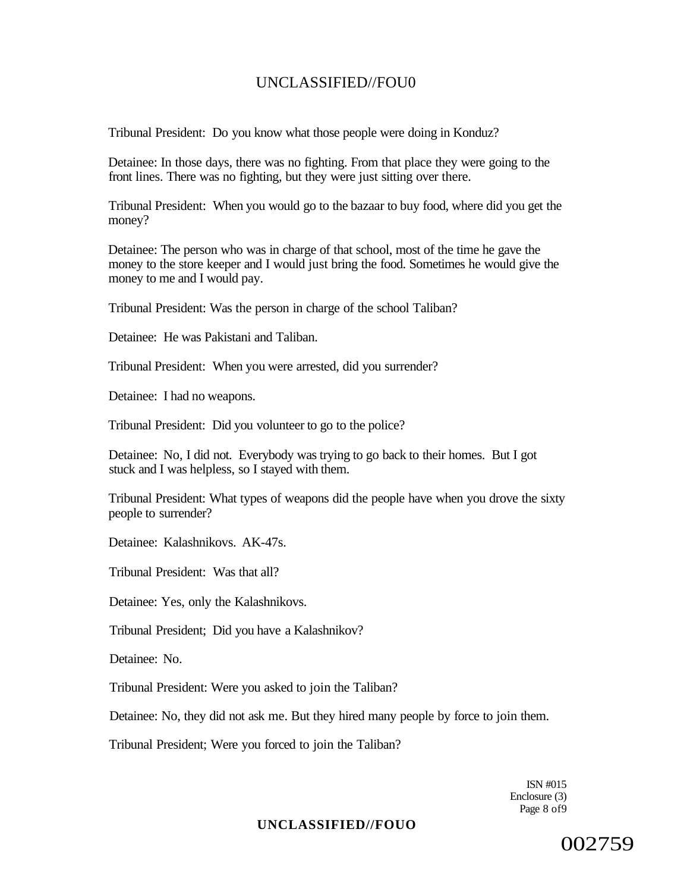Tribunal President: Do you know what those people were doing in Konduz?

Detainee: In those days, there was no fighting. From that place they were going to the front lines. There was no fighting, but they were just sitting over there.

Tribunal President: When you would go to the bazaar to buy food, where did you get the money?

Detainee: The person who was in charge of that school, most of the time he gave the money to the store keeper and I would just bring the food. Sometimes he would give the money to me and I would pay.

Tribunal President: Was the person in charge of the school Taliban?

Detainee: He was Pakistani and Taliban.

Tribunal President: When you were arrested, did you surrender?

Detainee: I had no weapons.

Tribunal President: Did you volunteer to go to the police?

Detainee: No, I did not. Everybody was trying to go back to their homes. But I got stuck and I was helpless, so I stayed with them.

Tribunal President: What types of weapons did the people have when you drove the sixty people to surrender?

Detainee: Kalashnikovs. AK-47s.

Tribunal President: Was that all?

Detainee: Yes, only the Kalashnikovs.

Tribunal President; Did you have a Kalashnikov?

Detainee: No.

Tribunal President: Were you asked to join the Taliban?

Detainee: No, they did not ask me. But they hired many people by force to join them.

Tribunal President; Were you forced to join the Taliban?

ISN #015 Enclosure (3) Page 8 of 9

### **UNCLASSIFIED//FOUO**

002759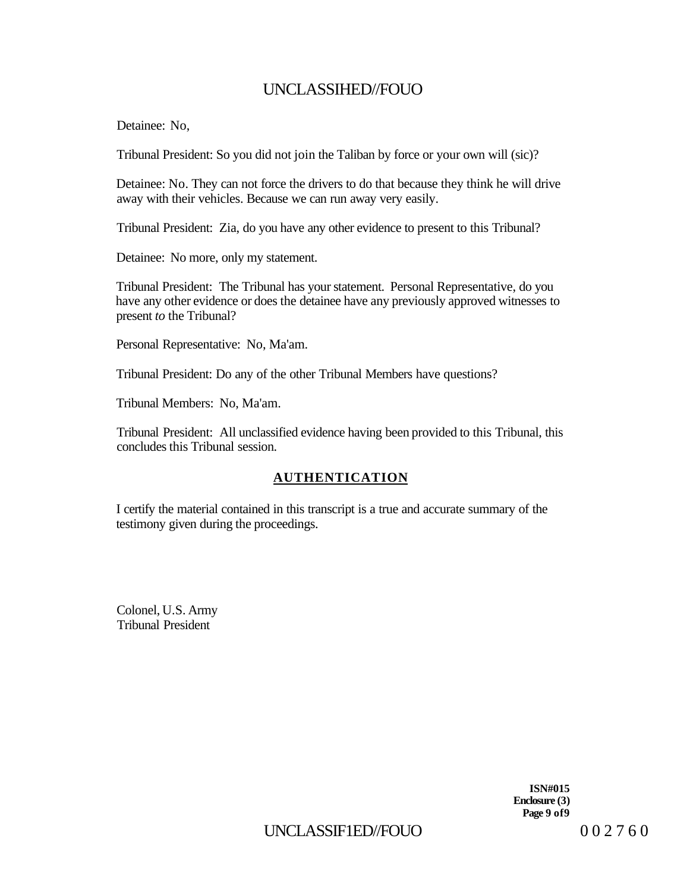Detainee: No,

Tribunal President: So you did not join the Taliban by force or your own will (sic)?

Detainee: No. They can not force the drivers to do that because they think he will drive away with their vehicles. Because we can run away very easily.

Tribunal President: Zia, do you have any other evidence to present to this Tribunal?

Detainee: No more, only my statement.

Tribunal President: The Tribunal has your statement. Personal Representative, do you have any other evidence or does the detainee have any previously approved witnesses to present *to* the Tribunal?

Personal Representative: No, Ma'am.

Tribunal President: Do any of the other Tribunal Members have questions?

Tribunal Members: No, Ma'am.

Tribunal President: All unclassified evidence having been provided to this Tribunal, this concludes this Tribunal session.

### **AUTHENTICATION**

I certify the material contained in this transcript is a true and accurate summary of the testimony given during the proceedings.

Colonel, U.S. Army Tribunal President

> **ISN#015 Enclosure (3) Page 9 of9**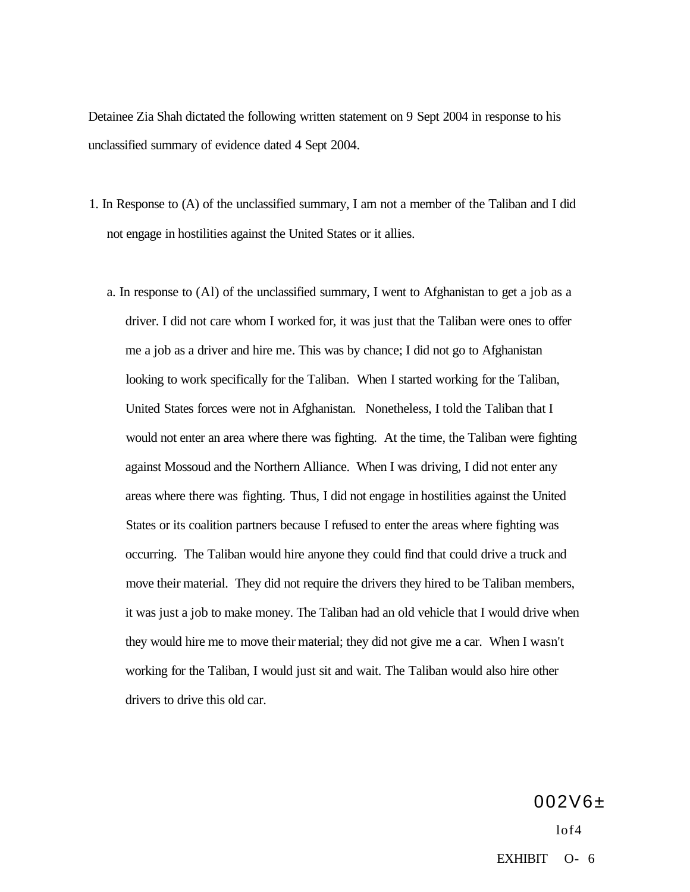Detainee Zia Shah dictated the following written statement on 9 Sept 2004 in response to his unclassified summary of evidence dated 4 Sept 2004.

- 1. In Response to (A) of the unclassified summary, I am not a member of the Taliban and I did not engage in hostilities against the United States or it allies.
	- a. In response to (Al) of the unclassified summary, I went to Afghanistan to get a job as a driver. I did not care whom I worked for, it was just that the Taliban were ones to offer me a job as a driver and hire me. This was by chance; I did not go to Afghanistan looking to work specifically for the Taliban. When I started working for the Taliban, United States forces were not in Afghanistan. Nonetheless, I told the Taliban that I would not enter an area where there was fighting. At the time, the Taliban were fighting against Mossoud and the Northern Alliance. When I was driving, I did not enter any areas where there was fighting. Thus, I did not engage in hostilities against the United States or its coalition partners because I refused to enter the areas where fighting was occurring. The Taliban would hire anyone they could find that could drive a truck and move their material. They did not require the drivers they hired to be Taliban members, it was just a job to make money. The Taliban had an old vehicle that I would drive when they would hire me to move their material; they did not give me a car. When I wasn't working for the Taliban, I would just sit and wait. The Taliban would also hire other drivers to drive this old car.

002V6±  $1<sub>0</sub>f<sub>4</sub>$ EXHIBIT O- 6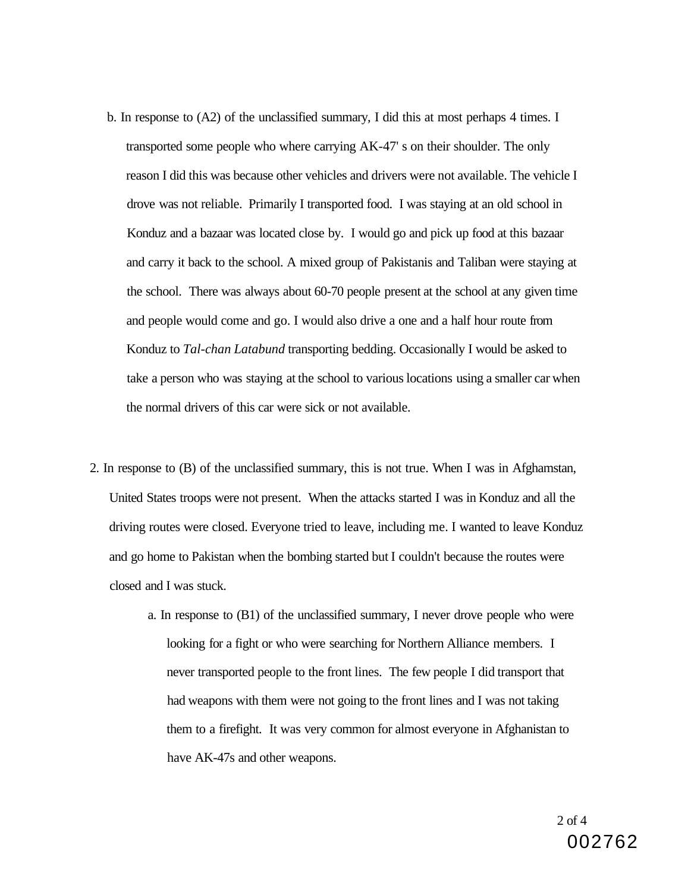- b. In response to (A2) of the unclassified summary, I did this at most perhaps 4 times. I transported some people who where carrying AK-47' s on their shoulder. The only reason I did this was because other vehicles and drivers were not available. The vehicle I drove was not reliable. Primarily I transported food. I was staying at an old school in Konduz and a bazaar was located close by. I would go and pick up food at this bazaar and carry it back to the school. A mixed group of Pakistanis and Taliban were staying at the school. There was always about 60-70 people present at the school at any given time and people would come and go. I would also drive a one and a half hour route from Konduz to *Tal-chan Latabund* transporting bedding. Occasionally I would be asked to take a person who was staying at the school to various locations using a smaller car when the normal drivers of this car were sick or not available.
- 2. In response to (B) of the unclassified summary, this is not true. When I was in Afghamstan, United States troops were not present. When the attacks started I was in Konduz and all the driving routes were closed. Everyone tried to leave, including me. I wanted to leave Konduz and go home to Pakistan when the bombing started but I couldn't because the routes were closed and I was stuck.
	- a. In response to (B1) of the unclassified summary, I never drove people who were looking for a fight or who were searching for Northern Alliance members. I never transported people to the front lines. The few people I did transport that had weapons with them were not going to the front lines and I was not taking them to a firefight. It was very common for almost everyone in Afghanistan to have AK-47s and other weapons.

2 of 4 002762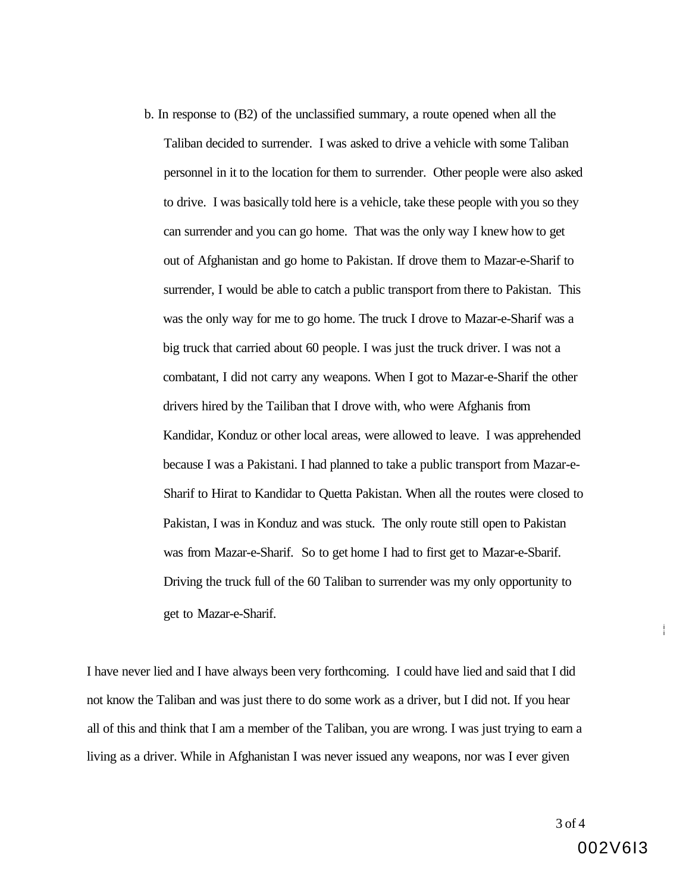b. In response to (B2) of the unclassified summary, a route opened when all the Taliban decided to surrender. I was asked to drive a vehicle with some Taliban personnel in it to the location for them to surrender. Other people were also asked to drive. I was basically told here is a vehicle, take these people with you so they can surrender and you can go home. That was the only way I knew how to get out of Afghanistan and go home to Pakistan. If drove them to Mazar-e-Sharif to surrender, I would be able to catch a public transport from there to Pakistan. This was the only way for me to go home. The truck I drove to Mazar-e-Sharif was a big truck that carried about 60 people. I was just the truck driver. I was not a combatant, I did not carry any weapons. When I got to Mazar-e-Sharif the other drivers hired by the Tailiban that I drove with, who were Afghanis from Kandidar, Konduz or other local areas, were allowed to leave. I was apprehended because I was a Pakistani. I had planned to take a public transport from Mazar-e-Sharif to Hirat to Kandidar to Quetta Pakistan. When all the routes were closed to Pakistan, I was in Konduz and was stuck. The only route still open to Pakistan was from Mazar-e-Sharif. So to get home I had to first get to Mazar-e-Sbarif. Driving the truck full of the 60 Taliban to surrender was my only opportunity to get to Mazar-e-Sharif.

I have never lied and I have always been very forthcoming. I could have lied and said that I did not know the Taliban and was just there to do some work as a driver, but I did not. If you hear all of this and think that I am a member of the Taliban, you are wrong. I was just trying to earn a living as a driver. While in Afghanistan I was never issued any weapons, nor was I ever given

i i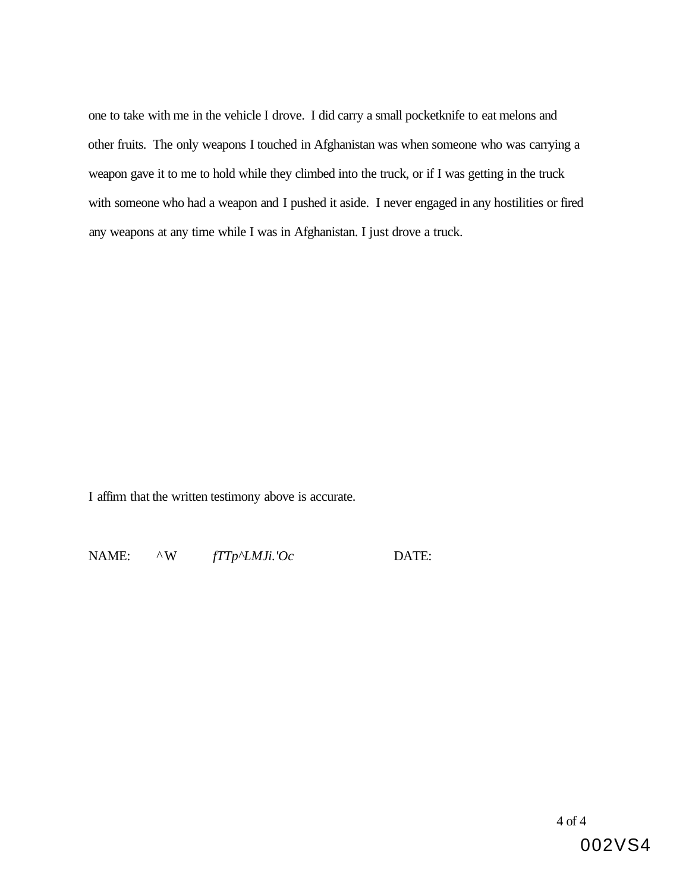one to take with me in the vehicle I drove. I did carry a small pocketknife to eat melons and other fruits. The only weapons I touched in Afghanistan was when someone who was carrying a weapon gave it to me to hold while they climbed into the truck, or if I was getting in the truck with someone who had a weapon and I pushed it aside. I never engaged in any hostilities or fired any weapons at any time while I was in Afghanistan. I just drove a truck.

I affirm that the written testimony above is accurate.

NAME: ^W *fTTp^LMJi.'Oc* DATE:

4 of 4

002VS4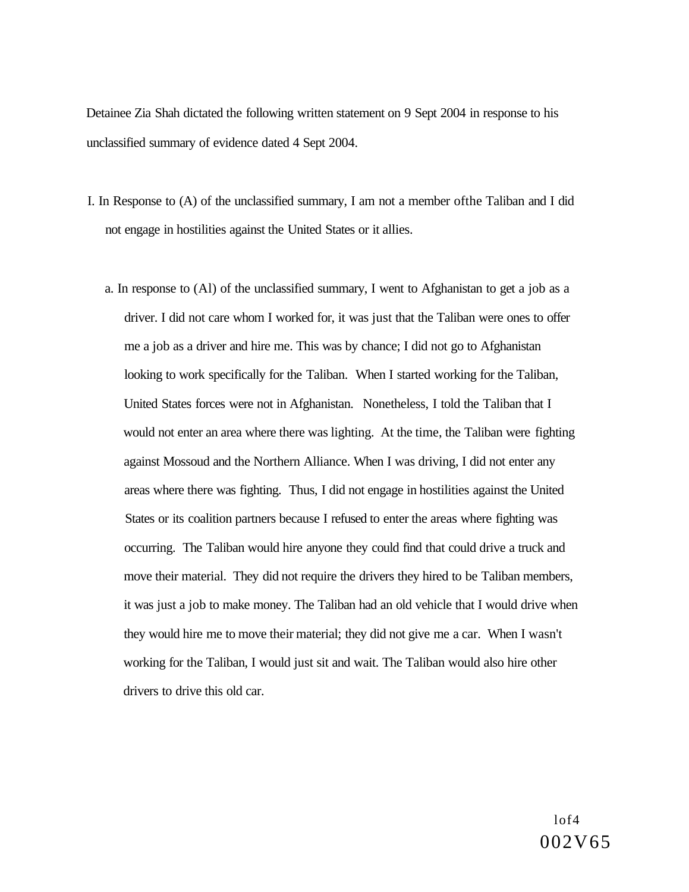Detainee Zia Shah dictated the following written statement on 9 Sept 2004 in response to his unclassified summary of evidence dated 4 Sept 2004.

- I. In Response to (A) of the unclassified summary, I am not a member ofthe Taliban and I did not engage in hostilities against the United States or it allies.
	- a. In response to (Al) of the unclassified summary, I went to Afghanistan to get a job as a driver. I did not care whom I worked for, it was just that the Taliban were ones to offer me a job as a driver and hire me. This was by chance; I did not go to Afghanistan looking to work specifically for the Taliban. When I started working for the Taliban, United States forces were not in Afghanistan. Nonetheless, I told the Taliban that I would not enter an area where there was lighting. At the time, the Taliban were fighting against Mossoud and the Northern Alliance. When I was driving, I did not enter any areas where there was fighting. Thus, I did not engage in hostilities against the United States or its coalition partners because I refused to enter the areas where fighting was occurring. The Taliban would hire anyone they could find that could drive a truck and move their material. They did not require the drivers they hired to be Taliban members, it was just a job to make money. The Taliban had an old vehicle that I would drive when they would hire me to move their material; they did not give me a car. When I wasn't working for the Taliban, I would just sit and wait. The Taliban would also hire other drivers to drive this old car.

 $1<sub>0</sub>f<sub>4</sub>$ 002V65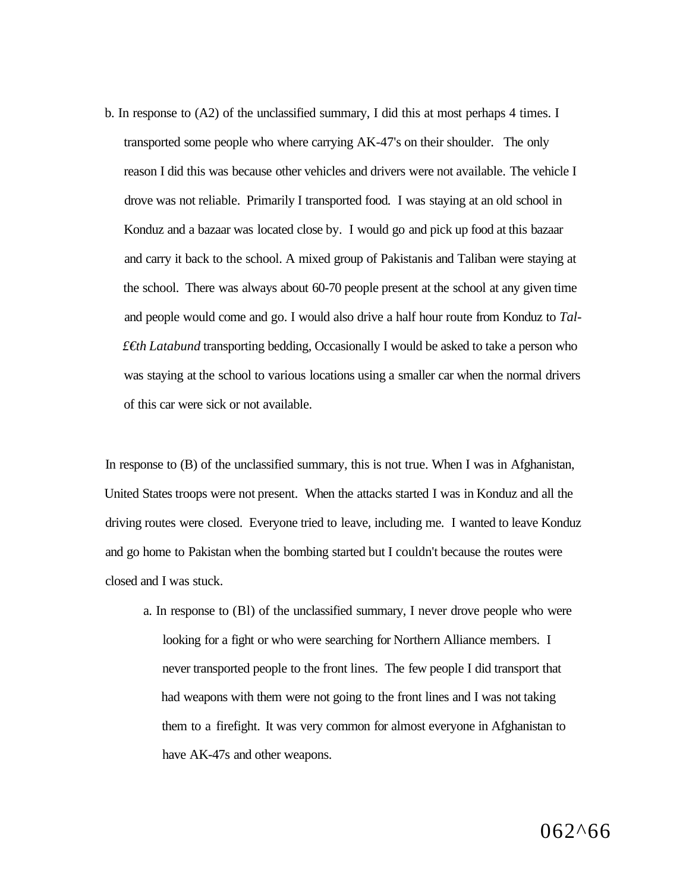b. In response to (A2) of the unclassified summary, I did this at most perhaps 4 times. I transported some people who where carrying AK-47's on their shoulder. The only reason I did this was because other vehicles and drivers were not available. The vehicle I drove was not reliable. Primarily I transported food. I was staying at an old school in Konduz and a bazaar was located close by. I would go and pick up food at this bazaar and carry it back to the school. A mixed group of Pakistanis and Taliban were staying at the school. There was always about 60-70 people present at the school at any given time and people would come and go. I would also drive a half hour route from Konduz to *Tal- £€th Latabund* transporting bedding, Occasionally I would be asked to take a person who was staying at the school to various locations using a smaller car when the normal drivers of this car were sick or not available.

In response to (B) of the unclassified summary, this is not true. When I was in Afghanistan, United States troops were not present. When the attacks started I was in Konduz and all the driving routes were closed. Everyone tried to leave, including me. I wanted to leave Konduz and go home to Pakistan when the bombing started but I couldn't because the routes were closed and I was stuck.

a. In response to (Bl) of the unclassified summary, I never drove people who were looking for a fight or who were searching for Northern Alliance members. I never transported people to the front lines. The few people I did transport that had weapons with them were not going to the front lines and I was not taking them to a firefight. It was very common for almost everyone in Afghanistan to have AK-47s and other weapons.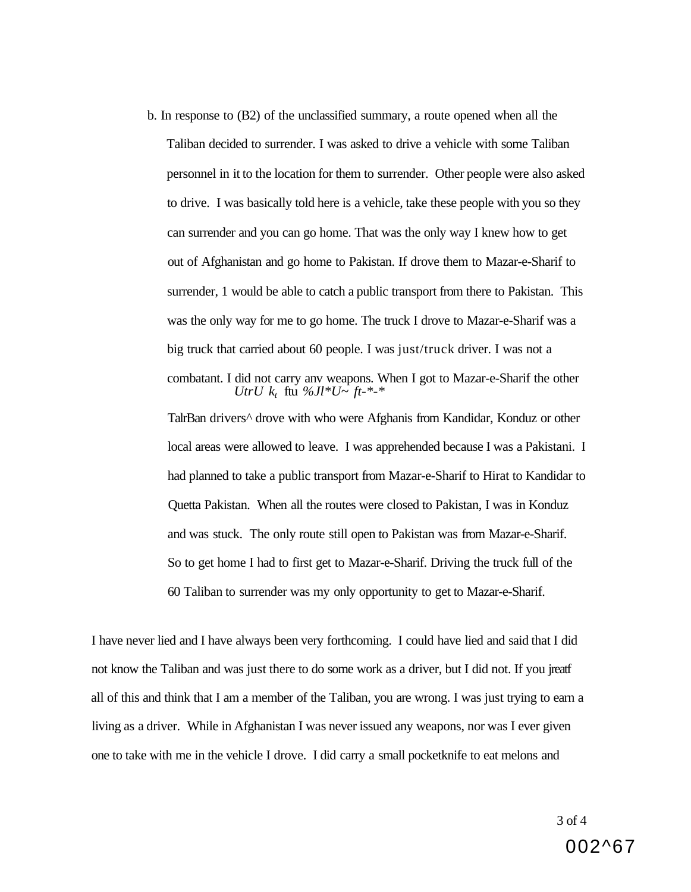b. In response to (B2) of the unclassified summary, a route opened when all the Taliban decided to surrender. I was asked to drive a vehicle with some Taliban personnel in it to the location for them to surrender. Other people were also asked to drive. I was basically told here is a vehicle, take these people with you so they can surrender and you can go home. That was the only way I knew how to get out of Afghanistan and go home to Pakistan. If drove them to Mazar-e-Sharif to surrender, 1 would be able to catch a public transport from there to Pakistan. This was the only way for me to go home. The truck I drove to Mazar-e-Sharif was a big truck that carried about 60 people. I was just/truck driver. I was not a combatant. I did not carry anv weapons. When I got to Mazar-e-Sharif the other *UtrU*  $k_t$  ftu %*Jl*\**U*~ *ft*-\*-\* TalrBan drivers^ drove with who were Afghanis from Kandidar, Konduz or other

local areas were allowed to leave. I was apprehended because I was a Pakistani. I had planned to take a public transport from Mazar-e-Sharif to Hirat to Kandidar to Quetta Pakistan. When all the routes were closed to Pakistan, I was in Konduz and was stuck. The only route still open to Pakistan was from Mazar-e-Sharif. So to get home I had to first get to Mazar-e-Sharif. Driving the truck full of the 60 Taliban to surrender was my only opportunity to get to Mazar-e-Sharif.

I have never lied and I have always been very forthcoming. I could have lied and said that I did not know the Taliban and was just there to do some work as a driver, but I did not. If you jreatf all of this and think that I am a member of the Taliban, you are wrong. I was just trying to earn a living as a driver. While in Afghanistan I was never issued any weapons, nor was I ever given one to take with me in the vehicle I drove. I did carry a small pocketknife to eat melons and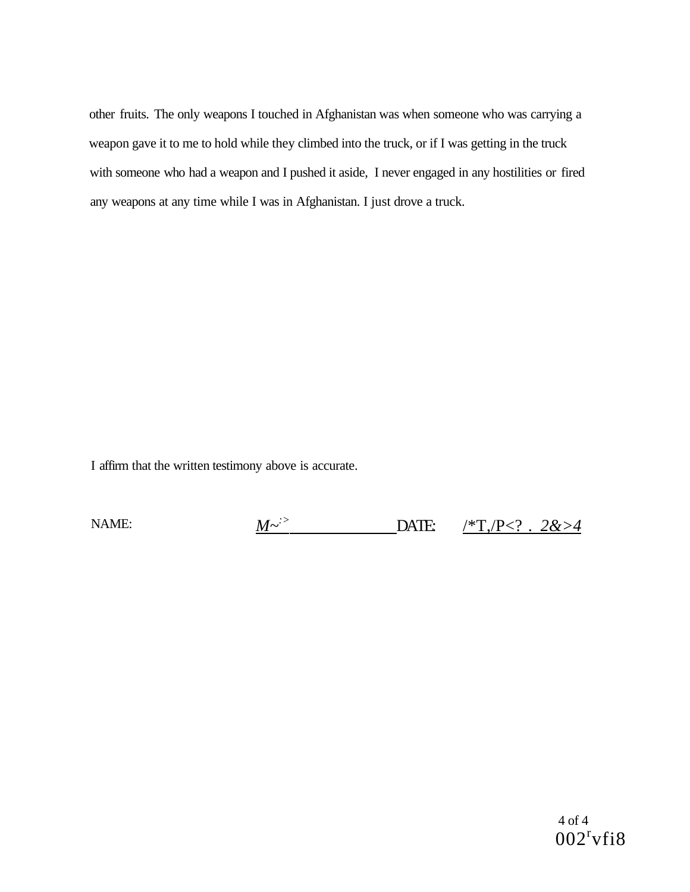other fruits. The only weapons I touched in Afghanistan was when someone who was carrying a weapon gave it to me to hold while they climbed into the truck, or if I was getting in the truck with someone who had a weapon and I pushed it aside, I never engaged in any hostilities or fired any weapons at any time while I was in Afghanistan. I just drove a truck.

I affirm that the written testimony above is accurate.

NAME: *M~:>* DATE: /\*T,/P<? *. 2&>4*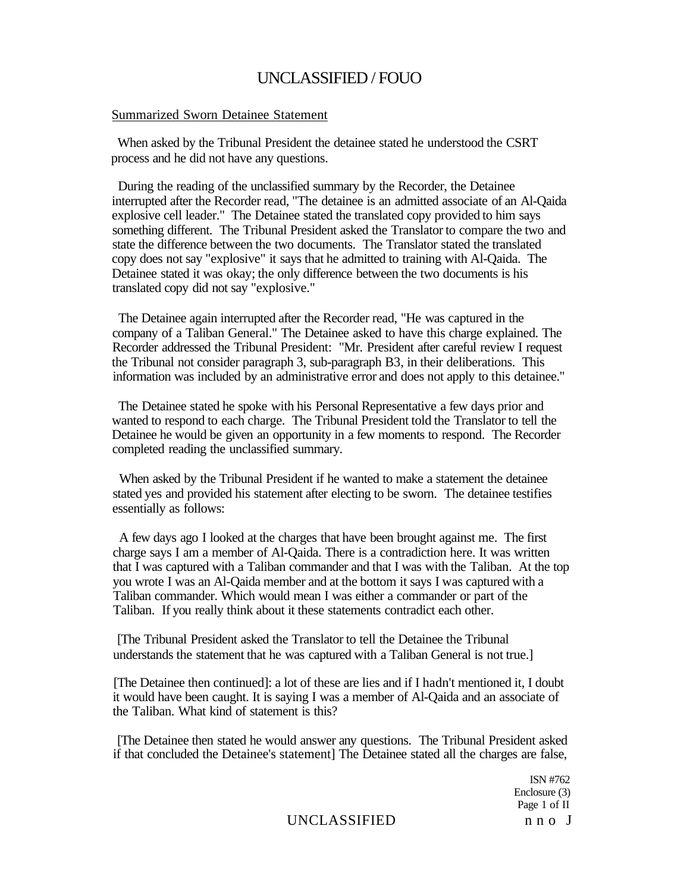#### Summarized Sworn Detainee Statement

When asked by the Tribunal President the detainee stated he understood the CSRT process and he did not have any questions.

During the reading of the unclassified summary by the Recorder, the Detainee interrupted after the Recorder read, "The detainee is an admitted associate of an Al-Qaida explosive cell leader." The Detainee stated the translated copy provided to him says something different. The Tribunal President asked the Translator to compare the two and state the difference between the two documents. The Translator stated the translated copy does not say "explosive" it says that he admitted to training with Al-Qaida. The Detainee stated it was okay; the only difference between the two documents is his translated copy did not say "explosive."

The Detainee again interrupted after the Recorder read, "He was captured in the company of a Taliban General." The Detainee asked to have this charge explained. The Recorder addressed the Tribunal President: "Mr. President after careful review I request the Tribunal not consider paragraph 3, sub-paragraph B3, in their deliberations. This information was included by an administrative error and does not apply to this detainee."

The Detainee stated he spoke with his Personal Representative a few days prior and wanted to respond to each charge. The Tribunal President told the Translator to tell the Detainee he would be given an opportunity in a few moments to respond. The Recorder completed reading the unclassified summary.

When asked by the Tribunal President if he wanted to make a statement the detainee stated yes and provided his statement after electing to be sworn. The detainee testifies essentially as follows:

A few days ago I looked at the charges that have been brought against me. The first charge says I am a member of Al-Qaida. There is a contradiction here. It was written that I was captured with a Taliban commander and that I was with the Taliban. At the top you wrote I was an Al-Qaida member and at the bottom it says I was captured with a Taliban commander. Which would mean I was either a commander or part of the Taliban. If you really think about it these statements contradict each other.

[The Tribunal President asked the Translator to tell the Detainee the Tribunal understands the statement that he was captured with a Taliban General is not true.]

[The Detainee then continued]: a lot of these are lies and if I hadn't mentioned it, I doubt it would have been caught. It is saying I was a member of Al-Qaida and an associate of the Taliban. What kind of statement is this?

[The Detainee then stated he would answer any questions. The Tribunal President asked if that concluded the Detainee's statement] The Detainee stated all the charges are false,

> ISN #762 Enclosure (3) Page 1 of II

#### UNCLASSIFIED nn o J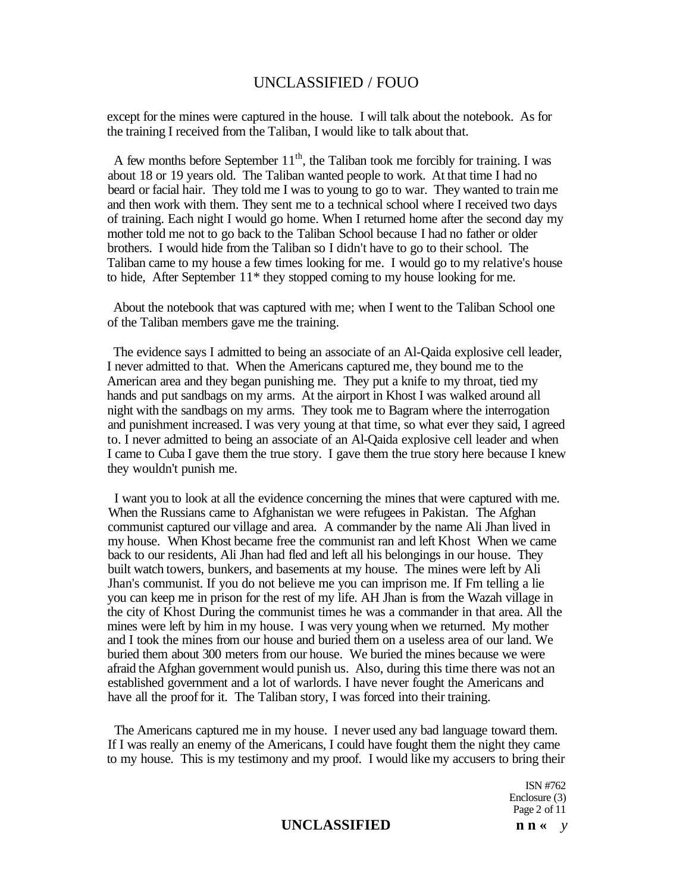except for the mines were captured in the house. I will talk about the notebook. As for the training I received from the Taliban, I would like to talk about that.

A few months before September  $11<sup>th</sup>$ , the Taliban took me forcibly for training. I was about 18 or 19 years old. The Taliban wanted people to work. At that time I had no beard or facial hair. They told me I was to young to go to war. They wanted to train me and then work with them. They sent me to a technical school where I received two days of training. Each night I would go home. When I returned home after the second day my mother told me not to go back to the Taliban School because I had no father or older brothers. I would hide from the Taliban so I didn't have to go to their school. The Taliban came to my house a few times looking for me. I would go to my relative's house to hide, After September 11\* they stopped coming to my house looking for me.

About the notebook that was captured with me; when I went to the Taliban School one of the Taliban members gave me the training.

The evidence says I admitted to being an associate of an Al-Qaida explosive cell leader, I never admitted to that. When the Americans captured me, they bound me to the American area and they began punishing me. They put a knife to my throat, tied my hands and put sandbags on my arms. At the airport in Khost I was walked around all night with the sandbags on my arms. They took me to Bagram where the interrogation and punishment increased. I was very young at that time, so what ever they said, I agreed to. I never admitted to being an associate of an Al-Qaida explosive cell leader and when I came to Cuba I gave them the true story. I gave them the true story here because I knew they wouldn't punish me.

I want you to look at all the evidence concerning the mines that were captured with me. When the Russians came to Afghanistan we were refugees in Pakistan. The Afghan communist captured our village and area. A commander by the name Ali Jhan lived in my house. When Khost became free the communist ran and left Khost When we came back to our residents, Ali Jhan had fled and left all his belongings in our house. They built watch towers, bunkers, and basements at my house. The mines were left by Ali Jhan's communist. If you do not believe me you can imprison me. If Fm telling a lie you can keep me in prison for the rest of my life. AH Jhan is from the Wazah village in the city of Khost During the communist times he was a commander in that area. All the mines were left by him in my house. I was very young when we returned. My mother and I took the mines from our house and buried them on a useless area of our land. We buried them about 300 meters from our house. We buried the mines because we were afraid the Afghan government would punish us. Also, during this time there was not an established government and a lot of warlords. I have never fought the Americans and have all the proof for it. The Taliban story, I was forced into their training.

The Americans captured me in my house. I never used any bad language toward them. If I was really an enemy of the Americans, I could have fought them the night they came to my house. This is my testimony and my proof. I would like my accusers to bring their

> ISN #762 Enclosure (3) Page 2 of 11

#### **UNCLASSIFIED nn**  $\alpha$  *y*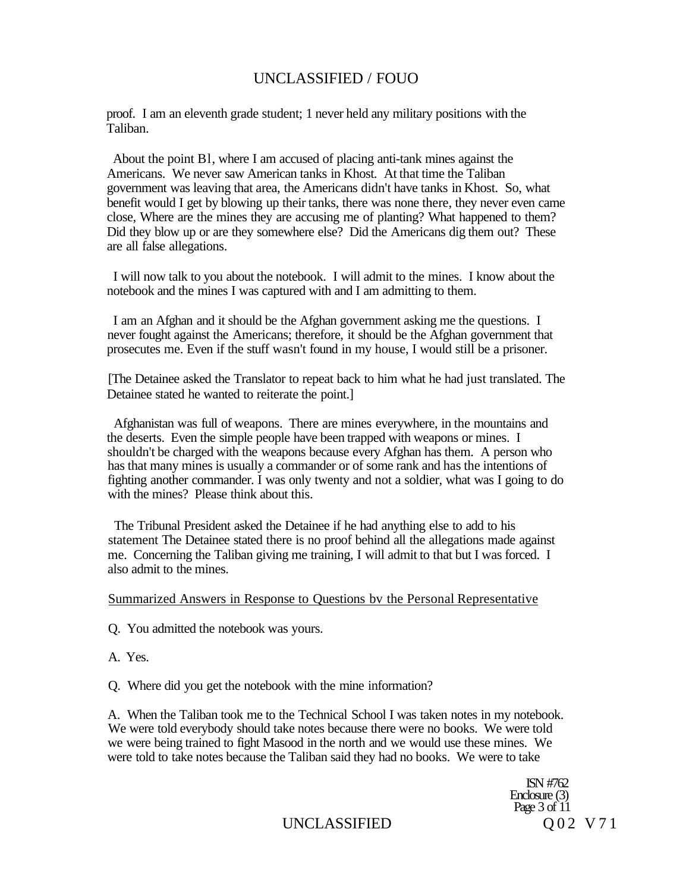proof. I am an eleventh grade student; 1 never held any military positions with the Taliban.

About the point Bl, where I am accused of placing anti-tank mines against the Americans. We never saw American tanks in Khost. At that time the Taliban government was leaving that area, the Americans didn't have tanks in Khost. So, what benefit would I get by blowing up their tanks, there was none there, they never even came close, Where are the mines they are accusing me of planting? What happened to them? Did they blow up or are they somewhere else? Did the Americans dig them out? These are all false allegations.

I will now talk to you about the notebook. I will admit to the mines. I know about the notebook and the mines I was captured with and I am admitting to them.

I am an Afghan and it should be the Afghan government asking me the questions. I never fought against the Americans; therefore, it should be the Afghan government that prosecutes me. Even if the stuff wasn't found in my house, I would still be a prisoner.

[The Detainee asked the Translator to repeat back to him what he had just translated. The Detainee stated he wanted to reiterate the point.]

Afghanistan was full of weapons. There are mines everywhere, in the mountains and the deserts. Even the simple people have been trapped with weapons or mines. I shouldn't be charged with the weapons because every Afghan has them. A person who has that many mines is usually a commander or of some rank and has the intentions of fighting another commander. I was only twenty and not a soldier, what was I going to do with the mines? Please think about this.

The Tribunal President asked the Detainee if he had anything else to add to his statement The Detainee stated there is no proof behind all the allegations made against me. Concerning the Taliban giving me training, I will admit to that but I was forced. I also admit to the mines.

#### Summarized Answers in Response to Questions bv the Personal Representative

Q. You admitted the notebook was yours.

A. Yes.

Q. Where did you get the notebook with the mine information?

A. When the Taliban took me to the Technical School I was taken notes in my notebook. We were told everybody should take notes because there were no books. We were told we were being trained to fight Masood in the north and we would use these mines. We were told to take notes because the Taliban said they had no books. We were to take

> ISN #762 Enclosure (3) Page  $3$  of  $11$

UNCLASSIFIED Q02 V71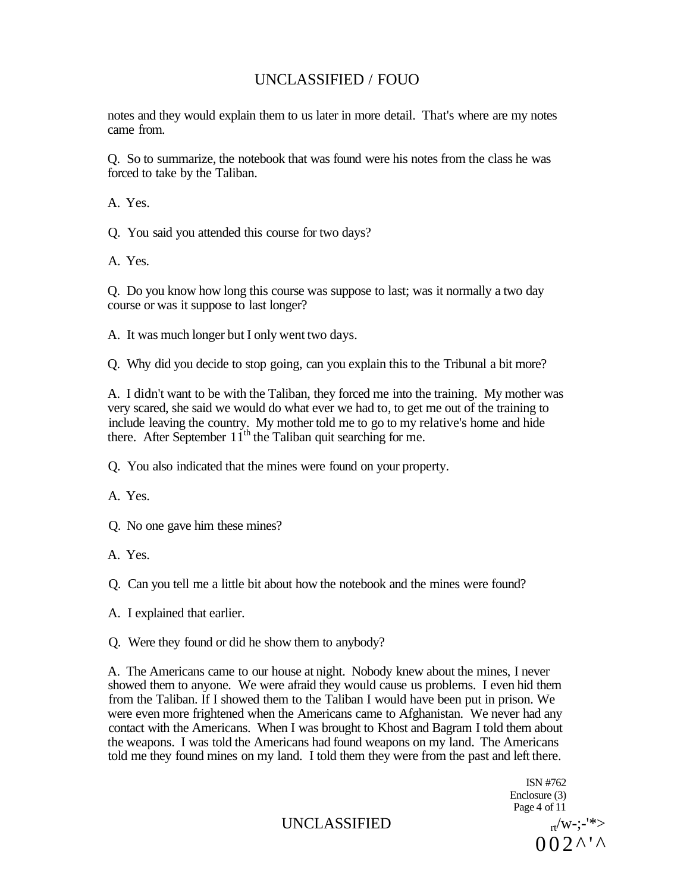notes and they would explain them to us later in more detail. That's where are my notes came from.

Q. So to summarize, the notebook that was found were his notes from the class he was forced to take by the Taliban.

A. Yes.

Q. You said you attended this course for two days?

A. Yes.

Q. Do you know how long this course was suppose to last; was it normally a two day course or was it suppose to last longer?

A. It was much longer but I only went two days.

Q. Why did you decide to stop going, can you explain this to the Tribunal a bit more?

A. I didn't want to be with the Taliban, they forced me into the training. My mother was very scared, she said we would do what ever we had to, to get me out of the training to include leaving the country. My mother told me to go to my relative's home and hide there. After September  $11<sup>th</sup>$  the Taliban quit searching for me.

Q. You also indicated that the mines were found on your property.

A. Yes.

Q. No one gave him these mines?

A. Yes.

Q. Can you tell me a little bit about how the notebook and the mines were found?

A. I explained that earlier.

Q. Were they found or did he show them to anybody?

A. The Americans came to our house at night. Nobody knew about the mines, I never showed them to anyone. We were afraid they would cause us problems. I even hid them from the Taliban. If I showed them to the Taliban I would have been put in prison. We were even more frightened when the Americans came to Afghanistan. We never had any contact with the Americans. When I was brought to Khost and Bagram I told them about the weapons. I was told the Americans had found weapons on my land. The Americans told me they found mines on my land. I told them they were from the past and left there.

> ISN #762 Enclosure (3) Page 4 of 11  $002^{\lambda' \lambda}$

UNCLASSIFIED  $_{\text{tr}}/\text{w-}$ ;-'\*>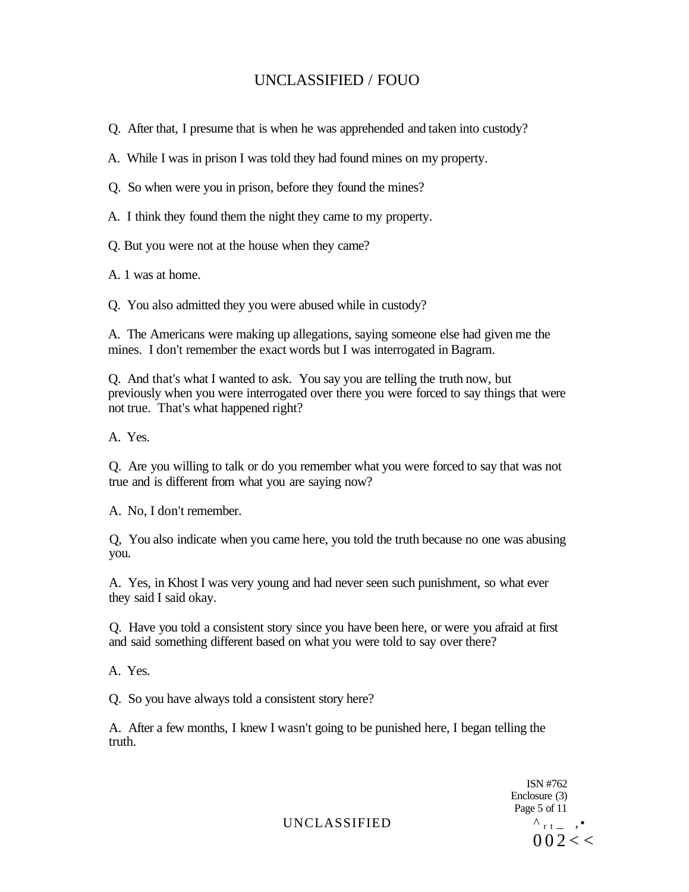Q. After that, I presume that is when he was apprehended and taken into custody?

A. While I was in prison I was told they had found mines on my property.

Q. So when were you in prison, before they found the mines?

A. I think they found them the night they came to my property.

Q. But you were not at the house when they came?

A. 1 was at home.

Q. You also admitted they you were abused while in custody?

A. The Americans were making up allegations, saying someone else had given me the mines. I don't remember the exact words but I was interrogated in Bagram.

Q. And that's what I wanted to ask. You say you are telling the truth now, but previously when you were interrogated over there you were forced to say things that were not true. That's what happened right?

A. Yes.

Q. Are you willing to talk or do you remember what you were forced to say that was not true and is different from what you are saying now?

A. No, I don't remember.

Q, You also indicate when you came here, you told the truth because no one was abusing you.

A. Yes, in Khost I was very young and had never seen such punishment, so what ever they said I said okay.

Q. Have you told a consistent story since you have been here, or were you afraid at first and said something different based on what you were told to say over there?

A. Yes.

Q. So you have always told a consistent story here?

A. After a few months, I knew I wasn't going to be punished here, I began telling the truth.

> ISN #762 Enclosure (3) Page 5 of 11  $0.02 < \, <$

UNCLASSIFIED  $^{\wedge}$  r t  $^-$  ,  $^{\bullet}$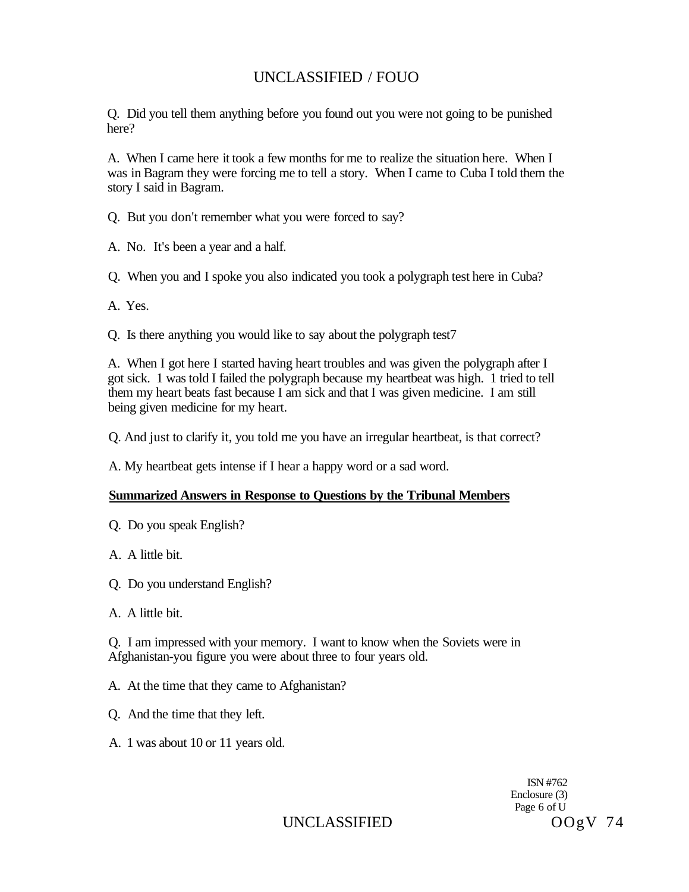Q. Did you tell them anything before you found out you were not going to be punished here?

A. When I came here it took a few months for me to realize the situation here. When I was in Bagram they were forcing me to tell a story. When I came to Cuba I told them the story I said in Bagram.

Q. But you don't remember what you were forced to say?

A. No. It's been a year and a half.

Q. When you and I spoke you also indicated you took a polygraph test here in Cuba?

A. Yes.

Q. Is there anything you would like to say about the polygraph test7

A. When I got here I started having heart troubles and was given the polygraph after I got sick. 1 was told I failed the polygraph because my heartbeat was high. 1 tried to tell them my heart beats fast because I am sick and that I was given medicine. I am still being given medicine for my heart.

Q. And just to clarify it, you told me you have an irregular heartbeat, is that correct?

A. My heartbeat gets intense if I hear a happy word or a sad word.

#### **Summarized Answers in Response to Questions by the Tribunal Members**

- Q. Do you speak English?
- A. A little bit.
- Q. Do you understand English?
- A. A little bit.

Q. I am impressed with your memory. I want to know when the Soviets were in Afghanistan-you figure you were about three to four years old.

- A. At the time that they came to Afghanistan?
- Q. And the time that they left.
- A. 1 was about 10 or 11 years old.

ISN #762 Enclosure (3) Page 6 of U

UNCLASSIFIED OOgV 74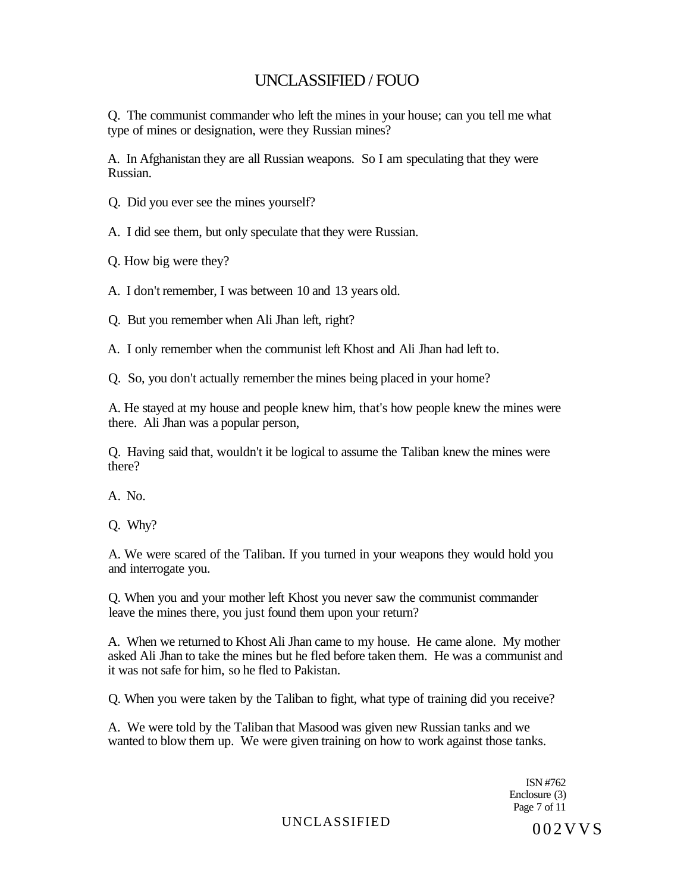Q. The communist commander who left the mines in your house; can you tell me what type of mines or designation, were they Russian mines?

A. In Afghanistan they are all Russian weapons. So I am speculating that they were Russian.

Q. Did you ever see the mines yourself?

A. I did see them, but only speculate that they were Russian.

Q. How big were they?

A. I don't remember, I was between 10 and 13 years old.

Q. But you remember when Ali Jhan left, right?

A. I only remember when the communist left Khost and Ali Jhan had left to.

Q. So, you don't actually remember the mines being placed in your home?

A. He stayed at my house and people knew him, that's how people knew the mines were there. Ali Jhan was a popular person,

Q. Having said that, wouldn't it be logical to assume the Taliban knew the mines were there?

A. No.

Q. Why?

A. We were scared of the Taliban. If you turned in your weapons they would hold you and interrogate you.

Q. When you and your mother left Khost you never saw the communist commander leave the mines there, you just found them upon your return?

A. When we returned to Khost Ali Jhan came to my house. He came alone. My mother asked Ali Jhan to take the mines but he fled before taken them. He was a communist and it was not safe for him, so he fled to Pakistan.

Q. When you were taken by the Taliban to fight, what type of training did you receive?

A. We were told by the Taliban that Masood was given new Russian tanks and we wanted to blow them up. We were given training on how to work against those tanks.

> ISN #762 Enclosure (3) Page 7 of 11

# UNCLASSIFIED 002VVS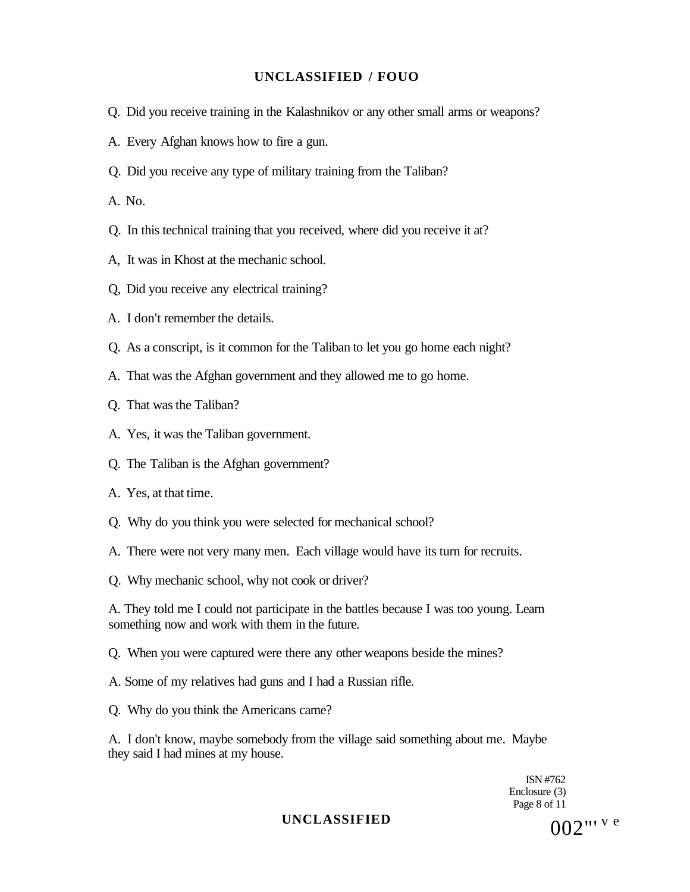- Q. Did you receive training in the Kalashnikov or any other small arms or weapons?
- A. Every Afghan knows how to fire a gun.
- Q. Did you receive any type of military training from the Taliban?

A. No.

- Q. In this technical training that you received, where did you receive it at?
- A, It was in Khost at the mechanic school.
- Q, Did you receive any electrical training?
- A. I don't remember the details.
- Q. As a conscript, is it common for the Taliban to let you go home each night?
- A. That was the Afghan government and they allowed me to go home.
- Q. That was the Taliban?
- A. Yes, it was the Taliban government.
- Q. The Taliban is the Afghan government?
- A. Yes, at that time.
- Q. Why do you think you were selected for mechanical school?
- A. There were not very many men. Each village would have its turn for recruits.
- Q. Why mechanic school, why not cook or driver?

A. They told me I could not participate in the battles because I was too young. Learn something now and work with them in the future.

- Q. When you were captured were there any other weapons beside the mines?
- A. Some of my relatives had guns and I had a Russian rifle.
- Q. Why do you think the Americans came?

A. I don't know, maybe somebody from the village said something about me. Maybe they said I had mines at my house.

> ISN #762 Enclosure (3) Page 8 of 11

UNCLASSIFIED  $002$ "' <sup>v e</sup>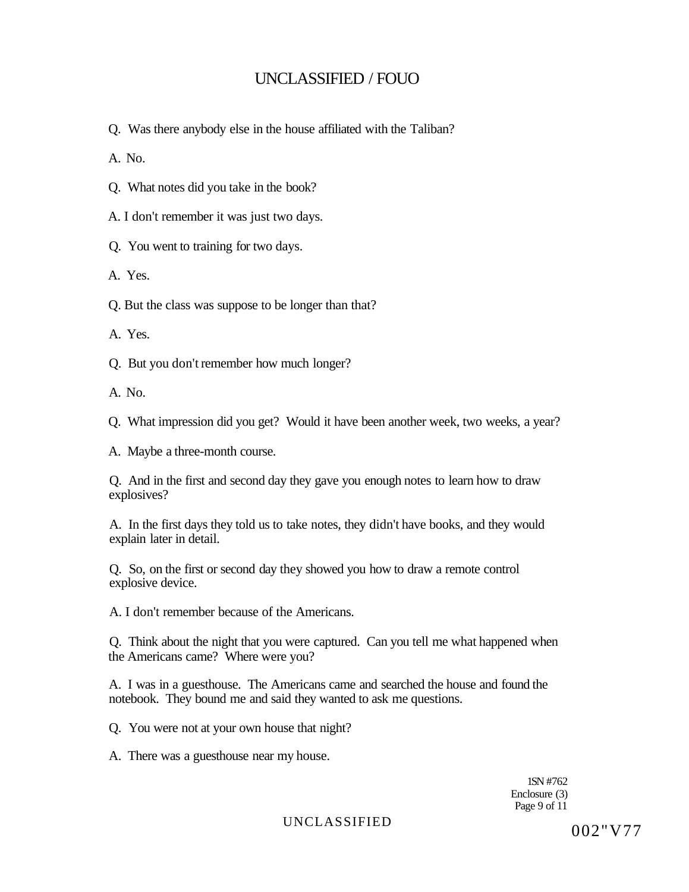Q. Was there anybody else in the house affiliated with the Taliban?

A. No.

Q. What notes did you take in the book?

A. I don't remember it was just two days.

Q. You went to training for two days.

A. Yes.

Q. But the class was suppose to be longer than that?

A. Yes.

Q. But you don't remember how much longer?

A. No.

Q. What impression did you get? Would it have been another week, two weeks, a year?

A. Maybe a three-month course.

Q. And in the first and second day they gave you enough notes to learn how to draw explosives?

A. In the first days they told us to take notes, they didn't have books, and they would explain later in detail.

Q. So, on the first or second day they showed you how to draw a remote control explosive device.

A. I don't remember because of the Americans.

Q. Think about the night that you were captured. Can you tell me what happened when the Americans came? Where were you?

A. I was in a guesthouse. The Americans came and searched the house and found the notebook. They bound me and said they wanted to ask me questions.

Q. You were not at your own house that night?

A. There was a guesthouse near my house.

1SN #762 Enclosure (3) Page 9 of 11

UNCLASSIFIED 002"V77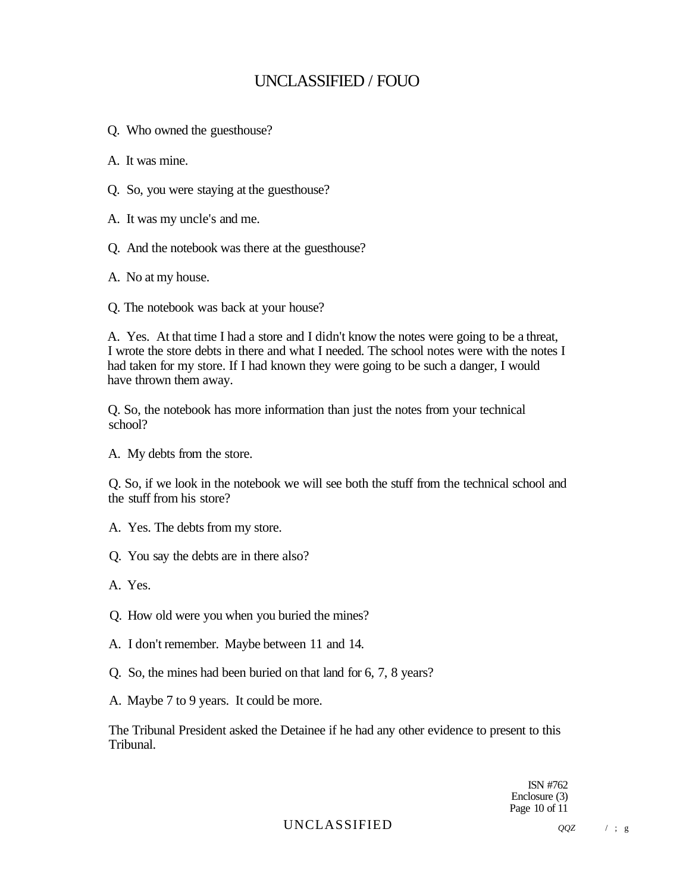Q. Who owned the guesthouse?

A. It was mine.

- Q. So, you were staying at the guesthouse?
- A. It was my uncle's and me.
- Q. And the notebook was there at the guesthouse?

A. No at my house.

Q. The notebook was back at your house?

A. Yes. At that time I had a store and I didn't know the notes were going to be a threat, I wrote the store debts in there and what I needed. The school notes were with the notes I had taken for my store. If I had known they were going to be such a danger, I would have thrown them away.

Q. So, the notebook has more information than just the notes from your technical school?

A. My debts from the store.

Q. So, if we look in the notebook we will see both the stuff from the technical school and the stuff from his store?

- A. Yes. The debts from my store.
- Q. You say the debts are in there also?
- A. Yes.
- Q. How old were you when you buried the mines?
- A. I don't remember. Maybe between 11 and 14.
- Q. So, the mines had been buried on that land for 6, 7, 8 years?
- A. Maybe 7 to 9 years. It could be more.

The Tribunal President asked the Detainee if he had any other evidence to present to this Tribunal.

> ISN #762 Enclosure (3) Page 10 of 11

## UNCLASSIFIED *QQZ* /; <sup>g</sup>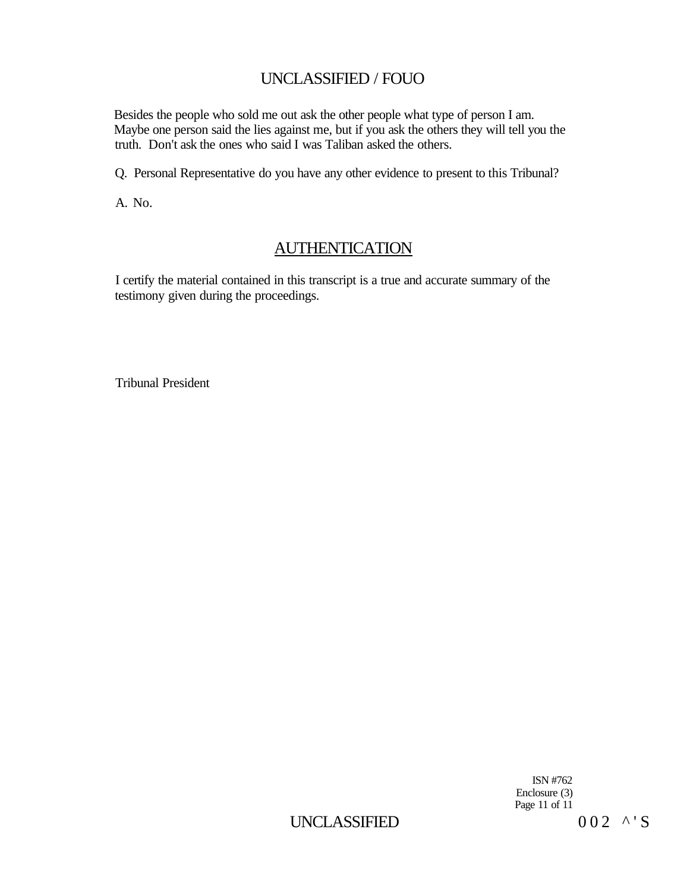Besides the people who sold me out ask the other people what type of person I am. Maybe one person said the lies against me, but if you ask the others they will tell you the truth. Don't ask the ones who said I was Taliban asked the others.

Q. Personal Representative do you have any other evidence to present to this Tribunal?

A. No.

## AUTHENTICATION

I certify the material contained in this transcript is a true and accurate summary of the testimony given during the proceedings.

Tribunal President

ISN #762 Enclosure (3) Page 11 of 11

UNCLASSIFIED  $002 \times S$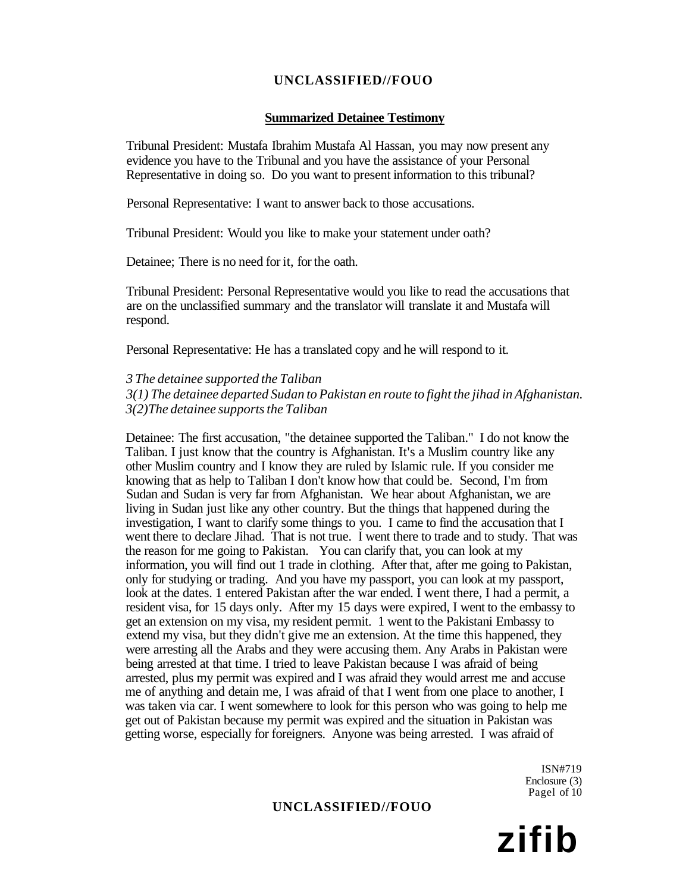#### **Summarized Detainee Testimony**

Tribunal President: Mustafa Ibrahim Mustafa Al Hassan, you may now present any evidence you have to the Tribunal and you have the assistance of your Personal Representative in doing so. Do you want to present information to this tribunal?

Personal Representative: I want to answer back to those accusations.

Tribunal President: Would you like to make your statement under oath?

Detainee; There is no need for it, for the oath.

Tribunal President: Personal Representative would you like to read the accusations that are on the unclassified summary and the translator will translate it and Mustafa will respond.

Personal Representative: He has a translated copy and he will respond to it.

*3 The detainee supported the Taliban* 

*3(1) The detainee departed Sudan to Pakistan en route to fight the jihad in Afghanistan. 3(2)The detainee supports the Taliban* 

Detainee: The first accusation, "the detainee supported the Taliban." I do not know the Taliban. I just know that the country is Afghanistan. It's a Muslim country like any other Muslim country and I know they are ruled by Islamic rule. If you consider me knowing that as help to Taliban I don't know how that could be. Second, I'm from Sudan and Sudan is very far from Afghanistan. We hear about Afghanistan, we are living in Sudan just like any other country. But the things that happened during the investigation, I want to clarify some things to you. I came to find the accusation that I went there to declare Jihad. That is not true. I went there to trade and to study. That was the reason for me going to Pakistan. You can clarify that, you can look at my information, you will find out 1 trade in clothing. After that, after me going to Pakistan, only for studying or trading. And you have my passport, you can look at my passport, look at the dates. 1 entered Pakistan after the war ended. I went there, I had a permit, a resident visa, for 15 days only. After my 15 days were expired, I went to the embassy to get an extension on my visa, my resident permit. 1 went to the Pakistani Embassy to extend my visa, but they didn't give me an extension. At the time this happened, they were arresting all the Arabs and they were accusing them. Any Arabs in Pakistan were being arrested at that time. I tried to leave Pakistan because I was afraid of being arrested, plus my permit was expired and I was afraid they would arrest me and accuse me of anything and detain me, I was afraid of that I went from one place to another, I was taken via car. I went somewhere to look for this person who was going to help me get out of Pakistan because my permit was expired and the situation in Pakistan was getting worse, especially for foreigners. Anyone was being arrested. I was afraid of

> ISN#719 Enclosure (3) Pagel of 10

### **UNCLASSIFIED//FOUO**

**zifib**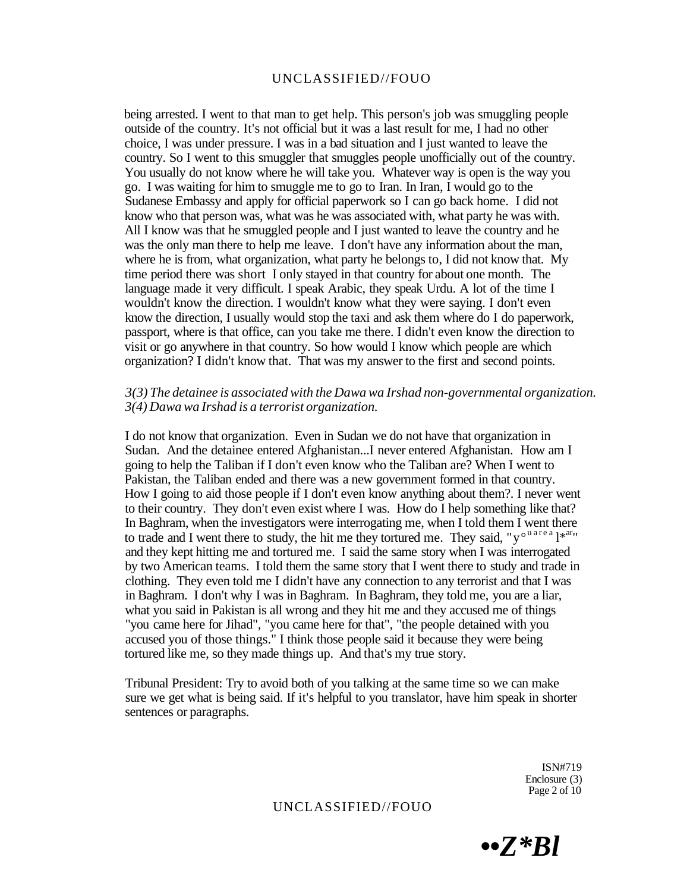being arrested. I went to that man to get help. This person's job was smuggling people outside of the country. It's not official but it was a last result for me, I had no other choice, I was under pressure. I was in a bad situation and I just wanted to leave the country. So I went to this smuggler that smuggles people unofficially out of the country. You usually do not know where he will take you. Whatever way is open is the way you go. I was waiting for him to smuggle me to go to Iran. In Iran, I would go to the Sudanese Embassy and apply for official paperwork so I can go back home. I did not know who that person was, what was he was associated with, what party he was with. All I know was that he smuggled people and I just wanted to leave the country and he was the only man there to help me leave. I don't have any information about the man, where he is from, what organization, what party he belongs to, I did not know that. My time period there was short I only stayed in that country for about one month. The language made it very difficult. I speak Arabic, they speak Urdu. A lot of the time I wouldn't know the direction. I wouldn't know what they were saying. I don't even know the direction, I usually would stop the taxi and ask them where do I do paperwork, passport, where is that office, can you take me there. I didn't even know the direction to visit or go anywhere in that country. So how would I know which people are which organization? I didn't know that. That was my answer to the first and second points.

#### *3(3) The detainee is associated with the Dawa wa Irshad non-governmental organization. 3(4) Dawa wa Irshad is a terrorist organization.*

I do not know that organization. Even in Sudan we do not have that organization in Sudan. And the detainee entered Afghanistan...I never entered Afghanistan. How am I going to help the Taliban if I don't even know who the Taliban are? When I went to Pakistan, the Taliban ended and there was a new government formed in that country. How I going to aid those people if I don't even know anything about them?. I never went to their country. They don't even exist where I was. How do I help something like that? In Baghram, when the investigators were interrogating me, when I told them I went there to trade and I went there to study, the hit me they tortured me. They said, " $v^{\circ}$ <sup>u are a</sup> l<sup>\*ar</sup>" and they kept hitting me and tortured me. I said the same story when I was interrogated by two American teams. I told them the same story that I went there to study and trade in clothing. They even told me I didn't have any connection to any terrorist and that I was in Baghram. I don't why I was in Baghram. In Baghram, they told me, you are a liar, what you said in Pakistan is all wrong and they hit me and they accused me of things "you came here for Jihad", "you came here for that", "the people detained with you accused you of those things." I think those people said it because they were being tortured like me, so they made things up. And that's my true story.

Tribunal President: Try to avoid both of you talking at the same time so we can make sure we get what is being said. If it's helpful to you translator, have him speak in shorter sentences or paragraphs.

> ISN#719 Enclosure (3) Page 2 of 10

*••Z\*Bl*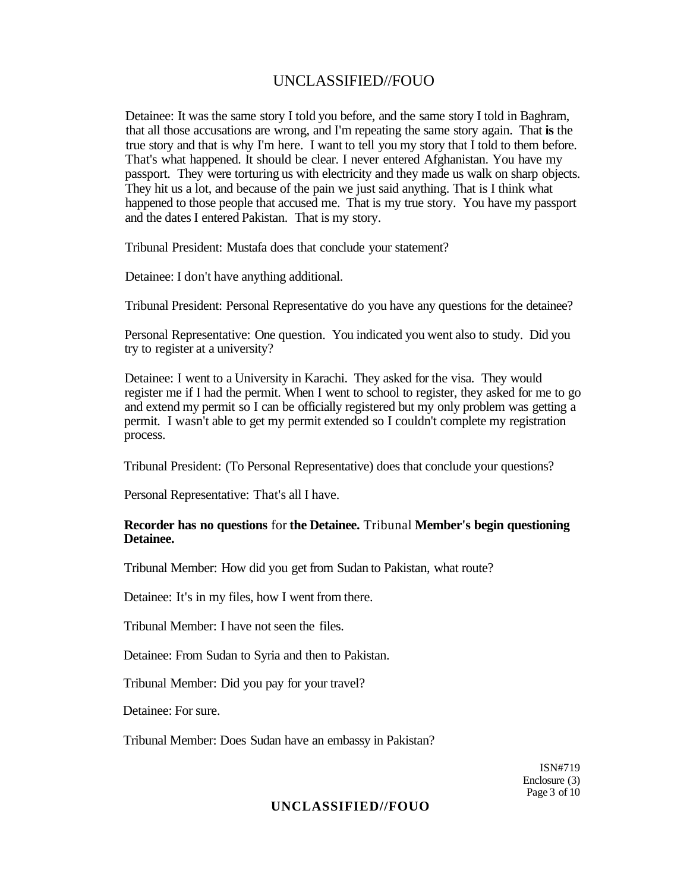Detainee: It was the same story I told you before, and the same story I told in Baghram, that all those accusations are wrong, and I'm repeating the same story again. That **is** the true story and that is why I'm here. I want to tell you my story that I told to them before. That's what happened. It should be clear. I never entered Afghanistan. You have my passport. They were torturing us with electricity and they made us walk on sharp objects. They hit us a lot, and because of the pain we just said anything. That is I think what happened to those people that accused me. That is my true story. You have my passport and the dates I entered Pakistan. That is my story.

Tribunal President: Mustafa does that conclude your statement?

Detainee: I don't have anything additional.

Tribunal President: Personal Representative do you have any questions for the detainee?

Personal Representative: One question. You indicated you went also to study. Did you try to register at a university?

Detainee: I went to a University in Karachi. They asked for the visa. They would register me if I had the permit. When I went to school to register, they asked for me to go and extend my permit so I can be officially registered but my only problem was getting a permit. I wasn't able to get my permit extended so I couldn't complete my registration process.

Tribunal President: (To Personal Representative) does that conclude your questions?

Personal Representative: That's all I have.

#### **Recorder has no questions** for **the Detainee.** Tribunal **Member's begin questioning Detainee.**

Tribunal Member: How did you get from Sudan to Pakistan, what route?

Detainee: It's in my files, how I went from there.

Tribunal Member: I have not seen the files.

Detainee: From Sudan to Syria and then to Pakistan.

Tribunal Member: Did you pay for your travel?

Detainee: For sure.

Tribunal Member: Does Sudan have an embassy in Pakistan?

ISN#719 Enclosure (3) Page 3 of 10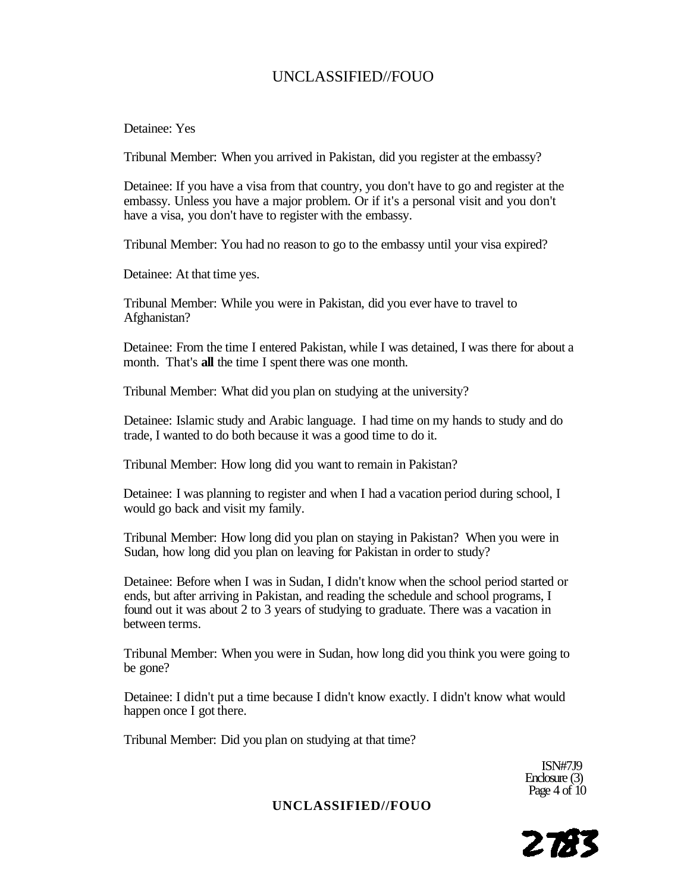#### Detainee: Yes

Tribunal Member: When you arrived in Pakistan, did you register at the embassy?

Detainee: If you have a visa from that country, you don't have to go and register at the embassy. Unless you have a major problem. Or if it's a personal visit and you don't have a visa, you don't have to register with the embassy.

Tribunal Member: You had no reason to go to the embassy until your visa expired?

Detainee: At that time yes.

Tribunal Member: While you were in Pakistan, did you ever have to travel to Afghanistan?

Detainee: From the time I entered Pakistan, while I was detained, I was there for about a month. That's **all** the time I spent there was one month.

Tribunal Member: What did you plan on studying at the university?

Detainee: Islamic study and Arabic language. I had time on my hands to study and do trade, I wanted to do both because it was a good time to do it.

Tribunal Member: How long did you want to remain in Pakistan?

Detainee: I was planning to register and when I had a vacation period during school, I would go back and visit my family.

Tribunal Member: How long did you plan on staying in Pakistan? When you were in Sudan, how long did you plan on leaving for Pakistan in order to study?

Detainee: Before when I was in Sudan, I didn't know when the school period started or ends, but after arriving in Pakistan, and reading the schedule and school programs, I found out it was about 2 to 3 years of studying to graduate. There was a vacation in between terms.

Tribunal Member: When you were in Sudan, how long did you think you were going to be gone?

Detainee: I didn't put a time because I didn't know exactly. I didn't know what would happen once I got there.

Tribunal Member: Did you plan on studying at that time?

ISN#7J9 Enclosure (3) Page  $4$  of  $10$ 

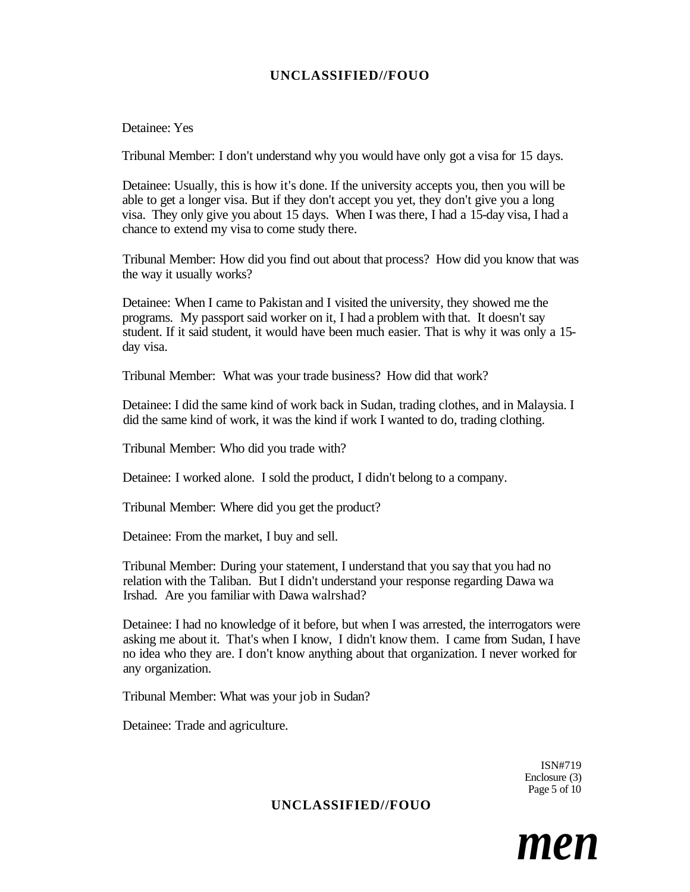#### Detainee: Yes

Tribunal Member: I don't understand why you would have only got a visa for 15 days.

Detainee: Usually, this is how it's done. If the university accepts you, then you will be able to get a longer visa. But if they don't accept you yet, they don't give you a long visa. They only give you about 15 days. When I was there, I had a 15-day visa, I had a chance to extend my visa to come study there.

Tribunal Member: How did you find out about that process? How did you know that was the way it usually works?

Detainee: When I came to Pakistan and I visited the university, they showed me the programs. My passport said worker on it, I had a problem with that. It doesn't say student. If it said student, it would have been much easier. That is why it was only a 15 day visa.

Tribunal Member: What was your trade business? How did that work?

Detainee: I did the same kind of work back in Sudan, trading clothes, and in Malaysia. I did the same kind of work, it was the kind if work I wanted to do, trading clothing.

Tribunal Member: Who did you trade with?

Detainee: I worked alone. I sold the product, I didn't belong to a company.

Tribunal Member: Where did you get the product?

Detainee: From the market, I buy and sell.

Tribunal Member: During your statement, I understand that you say that you had no relation with the Taliban. But I didn't understand your response regarding Dawa wa Irshad. Are you familiar with Dawa walrshad?

Detainee: I had no knowledge of it before, but when I was arrested, the interrogators were asking me about it. That's when I know, I didn't know them. I came from Sudan, I have no idea who they are. I don't know anything about that organization. I never worked for any organization.

Tribunal Member: What was your job in Sudan?

Detainee: Trade and agriculture.

ISN#719 Enclosure (3) Page 5 of 10

## **UNCLASSIFIED//FOUO**

*men*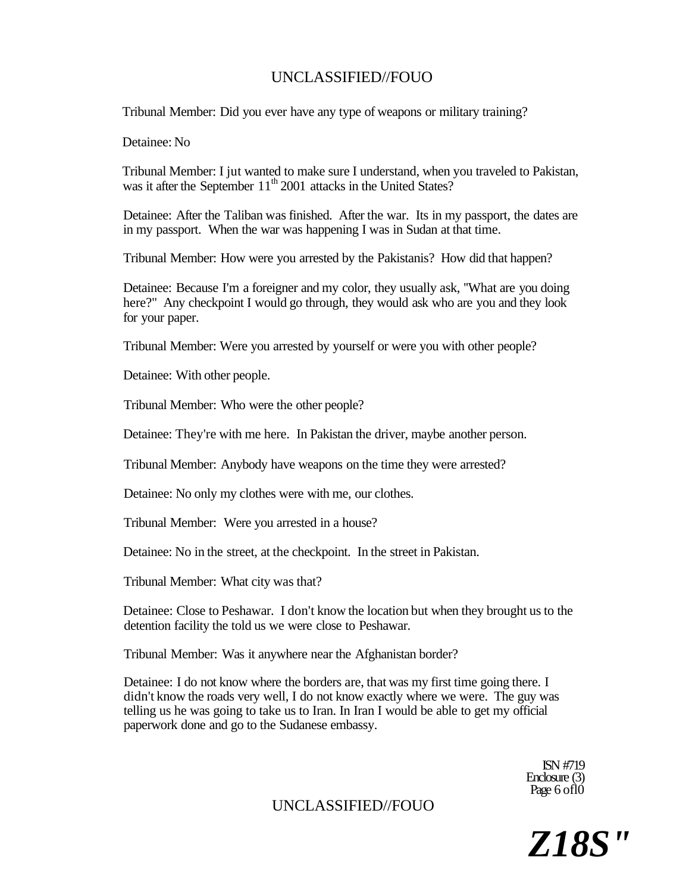Tribunal Member: Did you ever have any type of weapons or military training?

Detainee: No

Tribunal Member: I jut wanted to make sure I understand, when you traveled to Pakistan, was it after the September 11<sup>th</sup> 2001 attacks in the United States?

Detainee: After the Taliban was finished. After the war. Its in my passport, the dates are in my passport. When the war was happening I was in Sudan at that time.

Tribunal Member: How were you arrested by the Pakistanis? How did that happen?

Detainee: Because I'm a foreigner and my color, they usually ask, ''What are you doing here?" Any checkpoint I would go through, they would ask who are you and they look for your paper.

Tribunal Member: Were you arrested by yourself or were you with other people?

Detainee: With other people.

Tribunal Member: Who were the other people?

Detainee: They're with me here. In Pakistan the driver, maybe another person.

Tribunal Member: Anybody have weapons on the time they were arrested?

Detainee: No only my clothes were with me, our clothes.

Tribunal Member: Were you arrested in a house?

Detainee: No in the street, at the checkpoint. In the street in Pakistan.

Tribunal Member: What city was that?

Detainee: Close to Peshawar. I don't know the location but when they brought us to the detention facility the told us we were close to Peshawar.

Tribunal Member: Was it anywhere near the Afghanistan border?

Detainee: I do not know where the borders are, that was my first time going there. I didn't know the roads very well, I do not know exactly where we were. The guy was telling us he was going to take us to Iran. In Iran I would be able to get my official paperwork done and go to the Sudanese embassy.

> ISN #719 Enclosure (3) Page 6 of 10

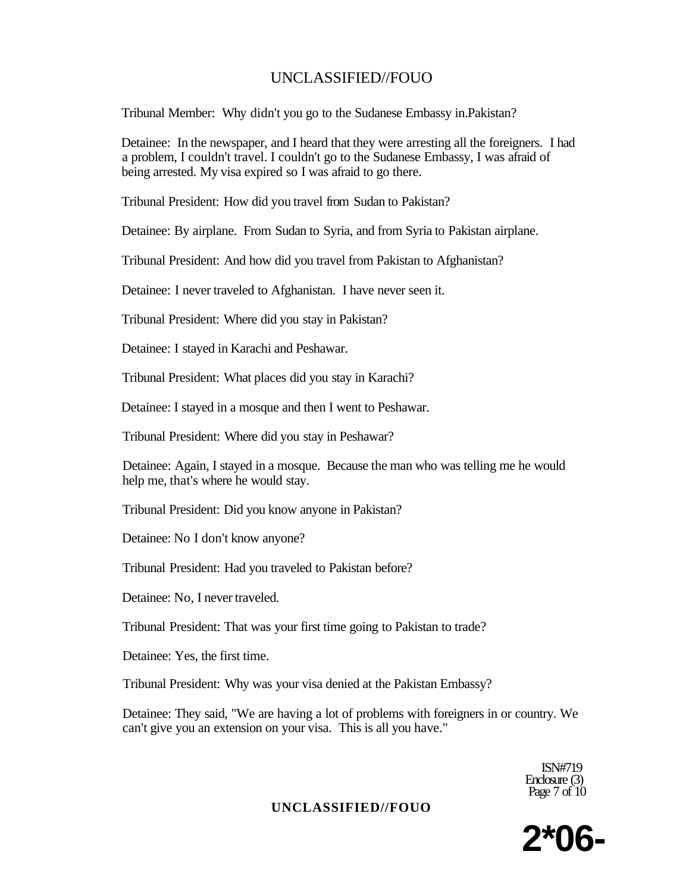Tribunal Member: Why didn't you go to the Sudanese Embassy in.Pakistan?

Detainee: In the newspaper, and I heard that they were arresting all the foreigners. I had a problem, I couldn't travel. I couldn't go to the Sudanese Embassy, I was afraid of being arrested. My visa expired so I was afraid to go there.

Tribunal President: How did you travel from Sudan to Pakistan?

Detainee: By airplane. From Sudan to Syria, and from Syria to Pakistan airplane.

Tribunal President: And how did you travel from Pakistan to Afghanistan?

Detainee: I never traveled to Afghanistan. I have never seen it.

Tribunal President: Where did you stay in Pakistan?

Detainee: I stayed in Karachi and Peshawar.

Tribunal President: What places did you stay in Karachi?

Detainee: I stayed in a mosque and then I went to Peshawar.

Tribunal President: Where did you stay in Peshawar?

Detainee: Again, I stayed in a mosque. Because the man who was telling me he would help me, that's where he would stay.

Tribunal President: Did you know anyone in Pakistan?

Detainee: No I don't know anyone?

Tribunal President: Had you traveled to Pakistan before?

Detainee: No, I never traveled.

Tribunal President: That was your first time going to Pakistan to trade?

Detainee: Yes, the first time.

Tribunal President: Why was your visa denied at the Pakistan Embassy?

Detainee: They said, "We are having a lot of problems with foreigners in or country. We can't give you an extension on your visa. This is all you have."

> ISN#719 Enclosure (3) Page  $7 \text{ of } 10$

**2\*06-**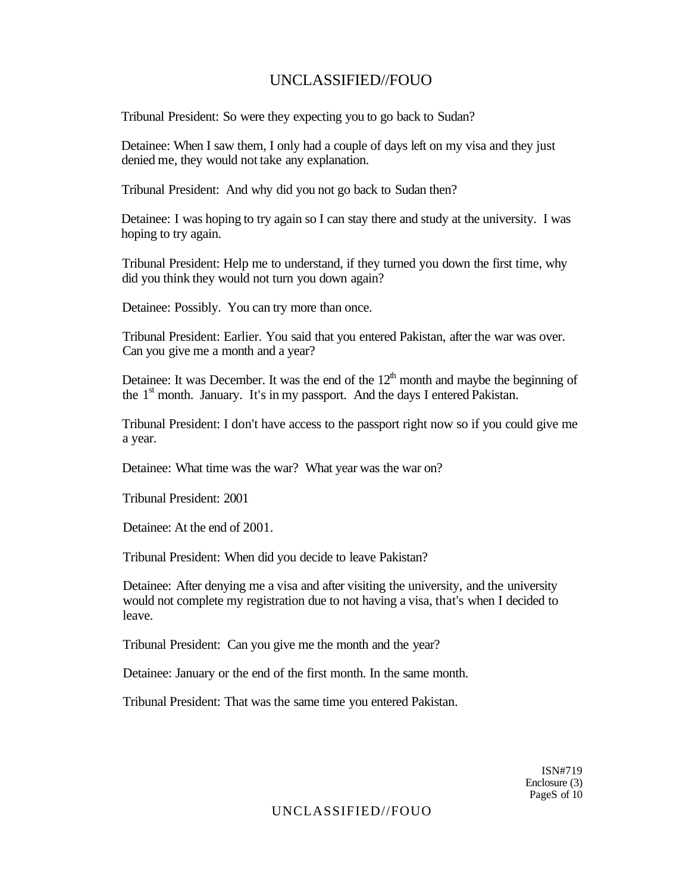Tribunal President: So were they expecting you to go back to Sudan?

Detainee: When I saw them, I only had a couple of days left on my visa and they just denied me, they would not take any explanation.

Tribunal President: And why did you not go back to Sudan then?

Detainee: I was hoping to try again so I can stay there and study at the university. I was hoping to try again.

Tribunal President: Help me to understand, if they turned you down the first time, why did you think they would not turn you down again?

Detainee: Possibly. You can try more than once.

Tribunal President: Earlier. You said that you entered Pakistan, after the war was over. Can you give me a month and a year?

Detainee: It was December. It was the end of the  $12<sup>th</sup>$  month and maybe the beginning of the  $1<sup>st</sup>$  month. January. It's in my passport. And the days I entered Pakistan.

Tribunal President: I don't have access to the passport right now so if you could give me a year.

Detainee: What time was the war? What year was the war on?

Tribunal President: 2001

Detainee: At the end of 2001.

Tribunal President: When did you decide to leave Pakistan?

Detainee: After denying me a visa and after visiting the university, and the university would not complete my registration due to not having a visa, that's when I decided to leave.

Tribunal President: Can you give me the month and the year?

Detainee: January or the end of the first month. In the same month.

Tribunal President: That was the same time you entered Pakistan.

ISN#719 Enclosure (3) PageS of 10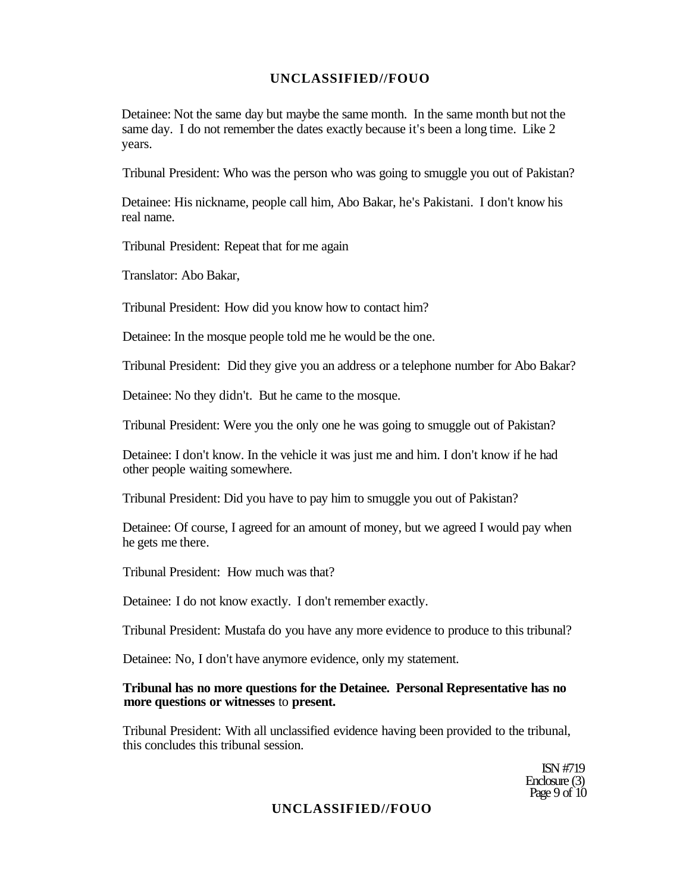Detainee: Not the same day but maybe the same month. In the same month but not the same day. I do not remember the dates exactly because it's been a long time. Like 2 years.

Tribunal President: Who was the person who was going to smuggle you out of Pakistan?

Detainee: His nickname, people call him, Abo Bakar, he's Pakistani. I don't know his real name.

Tribunal President: Repeat that for me again

Translator: Abo Bakar,

Tribunal President: How did you know how to contact him?

Detainee: In the mosque people told me he would be the one.

Tribunal President: Did they give you an address or a telephone number for Abo Bakar?

Detainee: No they didn't. But he came to the mosque.

Tribunal President: Were you the only one he was going to smuggle out of Pakistan?

Detainee: I don't know. In the vehicle it was just me and him. I don't know if he had other people waiting somewhere.

Tribunal President: Did you have to pay him to smuggle you out of Pakistan?

Detainee: Of course, I agreed for an amount of money, but we agreed I would pay when he gets me there.

Tribunal President: How much was that?

Detainee: I do not know exactly. I don't remember exactly.

Tribunal President: Mustafa do you have any more evidence to produce to this tribunal?

Detainee: No, I don't have anymore evidence, only my statement.

#### **Tribunal has no more questions for the Detainee. Personal Representative has no more questions or witnesses** to **present.**

Tribunal President: With all unclassified evidence having been provided to the tribunal, this concludes this tribunal session.

> ISN #719 Enclosure (3) Page  $9$  of  $10$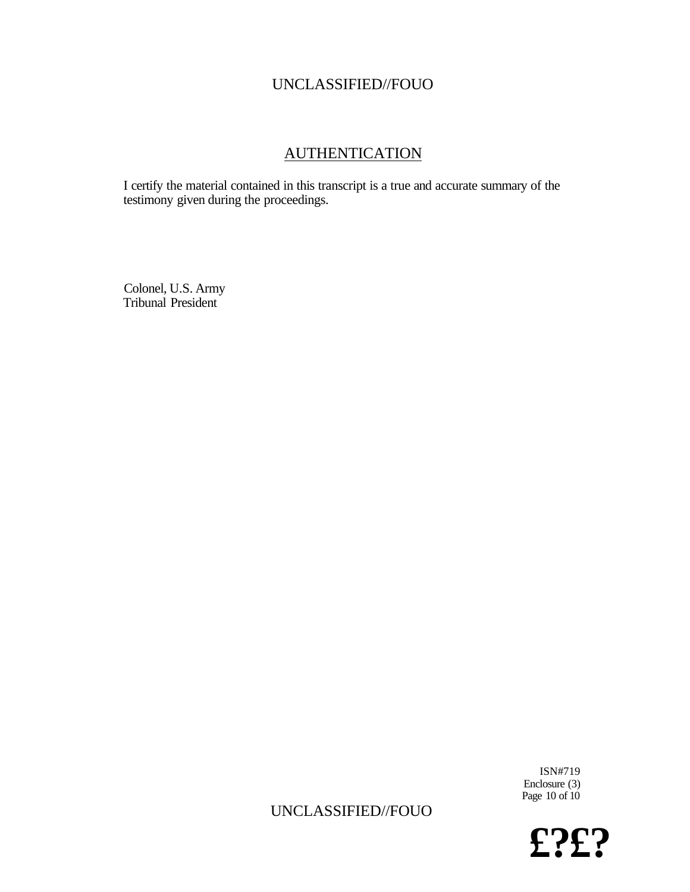## AUTHENTICATION

I certify the material contained in this transcript is a true and accurate summary of the testimony given during the proceedings.

Colonel, U.S. Army Tribunal President

> ISN#719 Enclosure (3) Page  $10$  of  $10$

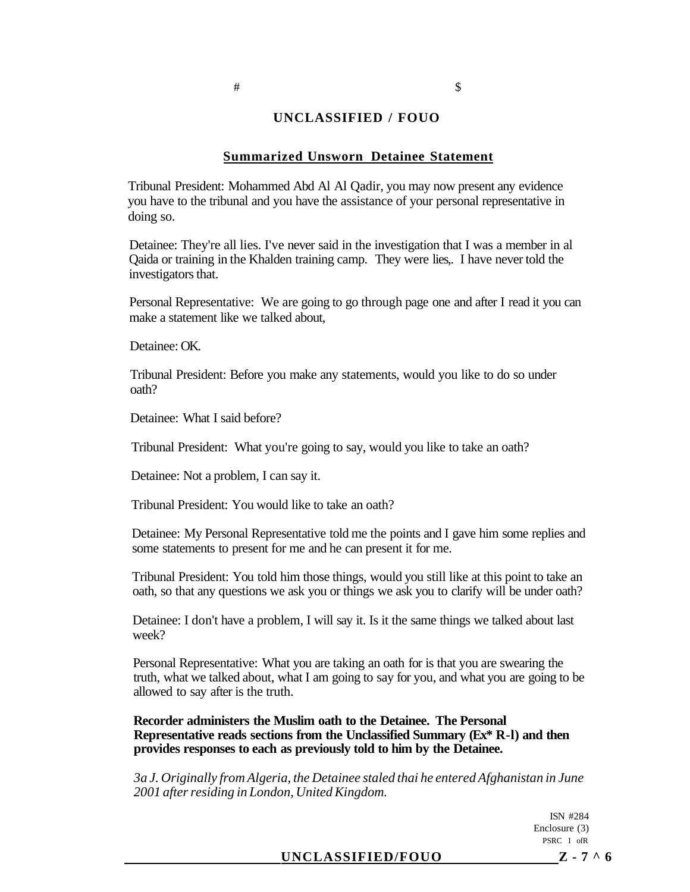#### **Summarized Unsworn Detainee Statement**

Tribunal President: Mohammed Abd Al Al Qadir, you may now present any evidence you have to the tribunal and you have the assistance of your personal representative in doing so.

Detainee: They're all lies. I've never said in the investigation that I was a member in al Qaida or training in the Khalden training camp. They were lies,. I have never told the investigators that.

Personal Representative: We are going to go through page one and after I read it you can make a statement like we talked about,

Detainee: OK.

Tribunal President: Before you make any statements, would you like to do so under oath?

Detainee: What I said before?

Tribunal President: What you're going to say, would you like to take an oath?

Detainee: Not a problem, I can say it.

Tribunal President: You would like to take an oath?

Detainee: My Personal Representative told me the points and I gave him some replies and some statements to present for me and he can present it for me.

Tribunal President: You told him those things, would you still like at this point to take an oath, so that any questions we ask you or things we ask you to clarify will be under oath?

Detainee: I don't have a problem, I will say it. Is it the same things we talked about last week?

Personal Representative: What you are taking an oath for is that you are swearing the truth, what we talked about, what I am going to say for you, and what you are going to be allowed to say after is the truth.

**Recorder administers the Muslim oath to the Detainee. The Personal Representative reads sections from the Unclassified Summary (Ex\* R-l) and then provides responses to each as previously told to him by the Detainee.** 

*3a J. Originally from Algeria, the Detainee staled thai he entered Afghanistan in June 2001 after residing in London, United Kingdom.* 

> ISN #284 Enclosure (3) PSRC I ofR

#### **UNCLASSIFIED/FOUO Z-7^ 6**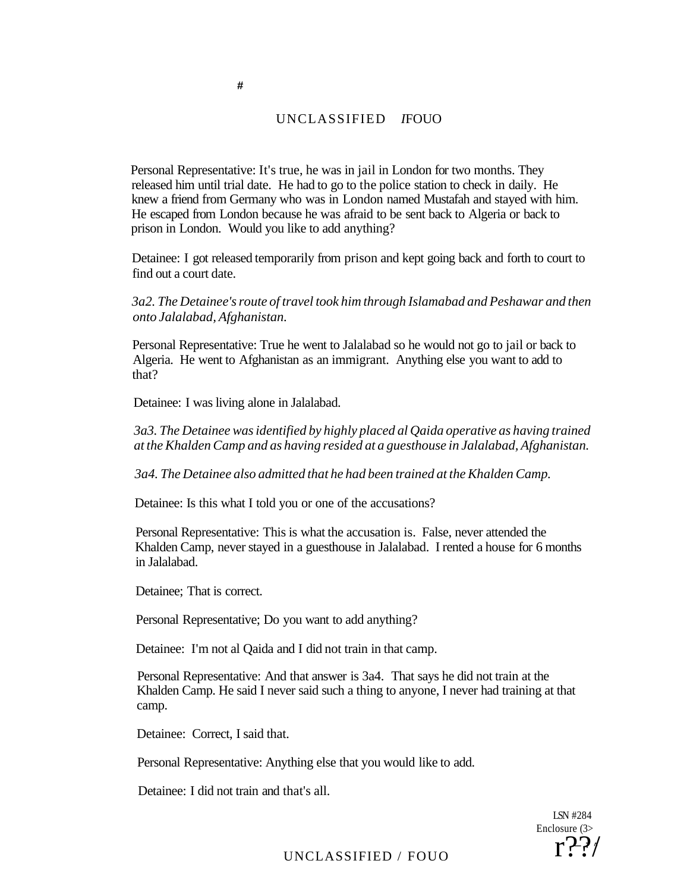Personal Representative: It's true, he was in jail in London for two months. They released him until trial date. He had to go to the police station to check in daily. He knew a friend from Germany who was in London named Mustafah and stayed with him. He escaped from London because he was afraid to be sent back to Algeria or back to prison in London. Would you like to add anything?

Detainee: I got released temporarily from prison and kept going back and forth to court to find out a court date.

*3a2. The Detainee's route of travel took him through Islamabad and Peshawar and then onto Jalalabad, Afghanistan.* 

Personal Representative: True he went to Jalalabad so he would not go to jail or back to Algeria. He went to Afghanistan as an immigrant. Anything else you want to add to that?

Detainee: I was living alone in Jalalabad.

**#** 

*3a3. The Detainee was identified by highly placed al Qaida operative as having trained at the Khalden Camp and as having resided at a guesthouse in Jalalabad, Afghanistan.* 

*3a4. The Detainee also admitted that he had been trained at the Khalden Camp.* 

Detainee: Is this what I told you or one of the accusations?

Personal Representative: This is what the accusation is. False, never attended the Khalden Camp, never stayed in a guesthouse in Jalalabad. I rented a house for 6 months in Jalalabad.

Detainee; That is correct.

Personal Representative; Do you want to add anything?

Detainee: I'm not al Qaida and I did not train in that camp.

Personal Representative: And that answer is 3a4. That says he did not train at the Khalden Camp. He said I never said such a thing to anyone, I never had training at that camp.

Detainee: Correct, I said that.

Personal Representative: Anything else that you would like to add.

Detainee: I did not train and that's all.

LSN #284 Enclosure (3> **— 7 ^** r??/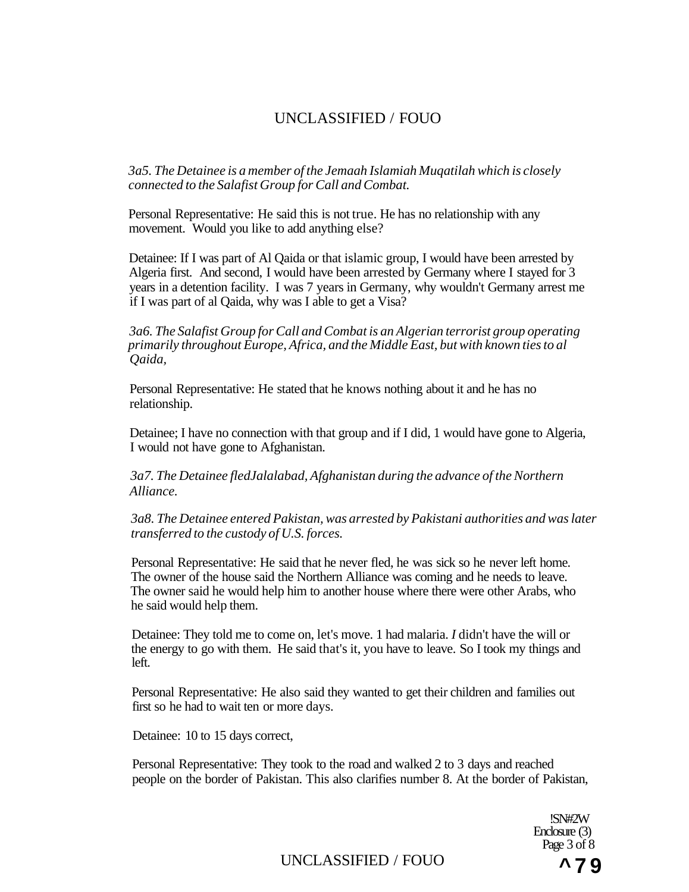*3a5. The Detainee is a member of the Jemaah Islamiah Muqatilah which is closely connected to the Salafist Group for Call and Combat.* 

Personal Representative: He said this is not true. He has no relationship with any movement. Would you like to add anything else?

Detainee: If I was part of Al Qaida or that islamic group, I would have been arrested by Algeria first. And second, I would have been arrested by Germany where I stayed for 3 years in a detention facility. I was 7 years in Germany, why wouldn't Germany arrest me if I was part of al Qaida, why was I able to get a Visa?

*3a6. The Salafist Group for Call and Combat is an Algerian terrorist group operating primarily throughout Europe, Africa, and the Middle East, but with known ties to al Qaida,* 

Personal Representative: He stated that he knows nothing about it and he has no relationship.

Detainee; I have no connection with that group and if I did, 1 would have gone to Algeria, I would not have gone to Afghanistan.

*3a7. The Detainee fledJalalabad, Afghanistan during the advance of the Northern Alliance.* 

*3a8. The Detainee entered Pakistan, was arrested by Pakistani authorities and was later transferred to the custody of U.S. forces.* 

Personal Representative: He said that he never fled, he was sick so he never left home. The owner of the house said the Northern Alliance was coming and he needs to leave. The owner said he would help him to another house where there were other Arabs, who he said would help them.

Detainee: They told me to come on, let's move. 1 had malaria. *I* didn't have the will or the energy to go with them. He said that's it, you have to leave. So I took my things and left.

Personal Representative: He also said they wanted to get their children and families out first so he had to wait ten or more days.

Detainee: 10 to 15 days correct,

Personal Representative: They took to the road and walked 2 to 3 days and reached people on the border of Pakistan. This also clarifies number 8. At the border of Pakistan,

> !SN#2W Enclosure (3) Page 3 of 8

UNCLASSIFIED / FOUO **^ 7 9**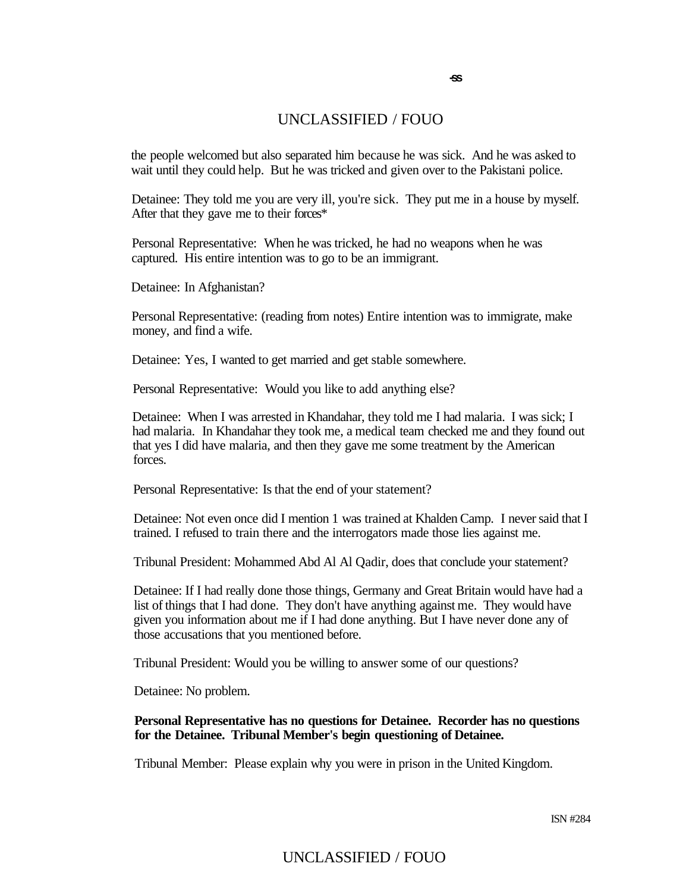**-ss** 

the people welcomed but also separated him because he was sick. And he was asked to wait until they could help. But he was tricked and given over to the Pakistani police.

Detainee: They told me you are very ill, you're sick. They put me in a house by myself. After that they gave me to their forces\*

Personal Representative: When he was tricked, he had no weapons when he was captured. His entire intention was to go to be an immigrant.

Detainee: In Afghanistan?

Personal Representative: (reading from notes) Entire intention was to immigrate, make money, and find a wife.

Detainee: Yes, I wanted to get married and get stable somewhere.

Personal Representative: Would you like to add anything else?

Detainee: When I was arrested in Khandahar, they told me I had malaria. I was sick; I had malaria. In Khandahar they took me, a medical team checked me and they found out that yes I did have malaria, and then they gave me some treatment by the American forces.

Personal Representative: Is that the end of your statement?

Detainee: Not even once did I mention 1 was trained at Khalden Camp. I never said that I trained. I refused to train there and the interrogators made those lies against me.

Tribunal President: Mohammed Abd Al Al Qadir, does that conclude your statement?

Detainee: If I had really done those things, Germany and Great Britain would have had a list of things that I had done. They don't have anything against me. They would have given you information about me if I had done anything. But I have never done any of those accusations that you mentioned before.

Tribunal President: Would you be willing to answer some of our questions?

Detainee: No problem.

#### **Personal Representative has no questions for Detainee. Recorder has no questions for the Detainee. Tribunal Member's begin questioning of Detainee.**

Tribunal Member: Please explain why you were in prison in the United Kingdom.

ISN #284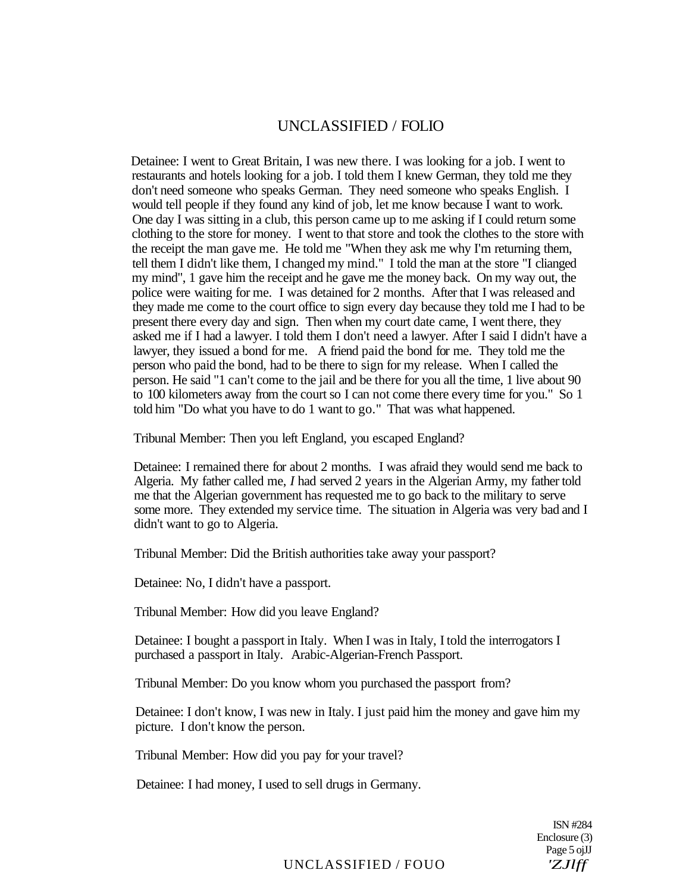Detainee: I went to Great Britain, I was new there. I was looking for a job. I went to restaurants and hotels looking for a job. I told them I knew German, they told me they don't need someone who speaks German. They need someone who speaks English. I would tell people if they found any kind of job, let me know because I want to work. One day I was sitting in a club, this person came up to me asking if I could return some clothing to the store for money. I went to that store and took the clothes to the store with the receipt the man gave me. He told me "When they ask me why I'm returning them, tell them I didn't like them, I changed my mind." I told the man at the store "I clianged my mind", 1 gave him the receipt and he gave me the money back. On my way out, the police were waiting for me. I was detained for 2 months. After that I was released and they made me come to the court office to sign every day because they told me I had to be present there every day and sign. Then when my court date came, I went there, they asked me if I had a lawyer. I told them I don't need a lawyer. After I said I didn't have a lawyer, they issued a bond for me. A friend paid the bond for me. They told me the person who paid the bond, had to be there to sign for my release. When I called the person. He said "1 can't come to the jail and be there for you all the time, 1 live about 90 to 100 kilometers away from the court so I can not come there every time for you." So 1 told him "Do what you have to do 1 want to go." That was what happened.

Tribunal Member: Then you left England, you escaped England?

Detainee: I remained there for about 2 months. I was afraid they would send me back to Algeria. My father called me, *I* had served 2 years in the Algerian Army, my father told me that the Algerian government has requested me to go back to the military to serve some more. They extended my service time. The situation in Algeria was very bad and I didn't want to go to Algeria.

Tribunal Member: Did the British authorities take away your passport?

Detainee: No, I didn't have a passport.

Tribunal Member: How did you leave England?

Detainee: I bought a passport in Italy. When I was in Italy, I told the interrogators I purchased a passport in Italy. Arabic-Algerian-French Passport.

Tribunal Member: Do you know whom you purchased the passport from?

Detainee: I don't know, I was new in Italy. I just paid him the money and gave him my picture. I don't know the person.

Tribunal Member: How did you pay for your travel?

Detainee: I had money, I used to sell drugs in Germany.

ISN #284 Enclosure (3) Page 5 ojJJ

UNCLASSIFIED / FOUO *'ZJlff*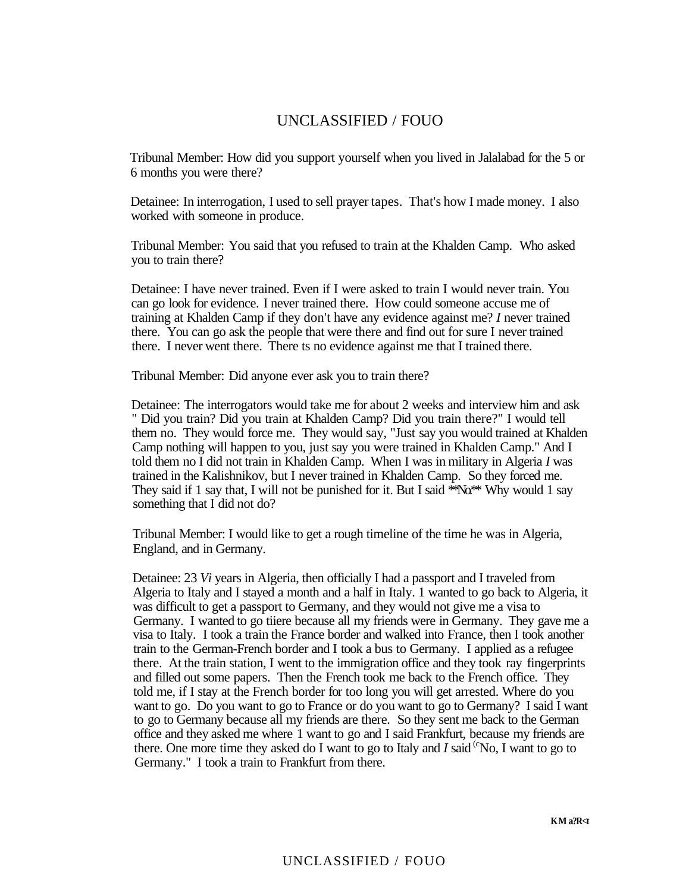Tribunal Member: How did you support yourself when you lived in Jalalabad for the 5 or 6 months you were there?

Detainee: In interrogation, I used to sell prayer tapes. That's how I made money. I also worked with someone in produce.

Tribunal Member: You said that you refused to train at the Khalden Camp. Who asked you to train there?

Detainee: I have never trained. Even if I were asked to train I would never train. You can go look for evidence. I never trained there. How could someone accuse me of training at Khalden Camp if they don't have any evidence against me? *I* never trained there. You can go ask the people that were there and find out for sure I never trained there. I never went there. There ts no evidence against me that I trained there.

Tribunal Member: Did anyone ever ask you to train there?

Detainee: The interrogators would take me for about 2 weeks and interview him and ask " Did you train? Did you train at Khalden Camp? Did you train there?" I would tell them no. They would force me. They would say, "Just say you would trained at Khalden Camp nothing will happen to you, just say you were trained in Khalden Camp." And I told them no I did not train in Khalden Camp. When I was in military in Algeria *I* was trained in the Kalishnikov, but I never trained in Khalden Camp. So they forced me. They said if 1 say that, I will not be punished for it. But I said  $*N_0**$  Why would 1 say something that I did not do?

Tribunal Member: I would like to get a rough timeline of the time he was in Algeria, England, and in Germany.

Detainee: 23 *Vi* years in Algeria, then officially I had a passport and I traveled from Algeria to Italy and I stayed a month and a half in Italy. 1 wanted to go back to Algeria, it was difficult to get a passport to Germany, and they would not give me a visa to Germany. I wanted to go tiiere because all my friends were in Germany. They gave me a visa to Italy. I took a train the France border and walked into France, then I took another train to the German-French border and I took a bus to Germany. I applied as a refugee there. At the train station, I went to the immigration office and they took ray fingerprints and filled out some papers. Then the French took me back to the French office. They told me, if I stay at the French border for too long you will get arrested. Where do you want to go. Do you want to go to France or do you want to go to Germany? I said I want to go to Germany because all my friends are there. So they sent me back to the German office and they asked me where 1 want to go and I said Frankfurt, because my friends are there. One more time they asked do I want to go to Italy and  $I$  said  $\rm{^{(c}No, I}$  want to go to Germany." I took a train to Frankfurt from there.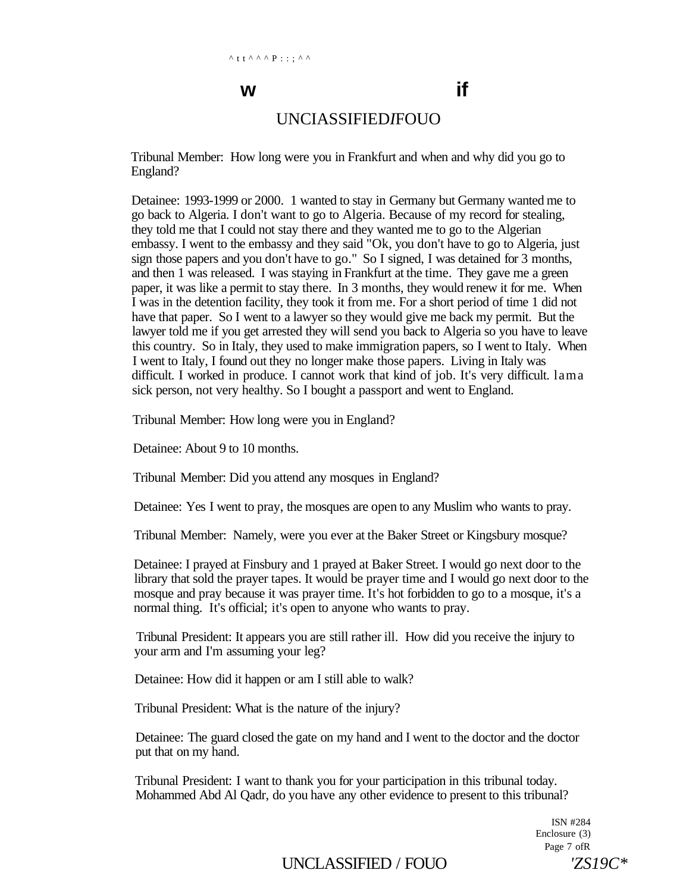# **w if**

## UNCIASSIFIED*I*FOUO

Tribunal Member: How long were you in Frankfurt and when and why did you go to England?

Detainee: 1993-1999 or 2000. 1 wanted to stay in Germany but Germany wanted me to go back to Algeria. I don't want to go to Algeria. Because of my record for stealing, they told me that I could not stay there and they wanted me to go to the Algerian embassy. I went to the embassy and they said "Ok, you don't have to go to Algeria, just sign those papers and you don't have to go." So I signed, I was detained for 3 months, and then 1 was released. I was staying in Frankfurt at the time. They gave me a green paper, it was like a permit to stay there. In 3 months, they would renew it for me. When I was in the detention facility, they took it from me. For a short period of time 1 did not have that paper. So I went to a lawyer so they would give me back my permit. But the lawyer told me if you get arrested they will send you back to Algeria so you have to leave this country. So in Italy, they used to make immigration papers, so I went to Italy. When I went to Italy, I found out they no longer make those papers. Living in Italy was difficult. I worked in produce. I cannot work that kind of job. It's very difficult. lama sick person, not very healthy. So I bought a passport and went to England.

Tribunal Member: How long were you in England?

Detainee: About 9 to 10 months.

Tribunal Member: Did you attend any mosques in England?

Detainee: Yes I went to pray, the mosques are open to any Muslim who wants to pray.

Tribunal Member: Namely, were you ever at the Baker Street or Kingsbury mosque?

Detainee: I prayed at Finsbury and 1 prayed at Baker Street. I would go next door to the library that sold the prayer tapes. It would be prayer time and I would go next door to the mosque and pray because it was prayer time. It's hot forbidden to go to a mosque, it's a normal thing. It's official; it's open to anyone who wants to pray.

Tribunal President: It appears you are still rather ill. How did you receive the injury to your arm and I'm assuming your leg?

Detainee: How did it happen or am I still able to walk?

Tribunal President: What is the nature of the injury?

Detainee: The guard closed the gate on my hand and I went to the doctor and the doctor put that on my hand.

Tribunal President: I want to thank you for your participation in this tribunal today. Mohammed Abd Al Qadr, do you have any other evidence to present to this tribunal?

> ISN #284 Enclosure (3) Page 7 ofR

UNCLASSIFIED / FOUO *'ZS19C\**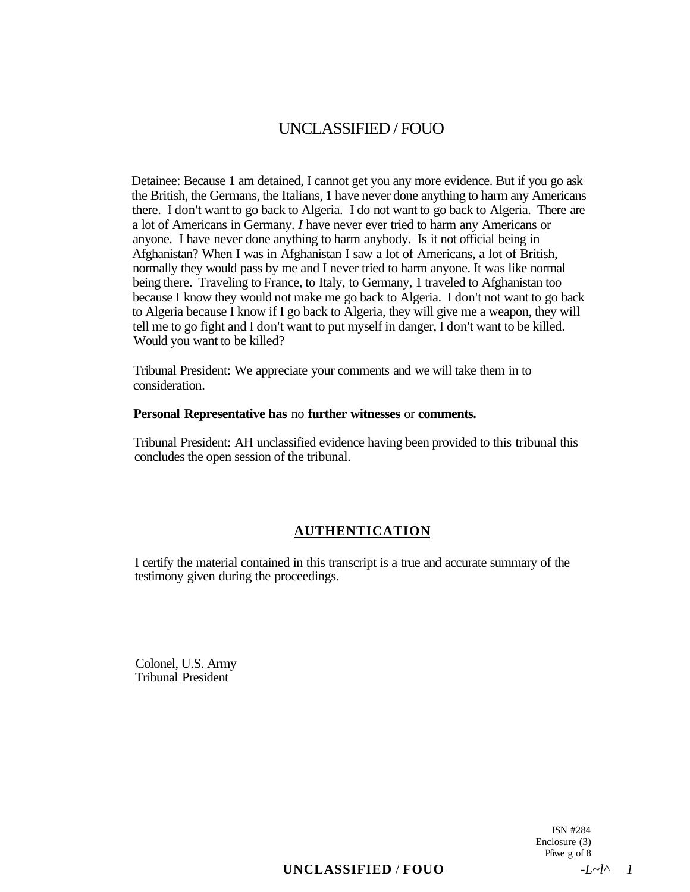Detainee: Because 1 am detained, I cannot get you any more evidence. But if you go ask the British, the Germans, the Italians, 1 have never done anything to harm any Americans there. I don't want to go back to Algeria. I do not want to go back to Algeria. There are a lot of Americans in Germany. *I* have never ever tried to harm any Americans or anyone. I have never done anything to harm anybody. Is it not official being in Afghanistan? When I was in Afghanistan I saw a lot of Americans, a lot of British, normally they would pass by me and I never tried to harm anyone. It was like normal being there. Traveling to France, to Italy, to Germany, 1 traveled to Afghanistan too because I know they would not make me go back to Algeria. I don't not want to go back to Algeria because I know if I go back to Algeria, they will give me a weapon, they will tell me to go fight and I don't want to put myself in danger, I don't want to be killed. Would you want to be killed?

Tribunal President: We appreciate your comments and we will take them in to consideration.

#### **Personal Representative has** no **further witnesses** or **comments.**

Tribunal President: AH unclassified evidence having been provided to this tribunal this concludes the open session of the tribunal.

## **AUTHENTICATION**

I certify the material contained in this transcript is a true and accurate summary of the testimony given during the proceedings.

Colonel, U.S. Army Tribunal President

> ISN #284 Enclosure (3) Pfiwe g of 8

 $\textbf{UNCLASSIFIED} / \textbf{FOUO}$   $-I \sim l^{\wedge} l$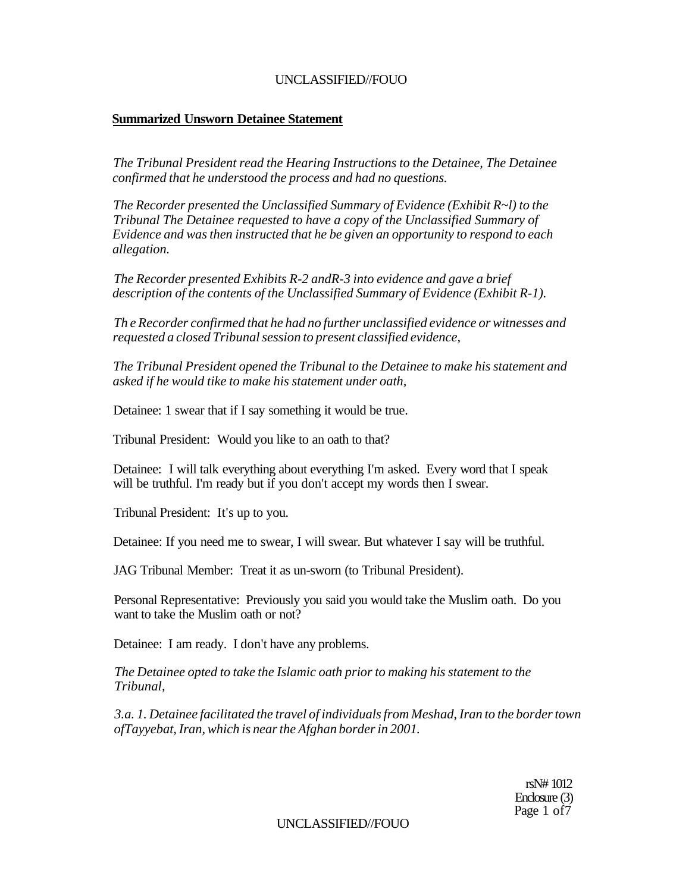#### **Summarized Unsworn Detainee Statement**

*The Tribunal President read the Hearing Instructions to the Detainee, The Detainee confirmed that he understood the process and had no questions.* 

*The Recorder presented the Unclassified Summary of Evidence (Exhibit R~l) to the Tribunal The Detainee requested to have a copy of the Unclassified Summary of Evidence and was then instructed that he be given an opportunity to respond to each allegation.* 

*The Recorder presented Exhibits R-2 andR-3 into evidence and gave a brief description of the contents of the Unclassified Summary of Evidence (Exhibit R-1).* 

*Th e Recorder confirmed that he had no further unclassified evidence or witnesses and requested a closed Tribunal session to present classified evidence,* 

*The Tribunal President opened the Tribunal to the Detainee to make his statement and asked if he would tike to make his statement under oath,* 

Detainee: 1 swear that if I say something it would be true.

Tribunal President: Would you like to an oath to that?

Detainee: I will talk everything about everything I'm asked. Every word that I speak will be truthful. I'm ready but if you don't accept my words then I swear.

Tribunal President: It's up to you.

Detainee: If you need me to swear, I will swear. But whatever I say will be truthful.

JAG Tribunal Member: Treat it as un-sworn (to Tribunal President).

Personal Representative: Previously you said you would take the Muslim oath. Do you want to take the Muslim oath or not?

Detainee: I am ready. I don't have any problems.

*The Detainee opted to take the Islamic oath prior to making his statement to the Tribunal,* 

*3.a. 1. Detainee facilitated the travel of individuals from Meshad, Iran to the border town ofTayyebat, Iran, which is near the Afghan border in 2001.* 

> rsN# 1012 Enclosure (3) Page 1 of 7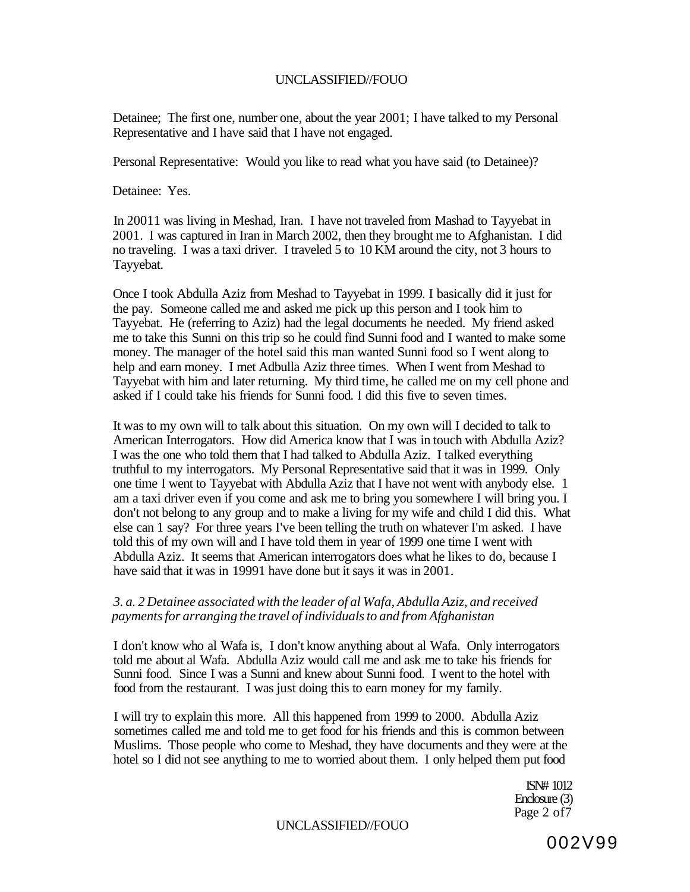Detainee; The first one, number one, about the year 2001; I have talked to my Personal Representative and I have said that I have not engaged.

Personal Representative: Would you like to read what you have said (to Detainee)?

Detainee: Yes.

In 20011 was living in Meshad, Iran. I have not traveled from Mashad to Tayyebat in 2001. I was captured in Iran in March 2002, then they brought me to Afghanistan. I did no traveling. I was a taxi driver. I traveled 5 to 10 KM around the city, not 3 hours to Tayyebat.

Once I took Abdulla Aziz from Meshad to Tayyebat in 1999. I basically did it just for the pay. Someone called me and asked me pick up this person and I took him to Tayyebat. He (referring to Aziz) had the legal documents he needed. My friend asked me to take this Sunni on this trip so he could find Sunni food and I wanted to make some money. The manager of the hotel said this man wanted Sunni food so I went along to help and earn money. I met Adbulla Aziz three times. When I went from Meshad to Tayyebat with him and later returning. My third time, he called me on my cell phone and asked if I could take his friends for Sunni food. I did this five to seven times.

It was to my own will to talk about this situation. On my own will I decided to talk to American Interrogators. How did America know that I was in touch with Abdulla Aziz? I was the one who told them that I had talked to Abdulla Aziz. I talked everything truthful to my interrogators. My Personal Representative said that it was in 1999. Only one time I went to Tayyebat with Abdulla Aziz that I have not went with anybody else. 1 am a taxi driver even if you come and ask me to bring you somewhere I will bring you. I don't not belong to any group and to make a living for my wife and child I did this. What else can 1 say? For three years I've been telling the truth on whatever I'm asked. I have told this of my own will and I have told them in year of 1999 one time I went with Abdulla Aziz. It seems that American interrogators does what he likes to do, because I have said that it was in 19991 have done but it says it was in 2001.

#### *3. a. 2 Detainee associated with the leader of al Wafa, Abdulla Aziz, and received payments for arranging the travel of individuals to and from Afghanistan*

I don't know who al Wafa is, I don't know anything about al Wafa. Only interrogators told me about al Wafa. Abdulla Aziz would call me and ask me to take his friends for Sunni food. Since I was a Sunni and knew about Sunni food. I went to the hotel with food from the restaurant. I was just doing this to earn money for my family.

I will try to explain this more. All this happened from 1999 to 2000. Abdulla Aziz sometimes called me and told me to get food for his friends and this is common between Muslims. Those people who come to Meshad, they have documents and they were at the hotel so I did not see anything to me to worried about them. I only helped them put food

> ISN# 1012 Enclosure (3) Page 2 of7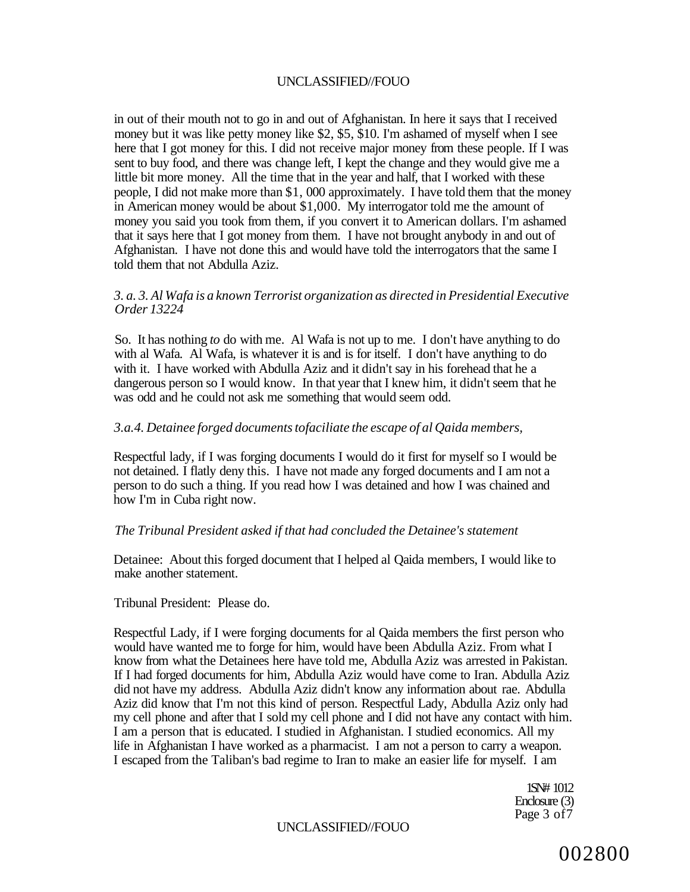in out of their mouth not to go in and out of Afghanistan. In here it says that I received money but it was like petty money like \$2, \$5, \$10. I'm ashamed of myself when I see here that I got money for this. I did not receive major money from these people. If I was sent to buy food, and there was change left, I kept the change and they would give me a little bit more money. All the time that in the year and half, that I worked with these people, I did not make more than \$1, 000 approximately. I have told them that the money in American money would be about \$1,000. My interrogator told me the amount of money you said you took from them, if you convert it to American dollars. I'm ashamed that it says here that I got money from them. I have not brought anybody in and out of Afghanistan. I have not done this and would have told the interrogators that the same I told them that not Abdulla Aziz.

#### *3. a. 3. Al Wafa is a known Terrorist organization as directed in Presidential Executive Order 13224*

So. It has nothing *to* do with me. Al Wafa is not up to me. I don't have anything to do with al Wafa. Al Wafa, is whatever it is and is for itself. I don't have anything to do with it. I have worked with Abdulla Aziz and it didn't say in his forehead that he a dangerous person so I would know. In that year that I knew him, it didn't seem that he was odd and he could not ask me something that would seem odd.

#### *3.a.4. Detainee forged documents tofaciliate the escape of al Qaida members,*

Respectful lady, if I was forging documents I would do it first for myself so I would be not detained. I flatly deny this. I have not made any forged documents and I am not a person to do such a thing. If you read how I was detained and how I was chained and how I'm in Cuba right now.

#### *The Tribunal President asked if that had concluded the Detainee's statement*

Detainee: About this forged document that I helped al Qaida members, I would like to make another statement.

Tribunal President: Please do.

Respectful Lady, if I were forging documents for al Qaida members the first person who would have wanted me to forge for him, would have been Abdulla Aziz. From what I know from what the Detainees here have told me, Abdulla Aziz was arrested in Pakistan. If I had forged documents for him, Abdulla Aziz would have come to Iran. Abdulla Aziz did not have my address. Abdulla Aziz didn't know any information about rae. Abdulla Aziz did know that I'm not this kind of person. Respectful Lady, Abdulla Aziz only had my cell phone and after that I sold my cell phone and I did not have any contact with him. I am a person that is educated. I studied in Afghanistan. I studied economics. All my life in Afghanistan I have worked as a pharmacist. I am not a person to carry a weapon. I escaped from the Taliban's bad regime to Iran to make an easier life for myself. I am

> 1SN# 1012 Enclosure (3) Page 3 of7

UNCLASSIFIED//FOUO

002800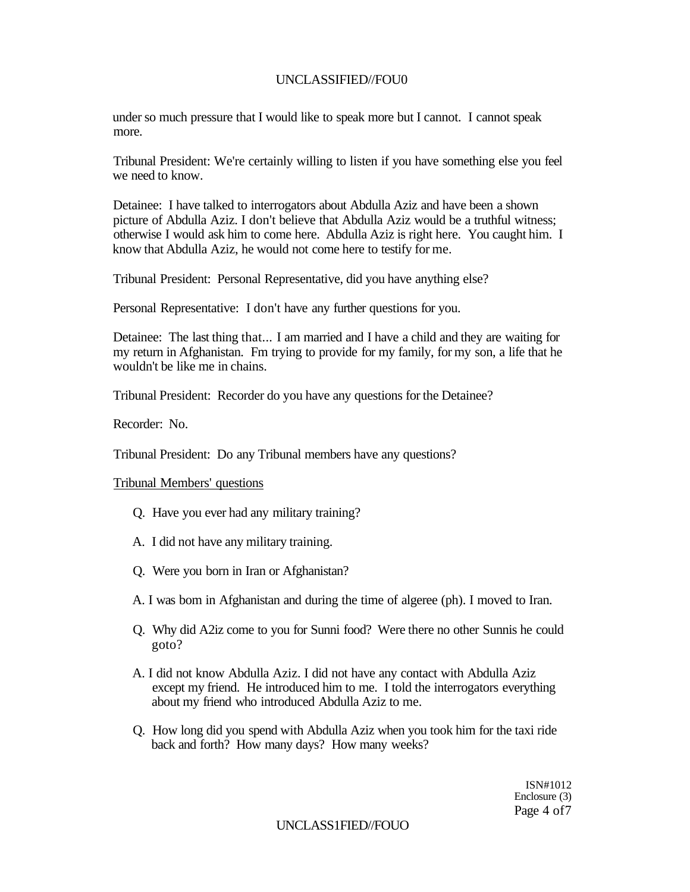## UNCLASSIFIED//FOU0

under so much pressure that I would like to speak more but I cannot. I cannot speak more.

Tribunal President: We're certainly willing to listen if you have something else you feel we need to know.

Detainee: I have talked to interrogators about Abdulla Aziz and have been a shown picture of Abdulla Aziz. I don't believe that Abdulla Aziz would be a truthful witness; otherwise I would ask him to come here. Abdulla Aziz is right here. You caught him. I know that Abdulla Aziz, he would not come here to testify for me.

Tribunal President: Personal Representative, did you have anything else?

Personal Representative: I don't have any further questions for you.

Detainee: The last thing that... I am married and I have a child and they are waiting for my return in Afghanistan. Fm trying to provide for my family, for my son, a life that he wouldn't be like me in chains.

Tribunal President: Recorder do you have any questions for the Detainee?

Recorder: No.

Tribunal President: Do any Tribunal members have any questions?

Tribunal Members' questions

- Q. Have you ever had any military training?
- A. I did not have any military training.
- Q. Were you born in Iran or Afghanistan?
- A. I was bom in Afghanistan and during the time of algeree (ph). I moved to Iran.
- Q. Why did A2iz come to you for Sunni food? Were there no other Sunnis he could goto?
- A. I did not know Abdulla Aziz. I did not have any contact with Abdulla Aziz except my friend. He introduced him to me. I told the interrogators everything about my friend who introduced Abdulla Aziz to me.
- Q. How long did you spend with Abdulla Aziz when you took him for the taxi ride back and forth? How many days? How many weeks?

ISN#1012 Enclosure (3) Page 4 of7

UNCLASS1FIED//FOUO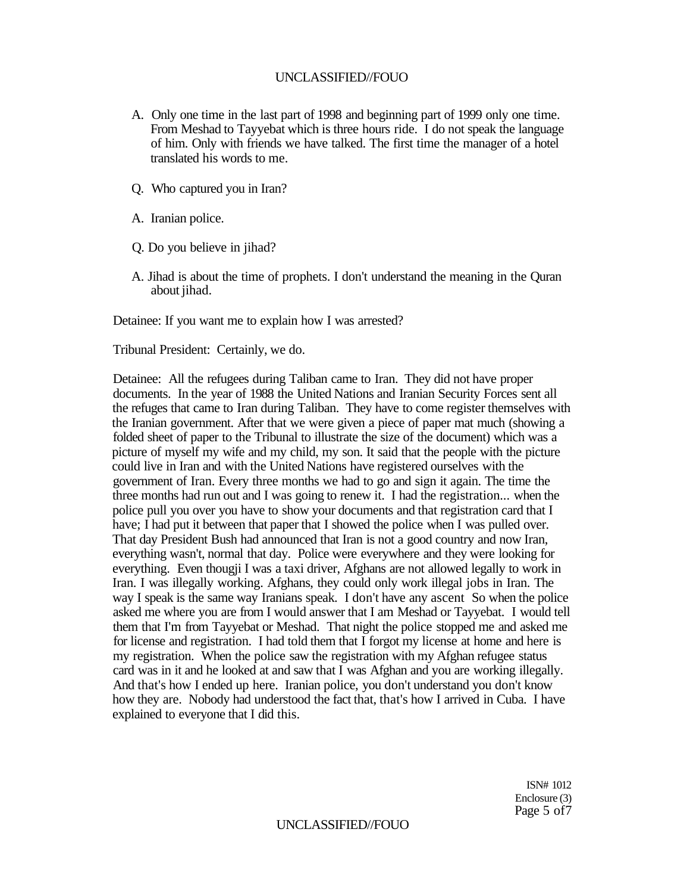- A. Only one time in the last part of 1998 and beginning part of 1999 only one time. From Meshad to Tayyebat which is three hours ride. I do not speak the language of him. Only with friends we have talked. The first time the manager of a hotel translated his words to me.
- Q. Who captured you in Iran?
- A. Iranian police.
- Q. Do you believe in jihad?
- A. Jihad is about the time of prophets. I don't understand the meaning in the Quran about jihad.

Detainee: If you want me to explain how I was arrested?

Tribunal President: Certainly, we do.

Detainee: All the refugees during Taliban came to Iran. They did not have proper documents. In the year of 1988 the United Nations and Iranian Security Forces sent all the refuges that came to Iran during Taliban. They have to come register themselves with the Iranian government. After that we were given a piece of paper mat much (showing a folded sheet of paper to the Tribunal to illustrate the size of the document) which was a picture of myself my wife and my child, my son. It said that the people with the picture could live in Iran and with the United Nations have registered ourselves with the government of Iran. Every three months we had to go and sign it again. The time the three months had run out and I was going to renew it. I had the registration... when the police pull you over you have to show your documents and that registration card that I have; I had put it between that paper that I showed the police when I was pulled over. That day President Bush had announced that Iran is not a good country and now Iran, everything wasn't, normal that day. Police were everywhere and they were looking for everything. Even thougji I was a taxi driver, Afghans are not allowed legally to work in Iran. I was illegally working. Afghans, they could only work illegal jobs in Iran. The way I speak is the same way Iranians speak. I don't have any ascent So when the police asked me where you are from I would answer that I am Meshad or Tayyebat. I would tell them that I'm from Tayyebat or Meshad. That night the police stopped me and asked me for license and registration. I had told them that I forgot my license at home and here is my registration. When the police saw the registration with my Afghan refugee status card was in it and he looked at and saw that I was Afghan and you are working illegally. And that's how I ended up here. Iranian police, you don't understand you don't know how they are. Nobody had understood the fact that, that's how I arrived in Cuba. I have explained to everyone that I did this.

> ISN# 1012 Enclosure (3) Page 5 of7

#### UNCLASSIFIED//FOUO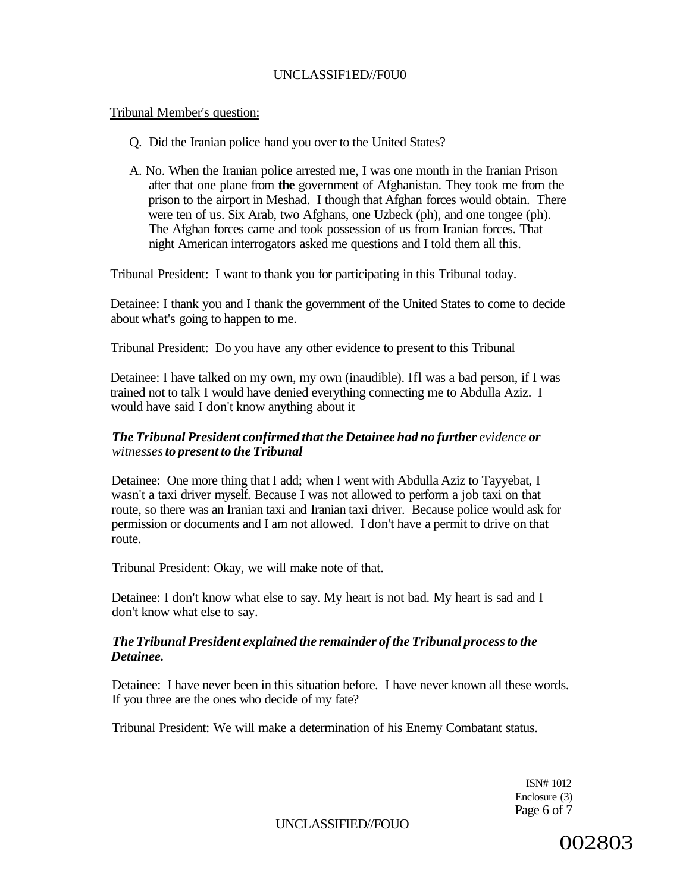## UNCLASSIF1ED//F0U0

#### Tribunal Member's question:

- Q. Did the Iranian police hand you over to the United States?
- A. No. When the Iranian police arrested me, I was one month in the Iranian Prison after that one plane from **the** government of Afghanistan. They took me from the prison to the airport in Meshad. I though that Afghan forces would obtain. There were ten of us. Six Arab, two Afghans, one Uzbeck (ph), and one tongee (ph). The Afghan forces came and took possession of us from Iranian forces. That night American interrogators asked me questions and I told them all this.

Tribunal President: I want to thank you for participating in this Tribunal today.

Detainee: I thank you and I thank the government of the United States to come to decide about what's going to happen to me.

Tribunal President: Do you have any other evidence to present to this Tribunal

Detainee: I have talked on my own, my own (inaudible). Ifl was a bad person, if I was trained not to talk I would have denied everything connecting me to Abdulla Aziz. I would have said I don't know anything about it

### *The Tribunal President confirmed that the Detainee had no further evidence or witnesses to present to the Tribunal*

Detainee: One more thing that I add; when I went with Abdulla Aziz to Tayyebat, I wasn't a taxi driver myself. Because I was not allowed to perform a job taxi on that route, so there was an Iranian taxi and Iranian taxi driver. Because police would ask for permission or documents and I am not allowed. I don't have a permit to drive on that route.

Tribunal President: Okay, we will make note of that.

Detainee: I don't know what else to say. My heart is not bad. My heart is sad and I don't know what else to say.

## *The Tribunal President explained the remainder of the Tribunal process to the Detainee.*

Detainee: I have never been in this situation before. I have never known all these words. If you three are the ones who decide of my fate?

Tribunal President: We will make a determination of his Enemy Combatant status.

ISN# 1012 Enclosure (3) Page 6 of 7

UNCLASSIFIED//FOUO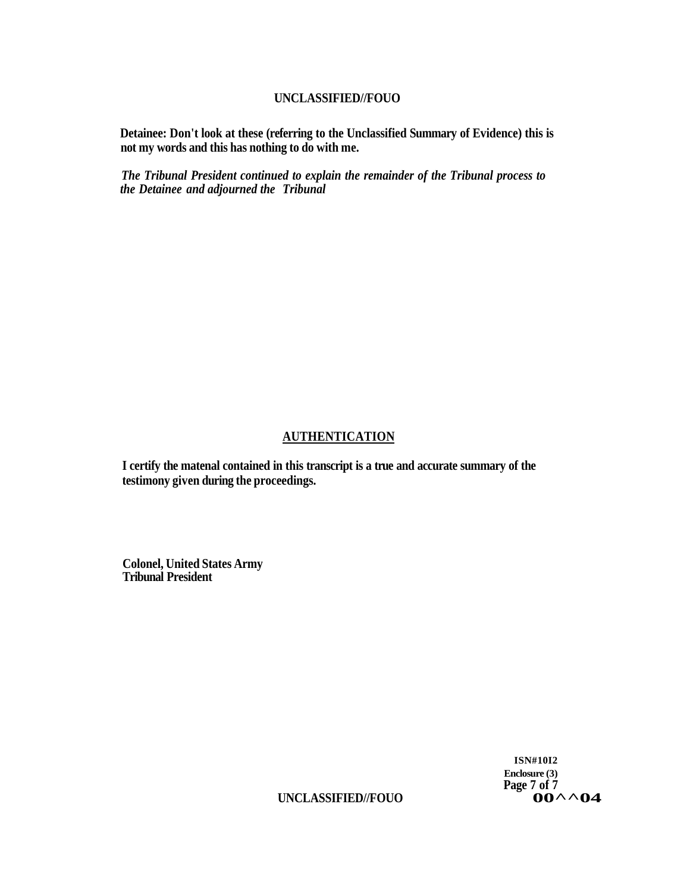**Detainee: Don't look at these (referring to the Unclassified Summary of Evidence) this is not my words and this has nothing to do with me.** 

*The Tribunal President continued to explain the remainder of the Tribunal process to the Detainee and adjourned the Tribunal* 

## **AUTHENTICATION**

**I certify the matenal contained in this transcript is a true and accurate summary of the testimony given during the proceedings.** 

**Colonel, United States Army Tribunal President** 

> **ISN#10I2 Enclosure (3)**  Page 7 of 7<br>**OO** <u>∧</u> ∧ **O4**

**UNCLASSIFIED//FOUO 00^^04**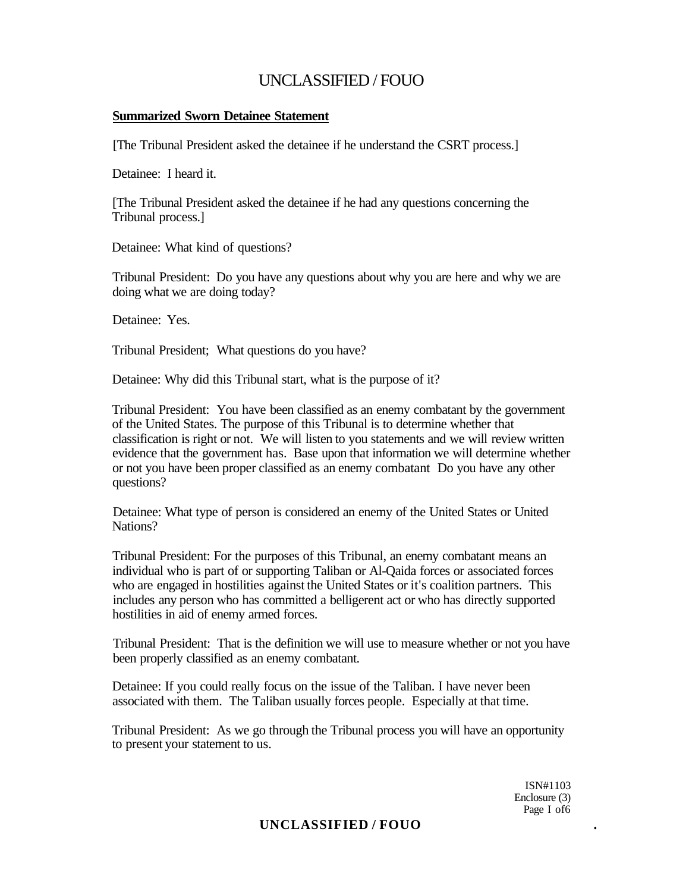### **Summarized Sworn Detainee Statement**

[The Tribunal President asked the detainee if he understand the CSRT process.]

Detainee: I heard it.

[The Tribunal President asked the detainee if he had any questions concerning the Tribunal process.]

Detainee: What kind of questions?

Tribunal President: Do you have any questions about why you are here and why we are doing what we are doing today?

Detainee: Yes.

Tribunal President; What questions do you have?

Detainee: Why did this Tribunal start, what is the purpose of it?

Tribunal President: You have been classified as an enemy combatant by the government of the United States. The purpose of this Tribunal is to determine whether that classification is right or not. We will listen to you statements and we will review written evidence that the government has. Base upon that information we will determine whether or not you have been proper classified as an enemy combatant Do you have any other questions?

Detainee: What type of person is considered an enemy of the United States or United Nations?

Tribunal President: For the purposes of this Tribunal, an enemy combatant means an individual who is part of or supporting Taliban or Al-Qaida forces or associated forces who are engaged in hostilities against the United States or it's coalition partners. This includes any person who has committed a belligerent act or who has directly supported hostilities in aid of enemy armed forces.

Tribunal President: That is the definition we will use to measure whether or not you have been properly classified as an enemy combatant.

Detainee: If you could really focus on the issue of the Taliban. I have never been associated with them. The Taliban usually forces people. Especially at that time.

Tribunal President: As we go through the Tribunal process you will have an opportunity to present your statement to us.

> ISN#1103 Enclosure (3) Page I of 6

**UNCLASSIFIED / FOUO .**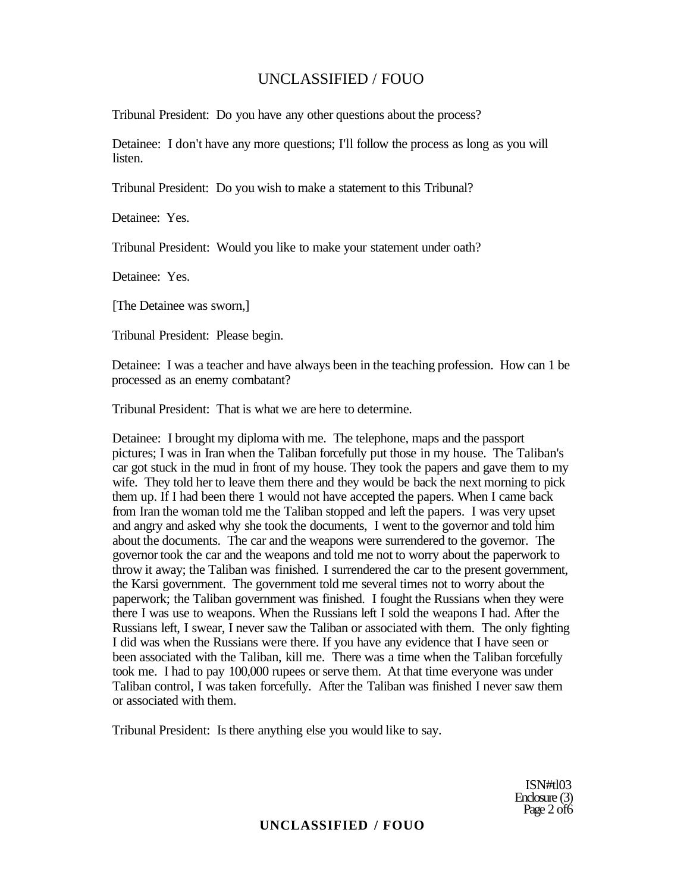Tribunal President: Do you have any other questions about the process?

Detainee: I don't have any more questions; I'll follow the process as long as you will listen.

Tribunal President: Do you wish to make a statement to this Tribunal?

Detainee: Yes.

Tribunal President: Would you like to make your statement under oath?

Detainee: Yes.

[The Detainee was sworn,]

Tribunal President: Please begin.

Detainee: I was a teacher and have always been in the teaching profession. How can 1 be processed as an enemy combatant?

Tribunal President: That is what we are here to determine.

Detainee: I brought my diploma with me. The telephone, maps and the passport pictures; I was in Iran when the Taliban forcefully put those in my house. The Taliban's car got stuck in the mud in front of my house. They took the papers and gave them to my wife. They told her to leave them there and they would be back the next morning to pick them up. If I had been there 1 would not have accepted the papers. When I came back from Iran the woman told me the Taliban stopped and left the papers. I was very upset and angry and asked why she took the documents, I went to the governor and told him about the documents. The car and the weapons were surrendered to the governor. The governor took the car and the weapons and told me not to worry about the paperwork to throw it away; the Taliban was finished. I surrendered the car to the present government, the Karsi government. The government told me several times not to worry about the paperwork; the Taliban government was finished. I fought the Russians when they were there I was use to weapons. When the Russians left I sold the weapons I had. After the Russians left, I swear, I never saw the Taliban or associated with them. The only fighting I did was when the Russians were there. If you have any evidence that I have seen or been associated with the Taliban, kill me. There was a time when the Taliban forcefully took me. I had to pay 100,000 rupees or serve them. At that time everyone was under Taliban control, I was taken forcefully. After the Taliban was finished I never saw them or associated with them.

Tribunal President: Is there anything else you would like to say.

ISN#tl03 Enclosure (3) Page 2 of 6

## **UNCLASSIFIED / FOUO**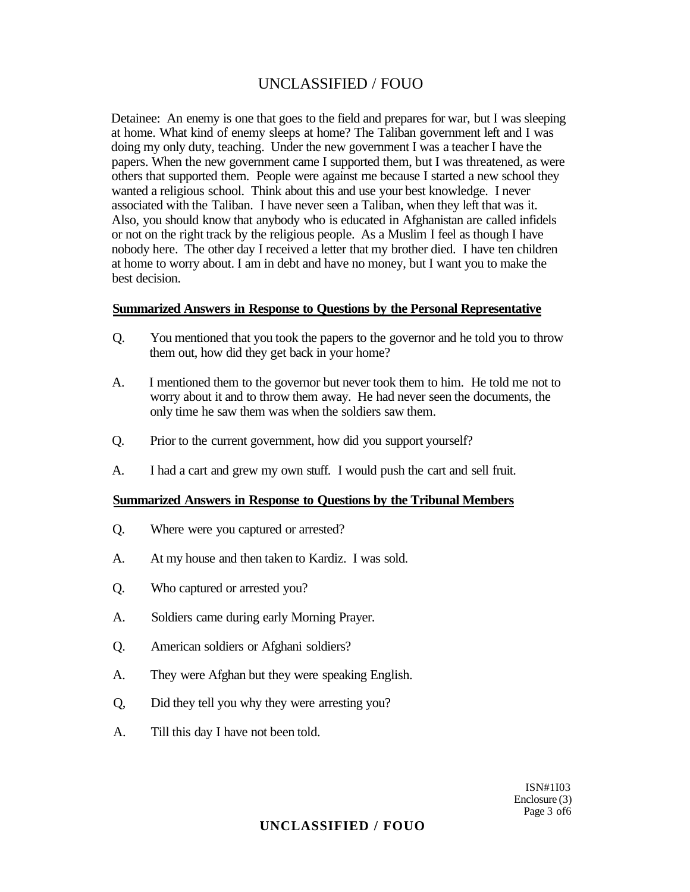Detainee: An enemy is one that goes to the field and prepares for war, but I was sleeping at home. What kind of enemy sleeps at home? The Taliban government left and I was doing my only duty, teaching. Under the new government I was a teacher I have the papers. When the new government came I supported them, but I was threatened, as were others that supported them. People were against me because I started a new school they wanted a religious school. Think about this and use your best knowledge. I never associated with the Taliban. I have never seen a Taliban, when they left that was it. Also, you should know that anybody who is educated in Afghanistan are called infidels or not on the right track by the religious people. As a Muslim I feel as though I have nobody here. The other day I received a letter that my brother died. I have ten children at home to worry about. I am in debt and have no money, but I want you to make the best decision.

#### **Summarized Answers in Response to Questions by the Personal Representative**

- Q. You mentioned that you took the papers to the governor and he told you to throw them out, how did they get back in your home?
- A. I mentioned them to the governor but never took them to him. He told me not to worry about it and to throw them away. He had never seen the documents, the only time he saw them was when the soldiers saw them.
- Q. Prior to the current government, how did you support yourself?
- A. I had a cart and grew my own stuff. I would push the cart and sell fruit.

#### **Summarized Answers in Response to Questions by the Tribunal Members**

- Q. Where were you captured or arrested?
- A. At my house and then taken to Kardiz. I was sold.
- Q. Who captured or arrested you?
- A. Soldiers came during early Morning Prayer.
- Q. American soldiers or Afghani soldiers?
- A. They were Afghan but they were speaking English.
- Q, Did they tell you why they were arresting you?
- A. Till this day I have not been told.

ISN#1I03 Enclosure (3) Page 3 of 6

## **UNCLASSIFIED / FOUO**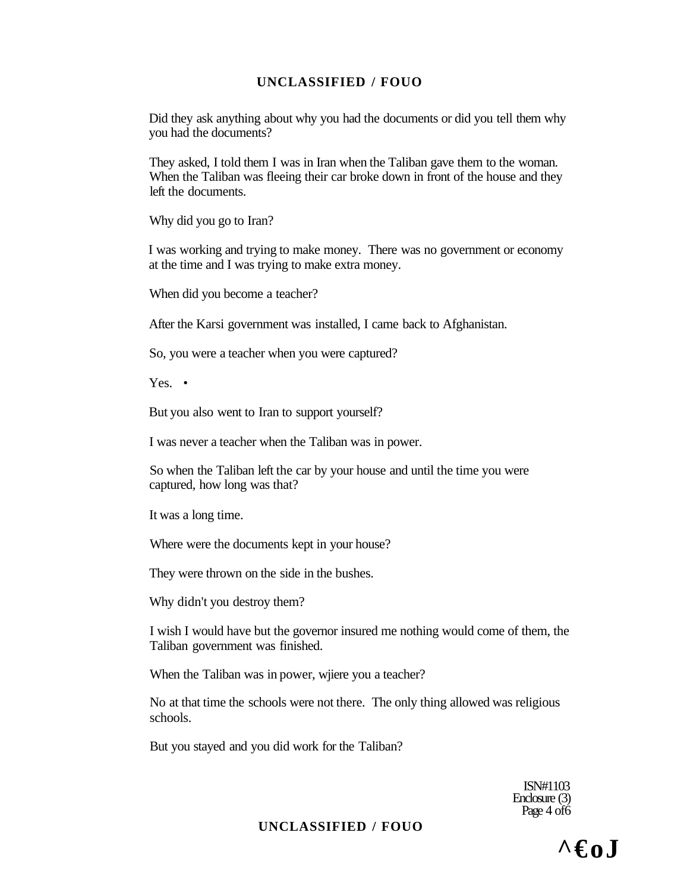Did they ask anything about why you had the documents or did you tell them why you had the documents?

They asked, I told them I was in Iran when the Taliban gave them to the woman. When the Taliban was fleeing their car broke down in front of the house and they left the documents.

Why did you go to Iran?

I was working and trying to make money. There was no government or economy at the time and I was trying to make extra money.

When did you become a teacher?

After the Karsi government was installed, I came back to Afghanistan.

So, you were a teacher when you were captured?

Yes. •

But you also went to Iran to support yourself?

I was never a teacher when the Taliban was in power.

So when the Taliban left the car by your house and until the time you were captured, how long was that?

It was a long time.

Where were the documents kept in your house?

They were thrown on the side in the bushes.

Why didn't you destroy them?

I wish I would have but the governor insured me nothing would come of them, the Taliban government was finished.

When the Taliban was in power, wjiere you a teacher?

No at that time the schools were not there. The only thing allowed was religious schools.

But you stayed and you did work for the Taliban?

ISN#1103 Enclosure (3) Page 4 of 6

## **UNCLASSIFIED / FOUO**

 $\wedge \epsilon_0$ .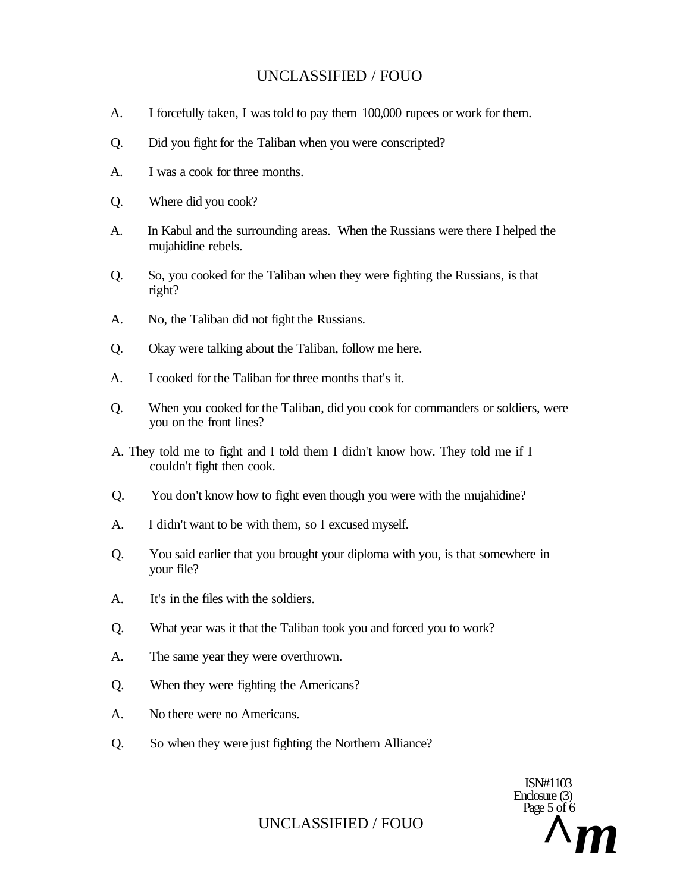- A. I forcefully taken, I was told to pay them 100,000 rupees or work for them.
- Q. Did you fight for the Taliban when you were conscripted?
- A. I was a cook for three months.
- Q. Where did you cook?
- A. In Kabul and the surrounding areas. When the Russians were there I helped the mujahidine rebels.
- Q. So, you cooked for the Taliban when they were fighting the Russians, is that right?
- A. No, the Taliban did not fight the Russians.
- Q. Okay were talking about the Taliban, follow me here.
- A. I cooked for the Taliban for three months that's it.
- Q. When you cooked for the Taliban, did you cook for commanders or soldiers, were you on the front lines?
- A. They told me to fight and I told them I didn't know how. They told me if I couldn't fight then cook.
- Q. You don't know how to fight even though you were with the mujahidine?
- A. I didn't want to be with them, so I excused myself.
- Q. You said earlier that you brought your diploma with you, is that somewhere in your file?
- A. It's in the files with the soldiers.
- Q. What year was it that the Taliban took you and forced you to work?
- A. The same year they were overthrown.
- Q. When they were fighting the Americans?
- A. No there were no Americans.
- Q. So when they were just fighting the Northern Alliance?

ISN#1103 Enclosure (3) Page 5 of 6 UNCLASSIFIED / FOUO  $\sum_{i=1}^{N} m_i$